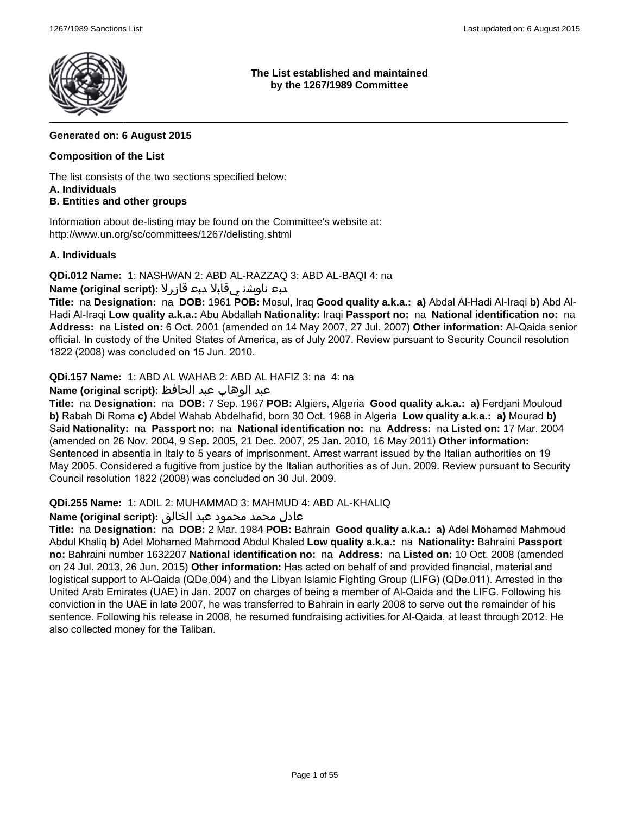

**The List established and maintained by the 1267/1989 Committee**

### **Generated on: 6 August 2015**

### **Composition of the List**

The list consists of the two sections specified below: **A. Individuals**

## **B. Entities and other groups**

Information about de-listing may be found on the Committee's website at: http://www.un.org/sc/committees/1267/delisting.shtml

### **A. Individuals**

**QDi.012 Name:** 1: NASHWAN 2: ABD AL-RAZZAQ 3: ABD AL-BAQI 4: na

## دبع ناوشن يقابلا دبع قازرلا **:(script original (Name**

**Title:** na **Designation:** na **DOB:** 1961 **POB:** Mosul, Iraq **Good quality a.k.a.: a)** Abdal Al-Hadi Al-Iraqi **b)** Abd Al-Hadi Al-Iraqi **Low quality a.k.a.:** Abu Abdallah **Nationality:** Iraqi **Passport no:** na **National identification no:** na **Address:** na **Listed on:** 6 Oct. 2001 (amended on 14 May 2007, 27 Jul. 2007) **Other information:** Al-Qaida senior official. In custody of the United States of America, as of July 2007. Review pursuant to Security Council resolution 1822 (2008) was concluded on 15 Jun. 2010.

**QDi.157 Name:** 1: ABD AL WAHAB 2: ABD AL HAFIZ 3: na 4: na

## عبد الوهاب عبد الحافظ **:(script original (Name**

**Title:** na **Designation:** na **DOB:** 7 Sep. 1967 **POB:** Algiers, Algeria **Good quality a.k.a.: a)** Ferdjani Mouloud **b)** Rabah Di Roma **c)** Abdel Wahab Abdelhafid, born 30 Oct. 1968 in Algeria **Low quality a.k.a.: a)** Mourad **b)** Said **Nationality:** na **Passport no:** na **National identification no:** na **Address:** na **Listed on:** 17 Mar. 2004 (amended on 26 Nov. 2004, 9 Sep. 2005, 21 Dec. 2007, 25 Jan. 2010, 16 May 2011) **Other information:** Sentenced in absentia in Italy to 5 years of imprisonment. Arrest warrant issued by the Italian authorities on 19 May 2005. Considered a fugitive from justice by the Italian authorities as of Jun. 2009. Review pursuant to Security Council resolution 1822 (2008) was concluded on 30 Jul. 2009.

#### **QDi.255 Name:** 1: ADIL 2: MUHAMMAD 3: MAHMUD 4: ABD AL-KHALIQ

#### عادل محمد محمود عبد الخالق **:(script original (Name**

**Title:** na **Designation:** na **DOB:** 2 Mar. 1984 **POB:** Bahrain **Good quality a.k.a.: a)** Adel Mohamed Mahmoud Abdul Khaliq **b)** Adel Mohamed Mahmood Abdul Khaled **Low quality a.k.a.:** na **Nationality:** Bahraini **Passport no:** Bahraini number 1632207 **National identification no:** na **Address:** na **Listed on:** 10 Oct. 2008 (amended on 24 Jul. 2013, 26 Jun. 2015) **Other information:** Has acted on behalf of and provided financial, material and logistical support to Al-Qaida (QDe.004) and the Libyan Islamic Fighting Group (LIFG) (QDe.011). Arrested in the United Arab Emirates (UAE) in Jan. 2007 on charges of being a member of Al-Qaida and the LIFG. Following his conviction in the UAE in late 2007, he was transferred to Bahrain in early 2008 to serve out the remainder of his sentence. Following his release in 2008, he resumed fundraising activities for Al-Qaida, at least through 2012. He also collected money for the Taliban.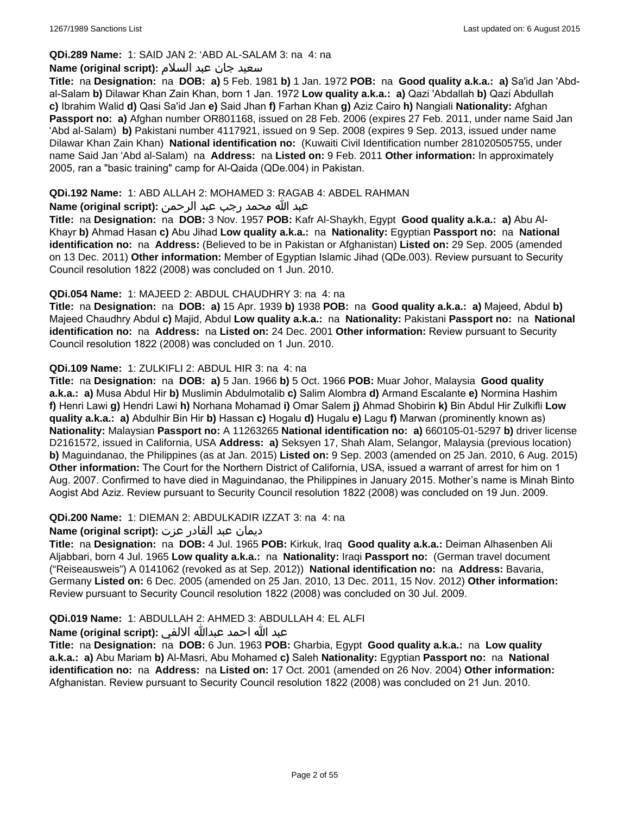## **QDi.289 Name:** 1: SAID JAN 2: 'ABD AL-SALAM 3: na 4: na

#### سعید جان عبد السلام **:(script original (Name**

**Title:** na **Designation:** na **DOB: a)** 5 Feb. 1981 **b)** 1 Jan. 1972 **POB:** na **Good quality a.k.a.: a)** Sa'id Jan 'Abdal-Salam **b)** Dilawar Khan Zain Khan, born 1 Jan. 1972 **Low quality a.k.a.: a)** Qazi 'Abdallah **b)** Qazi Abdullah **c)** Ibrahim Walid **d)** Qasi Sa'id Jan **e)** Said Jhan **f)** Farhan Khan **g)** Aziz Cairo **h)** Nangiali **Nationality:** Afghan **Passport no: a)** Afghan number OR801168, issued on 28 Feb. 2006 (expires 27 Feb. 2011, under name Said Jan 'Abd al-Salam) **b)** Pakistani number 4117921, issued on 9 Sep. 2008 (expires 9 Sep. 2013, issued under name Dilawar Khan Zain Khan) **National identification no:** (Kuwaiti Civil Identification number 281020505755, under name Said Jan 'Abd al-Salam) na **Address:** na **Listed on:** 9 Feb. 2011 **Other information:** In approximately 2005, ran a "basic training" camp for Al-Qaida (QDe.004) in Pakistan.

### **QDi.192 Name:** 1: ABD ALLAH 2: MOHAMED 3: RAGAB 4: ABDEL RAHMAN

## عبد الله محمد رجب عبد الرحمن **:(script original (Name**

**Title:** na **Designation:** na **DOB:** 3 Nov. 1957 **POB:** Kafr Al-Shaykh, Egypt **Good quality a.k.a.: a)** Abu Al-Khayr **b)** Ahmad Hasan **c)** Abu Jihad **Low quality a.k.a.:** na **Nationality:** Egyptian **Passport no:** na **National identification no:** na **Address:** (Believed to be in Pakistan or Afghanistan) **Listed on:** 29 Sep. 2005 (amended on 13 Dec. 2011) **Other information:** Member of Egyptian Islamic Jihad (QDe.003). Review pursuant to Security Council resolution 1822 (2008) was concluded on 1 Jun. 2010.

### **QDi.054 Name:** 1: MAJEED 2: ABDUL CHAUDHRY 3: na 4: na

**Title:** na **Designation:** na **DOB: a)** 15 Apr. 1939 **b)** 1938 **POB:** na **Good quality a.k.a.: a)** Majeed, Abdul **b)** Majeed Chaudhry Abdul **c)** Majid, Abdul **Low quality a.k.a.:** na **Nationality:** Pakistani **Passport no:** na **National identification no:** na **Address:** na **Listed on:** 24 Dec. 2001 **Other information:** Review pursuant to Security Council resolution 1822 (2008) was concluded on 1 Jun. 2010.

### **QDi.109 Name:** 1: ZULKIFLI 2: ABDUL HIR 3: na 4: na

**Title:** na **Designation:** na **DOB: a)** 5 Jan. 1966 **b)** 5 Oct. 1966 **POB:** Muar Johor, Malaysia **Good quality a.k.a.: a)** Musa Abdul Hir **b)** Muslimin Abdulmotalib **c)** Salim Alombra **d)** Armand Escalante **e)** Normina Hashim **f)** Henri Lawi **g)** Hendri Lawi **h)** Norhana Mohamad **i)** Omar Salem **j)** Ahmad Shobirin **k)** Bin Abdul Hir Zulkifli **Low quality a.k.a.: a)** Abdulhir Bin Hir **b)** Hassan **c)** Hogalu **d)** Hugalu **e)** Lagu **f)** Marwan (prominently known as) **Nationality:** Malaysian **Passport no:** A 11263265 **National identification no: a)** 660105-01-5297 **b)** driver license D2161572, issued in California, USA **Address: a)** Seksyen 17, Shah Alam, Selangor, Malaysia (previous location) **b)** Maguindanao, the Philippines (as at Jan. 2015) **Listed on:** 9 Sep. 2003 (amended on 25 Jan. 2010, 6 Aug. 2015) **Other information:** The Court for the Northern District of California, USA, issued a warrant of arrest for him on 1 Aug. 2007. Confirmed to have died in Maguindanao, the Philippines in January 2015. Mother's name is Minah Binto Aogist Abd Aziz. Review pursuant to Security Council resolution 1822 (2008) was concluded on 19 Jun. 2009.

## **QDi.200 Name:** 1: DIEMAN 2: ABDULKADIR IZZAT 3: na 4: na

## ديمان عبد القادر عزت **:(script original (Name**

**Title:** na **Designation:** na **DOB:** 4 Jul. 1965 **POB:** Kirkuk, Iraq **Good quality a.k.a.:** Deiman Alhasenben Ali Aljabbari, born 4 Jul. 1965 **Low quality a.k.a.:** na **Nationality:** Iraqi **Passport no:** (German travel document ("Reiseausweis") A 0141062 (revoked as at Sep. 2012)) **National identification no:** na **Address:** Bavaria, Germany **Listed on:** 6 Dec. 2005 (amended on 25 Jan. 2010, 13 Dec. 2011, 15 Nov. 2012) **Other information:** Review pursuant to Security Council resolution 1822 (2008) was concluded on 30 Jul. 2009.

## **QDi.019 Name:** 1: ABDULLAH 2: AHMED 3: ABDULLAH 4: EL ALFI

## عبد الله احمد عبدالله الالفي **:(script original (Name**

**Title:** na **Designation:** na **DOB:** 6 Jun. 1963 **POB:** Gharbia, Egypt **Good quality a.k.a.:** na **Low quality a.k.a.: a)** Abu Mariam **b)** Al-Masri, Abu Mohamed **c)** Saleh **Nationality:** Egyptian **Passport no:** na **National identification no:** na **Address:** na **Listed on:** 17 Oct. 2001 (amended on 26 Nov. 2004) **Other information:** Afghanistan. Review pursuant to Security Council resolution 1822 (2008) was concluded on 21 Jun. 2010.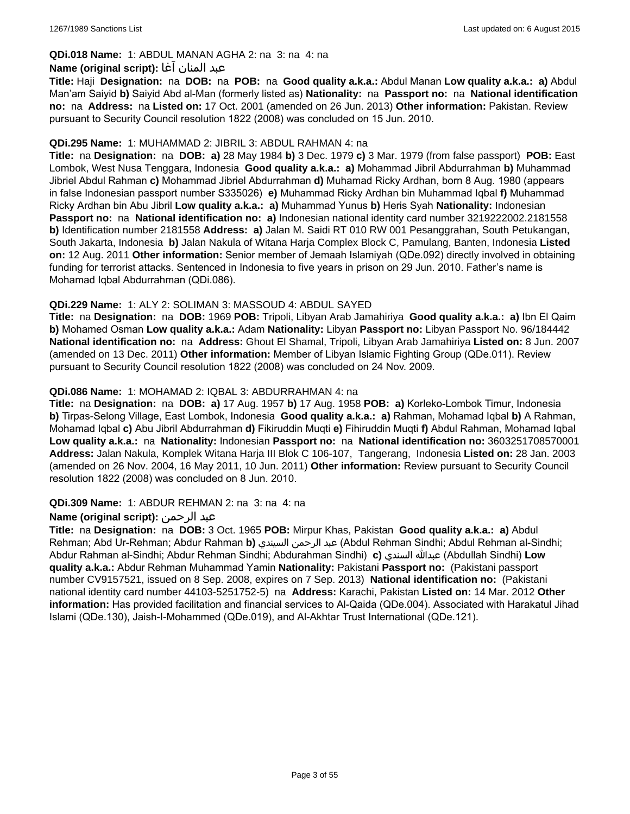## **QDi.018 Name:** 1: ABDUL MANAN AGHA 2: na 3: na 4: na

### عبد المنان آغا **:(script original (Name**

**Title:** Haji **Designation:** na **DOB:** na **POB:** na **Good quality a.k.a.:** Abdul Manan **Low quality a.k.a.: a)** Abdul Man'am Saiyid **b)** Saiyid Abd al-Man (formerly listed as) **Nationality:** na **Passport no:** na **National identification no:** na **Address:** na **Listed on:** 17 Oct. 2001 (amended on 26 Jun. 2013) **Other information:** Pakistan. Review pursuant to Security Council resolution 1822 (2008) was concluded on 15 Jun. 2010.

### **QDi.295 Name:** 1: MUHAMMAD 2: JIBRIL 3: ABDUL RAHMAN 4: na

**Title:** na **Designation:** na **DOB: a)** 28 May 1984 **b)** 3 Dec. 1979 **c)** 3 Mar. 1979 (from false passport) **POB:** East Lombok, West Nusa Tenggara, Indonesia **Good quality a.k.a.: a)** Mohammad Jibril Abdurrahman **b)** Muhammad Jibriel Abdul Rahman **c)** Mohammad Jibriel Abdurrahman **d)** Muhamad Ricky Ardhan, born 8 Aug. 1980 (appears in false Indonesian passport number S335026) **e)** Muhammad Ricky Ardhan bin Muhammad Iqbal **f)** Muhammad Ricky Ardhan bin Abu Jibril **Low quality a.k.a.: a)** Muhammad Yunus **b)** Heris Syah **Nationality:** Indonesian **Passport no:** na **National identification no: a)** Indonesian national identity card number 3219222002.2181558 **b)** Identification number 2181558 **Address: a)** Jalan M. Saidi RT 010 RW 001 Pesanggrahan, South Petukangan, South Jakarta, Indonesia **b)** Jalan Nakula of Witana Harja Complex Block C, Pamulang, Banten, Indonesia **Listed on:** 12 Aug. 2011 **Other information:** Senior member of Jemaah Islamiyah (QDe.092) directly involved in obtaining funding for terrorist attacks. Sentenced in Indonesia to five years in prison on 29 Jun. 2010. Father's name is Mohamad Iqbal Abdurrahman (QDi.086).

## **QDi.229 Name:** 1: ALY 2: SOLIMAN 3: MASSOUD 4: ABDUL SAYED

**Title:** na **Designation:** na **DOB:** 1969 **POB:** Tripoli, Libyan Arab Jamahiriya **Good quality a.k.a.: a)** Ibn El Qaim **b)** Mohamed Osman **Low quality a.k.a.:** Adam **Nationality:** Libyan **Passport no:** Libyan Passport No. 96/184442 **National identification no:** na **Address:** Ghout El Shamal, Tripoli, Libyan Arab Jamahiriya **Listed on:** 8 Jun. 2007 (amended on 13 Dec. 2011) **Other information:** Member of Libyan Islamic Fighting Group (QDe.011). Review pursuant to Security Council resolution 1822 (2008) was concluded on 24 Nov. 2009.

### **QDi.086 Name:** 1: MOHAMAD 2: IQBAL 3: ABDURRAHMAN 4: na

**Title:** na **Designation:** na **DOB: a)** 17 Aug. 1957 **b)** 17 Aug. 1958 **POB: a)** Korleko-Lombok Timur, Indonesia **b)** Tirpas-Selong Village, East Lombok, Indonesia **Good quality a.k.a.: a)** Rahman, Mohamad Iqbal **b)** A Rahman, Mohamad Iqbal **c)** Abu Jibril Abdurrahman **d)** Fikiruddin Muqti **e)** Fihiruddin Muqti **f)** Abdul Rahman, Mohamad Iqbal **Low quality a.k.a.:** na **Nationality:** Indonesian **Passport no:** na **National identification no:** 3603251708570001 **Address:** Jalan Nakula, Komplek Witana Harja III Blok C 106-107, Tangerang, Indonesia **Listed on:** 28 Jan. 2003 (amended on 26 Nov. 2004, 16 May 2011, 10 Jun. 2011) **Other information:** Review pursuant to Security Council resolution 1822 (2008) was concluded on 8 Jun. 2010.

#### **QDi.309 Name:** 1: ABDUR REHMAN 2: na 3: na 4: na

## **Name (original script):** الرحمن عبد

**Title:** na **Designation:** na **DOB:** 3 Oct. 1965 **POB:** Mirpur Khas, Pakistan **Good quality a.k.a.: a)** Abdul Rehman; Abd Ur-Rehman; Abdur Rahman **b)** السيندي الرحمن عبد) Abdul Rehman Sindhi; Abdul Rehman al-Sindhi; Abdur Rahman al-Sindhi; Abdur Rehman Sindhi; Abdurahman Sindhi) **c)** السندي عبدالله) Abdullah Sindhi) **Low quality a.k.a.:** Abdur Rehman Muhammad Yamin **Nationality:** Pakistani **Passport no:** (Pakistani passport number CV9157521, issued on 8 Sep. 2008, expires on 7 Sep. 2013) **National identification no:** (Pakistani national identity card number 44103-5251752-5) na **Address:** Karachi, Pakistan **Listed on:** 14 Mar. 2012 **Other information:** Has provided facilitation and financial services to Al-Qaida (QDe.004). Associated with Harakatul Jihad Islami (QDe.130), Jaish-I-Mohammed (QDe.019), and Al-Akhtar Trust International (QDe.121).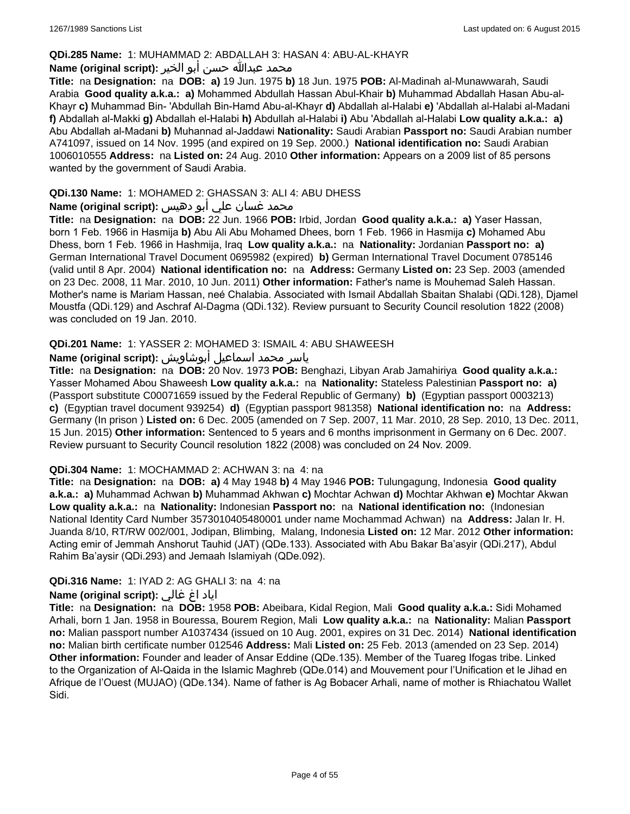#### **QDi.285 Name:** 1: MUHAMMAD 2: ABDALLAH 3: HASAN 4: ABU-AL-KHAYR

#### محمد عبدالله حسن أبو الخير **:Name (original script**)

**Title:** na **Designation:** na **DOB: a)** 19 Jun. 1975 **b)** 18 Jun. 1975 **POB:** Al-Madinah al-Munawwarah, Saudi Arabia **Good quality a.k.a.: a)** Mohammed Abdullah Hassan Abul-Khair **b)** Muhammad Abdallah Hasan Abu-al-Khayr **c)** Muhammad Bin- 'Abdullah Bin-Hamd Abu-al-Khayr **d)** Abdallah al-Halabi **e)** 'Abdallah al-Halabi al-Madani **f)** Abdallah al-Makki **g)** Abdallah el-Halabi **h)** Abdullah al-Halabi **i)** Abu 'Abdallah al-Halabi **Low quality a.k.a.: a)** Abu Abdallah al-Madani **b)** Muhannad al-Jaddawi **Nationality:** Saudi Arabian **Passport no:** Saudi Arabian number A741097, issued on 14 Nov. 1995 (and expired on 19 Sep. 2000.) **National identification no:** Saudi Arabian 1006010555 **Address:** na **Listed on:** 24 Aug. 2010 **Other information:** Appears on a 2009 list of 85 persons wanted by the government of Saudi Arabia.

### **QDi.130 Name:** 1: MOHAMED 2: GHASSAN 3: ALI 4: ABU DHESS

## محمد غسان علي أبو دهيس **:Name (original script**)

**Title:** na **Designation:** na **DOB:** 22 Jun. 1966 **POB:** Irbid, Jordan **Good quality a.k.a.: a)** Yaser Hassan, born 1 Feb. 1966 in Hasmija **b)** Abu Ali Abu Mohamed Dhees, born 1 Feb. 1966 in Hasmija **c)** Mohamed Abu Dhess, born 1 Feb. 1966 in Hashmija, Iraq **Low quality a.k.a.:** na **Nationality:** Jordanian **Passport no: a)** German International Travel Document 0695982 (expired) **b)** German International Travel Document 0785146 (valid until 8 Apr. 2004) **National identification no:** na **Address:** Germany **Listed on:** 23 Sep. 2003 (amended on 23 Dec. 2008, 11 Mar. 2010, 10 Jun. 2011) **Other information:** Father's name is Mouhemad Saleh Hassan. Mother's name is Mariam Hassan, neé Chalabia. Associated with Ismail Abdallah Sbaitan Shalabi (QDi.128), Djamel Moustfa (QDi.129) and Aschraf Al-Dagma (QDi.132). Review pursuant to Security Council resolution 1822 (2008) was concluded on 19 Jan. 2010.

## **QDi.201 Name:** 1: YASSER 2: MOHAMED 3: ISMAIL 4: ABU SHAWEESH

# ياسر محمد اسماعيل أبوشاويش :Name (original script)

**Title:** na **Designation:** na **DOB:** 20 Nov. 1973 **POB:** Benghazi, Libyan Arab Jamahiriya **Good quality a.k.a.:** Yasser Mohamed Abou Shaweesh **Low quality a.k.a.:** na **Nationality:** Stateless Palestinian **Passport no: a)**  (Passport substitute C00071659 issued by the Federal Republic of Germany) **b)** (Egyptian passport 0003213) **c)** (Egyptian travel document 939254) **d)** (Egyptian passport 981358) **National identification no:** na **Address:** Germany (In prison ) **Listed on:** 6 Dec. 2005 (amended on 7 Sep. 2007, 11 Mar. 2010, 28 Sep. 2010, 13 Dec. 2011, 15 Jun. 2015) **Other information:** Sentenced to 5 years and 6 months imprisonment in Germany on 6 Dec. 2007. Review pursuant to Security Council resolution 1822 (2008) was concluded on 24 Nov. 2009.

#### **QDi.304 Name:** 1: MOCHAMMAD 2: ACHWAN 3: na 4: na

**Title:** na **Designation:** na **DOB: a)** 4 May 1948 **b)** 4 May 1946 **POB:** Tulungagung, Indonesia **Good quality a.k.a.: a)** Muhammad Achwan **b)** Muhammad Akhwan **c)** Mochtar Achwan **d)** Mochtar Akhwan **e)** Mochtar Akwan **Low quality a.k.a.:** na **Nationality:** Indonesian **Passport no:** na **National identification no:** (Indonesian National Identity Card Number 3573010405480001 under name Mochammad Achwan) na **Address:** Jalan Ir. H. Juanda 8/10, RT/RW 002/001, Jodipan, Blimbing, Malang, Indonesia **Listed on:** 12 Mar. 2012 **Other information:** Acting emir of Jemmah Anshorut Tauhid (JAT) (QDe.133). Associated with Abu Bakar Ba'asyir (QDi.217), Abdul Rahim Ba'aysir (QDi.293) and Jemaah Islamiyah (QDe.092).

#### **QDi.316 Name:** 1: IYAD 2: AG GHALI 3: na 4: na

#### اياد اغ غالي **:(script original (Name**

**Title:** na **Designation:** na **DOB:** 1958 **POB:** Abeibara, Kidal Region, Mali **Good quality a.k.a.:** Sidi Mohamed Arhali, born 1 Jan. 1958 in Bouressa, Bourem Region, Mali **Low quality a.k.a.:** na **Nationality:** Malian **Passport no:** Malian passport number A1037434 (issued on 10 Aug. 2001, expires on 31 Dec. 2014) **National identification no:** Malian birth certificate number 012546 **Address:** Mali **Listed on:** 25 Feb. 2013 (amended on 23 Sep. 2014) **Other information:** Founder and leader of Ansar Eddine (QDe.135). Member of the Tuareg Ifogas tribe. Linked to the Organization of Al-Qaida in the Islamic Maghreb (QDe.014) and Mouvement pour l'Unification et le Jihad en Afrique de l'Ouest (MUJAO) (QDe.134). Name of father is Ag Bobacer Arhali, name of mother is Rhiachatou Wallet Sidi.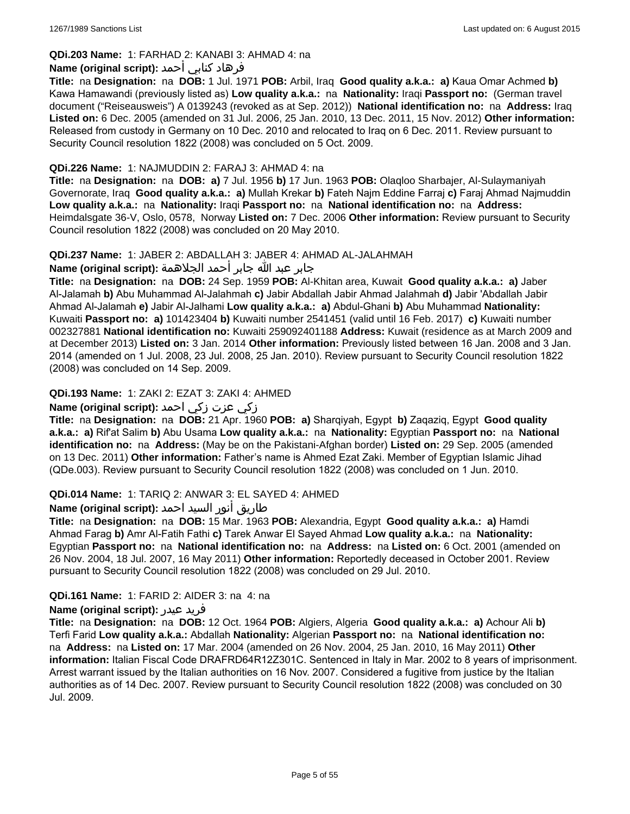## **QDi.203 Name:** 1: FARHAD 2: KANABI 3: AHMAD 4: na

## فرهاد كنابي أحمد **:Name (original script)**

**Title:** na **Designation:** na **DOB:** 1 Jul. 1971 **POB:** Arbil, Iraq **Good quality a.k.a.: a)** Kaua Omar Achmed **b)** Kawa Hamawandi (previously listed as) **Low quality a.k.a.:** na **Nationality:** Iraqi **Passport no:** (German travel document ("Reiseausweis") A 0139243 (revoked as at Sep. 2012)) **National identification no:** na **Address:** Iraq **Listed on:** 6 Dec. 2005 (amended on 31 Jul. 2006, 25 Jan. 2010, 13 Dec. 2011, 15 Nov. 2012) **Other information:** Released from custody in Germany on 10 Dec. 2010 and relocated to Iraq on 6 Dec. 2011. Review pursuant to Security Council resolution 1822 (2008) was concluded on 5 Oct. 2009.

### **QDi.226 Name:** 1: NAJMUDDIN 2: FARAJ 3: AHMAD 4: na

**Title:** na **Designation:** na **DOB: a)** 7 Jul. 1956 **b)** 17 Jun. 1963 **POB:** Olaqloo Sharbajer, Al-Sulaymaniyah Governorate, Iraq **Good quality a.k.a.: a)** Mullah Krekar **b)** Fateh Najm Eddine Farraj **c)** Faraj Ahmad Najmuddin **Low quality a.k.a.:** na **Nationality:** Iraqi **Passport no:** na **National identification no:** na **Address:** Heimdalsgate 36-V, Oslo, 0578, Norway **Listed on:** 7 Dec. 2006 **Other information:** Review pursuant to Security Council resolution 1822 (2008) was concluded on 20 May 2010.

### **QDi.237 Name:** 1: JABER 2: ABDALLAH 3: JABER 4: AHMAD AL-JALAHMAH

جابر عبد الله جابر أحمد الجلاهمة **:(script original (Name**

**Title:** na **Designation:** na **DOB:** 24 Sep. 1959 **POB:** Al-Khitan area, Kuwait **Good quality a.k.a.: a)** Jaber Al-Jalamah **b)** Abu Muhammad Al-Jalahmah **c)** Jabir Abdallah Jabir Ahmad Jalahmah **d)** Jabir 'Abdallah Jabir Ahmad Al-Jalamah **e)** Jabir Al-Jalhami **Low quality a.k.a.: a)** Abdul-Ghani **b)** Abu Muhammad **Nationality:** Kuwaiti **Passport no: a)** 101423404 **b)** Kuwaiti number 2541451 (valid until 16 Feb. 2017) **c)** Kuwaiti number 002327881 **National identification no:** Kuwaiti 259092401188 **Address:** Kuwait (residence as at March 2009 and at December 2013) **Listed on:** 3 Jan. 2014 **Other information:** Previously listed between 16 Jan. 2008 and 3 Jan. 2014 (amended on 1 Jul. 2008, 23 Jul. 2008, 25 Jan. 2010). Review pursuant to Security Council resolution 1822 (2008) was concluded on 14 Sep. 2009.

## **QDi.193 Name:** 1: ZAKI 2: EZAT 3: ZAKI 4: AHMED

### زكي عزت زكي احمد **:(script original (Name**

**Title:** na **Designation:** na **DOB:** 21 Apr. 1960 **POB: a)** Sharqiyah, Egypt **b)** Zaqaziq, Egypt **Good quality a.k.a.: a)** Rif'at Salim **b)** Abu Usama **Low quality a.k.a.:** na **Nationality:** Egyptian **Passport no:** na **National identification no:** na **Address:** (May be on the Pakistani-Afghan border) **Listed on:** 29 Sep. 2005 (amended on 13 Dec. 2011) **Other information:** Father's name is Ahmed Ezat Zaki. Member of Egyptian Islamic Jihad (QDe.003). Review pursuant to Security Council resolution 1822 (2008) was concluded on 1 Jun. 2010.

## **QDi.014 Name:** 1: TARIQ 2: ANWAR 3: EL SAYED 4: AHMED

## طاريق أنور السيد احمد **:Name (original script**)

**Title:** na **Designation:** na **DOB:** 15 Mar. 1963 **POB:** Alexandria, Egypt **Good quality a.k.a.: a)** Hamdi Ahmad Farag **b)** Amr Al-Fatih Fathi **c)** Tarek Anwar El Sayed Ahmad **Low quality a.k.a.:** na **Nationality:** Egyptian **Passport no:** na **National identification no:** na **Address:** na **Listed on:** 6 Oct. 2001 (amended on 26 Nov. 2004, 18 Jul. 2007, 16 May 2011) **Other information:** Reportedly deceased in October 2001. Review pursuant to Security Council resolution 1822 (2008) was concluded on 29 Jul. 2010.

## **QDi.161 Name:** 1: FARID 2: AIDER 3: na 4: na

#### **Name (original script):** عيدر فريد

**Title:** na **Designation:** na **DOB:** 12 Oct. 1964 **POB:** Algiers, Algeria **Good quality a.k.a.: a)** Achour Ali **b)** Terfi Farid **Low quality a.k.a.:** Abdallah **Nationality:** Algerian **Passport no:** na **National identification no:**  na **Address:** na **Listed on:** 17 Mar. 2004 (amended on 26 Nov. 2004, 25 Jan. 2010, 16 May 2011) **Other information:** Italian Fiscal Code DRAFRD64R12Z301C. Sentenced in Italy in Mar. 2002 to 8 years of imprisonment. Arrest warrant issued by the Italian authorities on 16 Nov. 2007. Considered a fugitive from justice by the Italian authorities as of 14 Dec. 2007. Review pursuant to Security Council resolution 1822 (2008) was concluded on 30 Jul. 2009.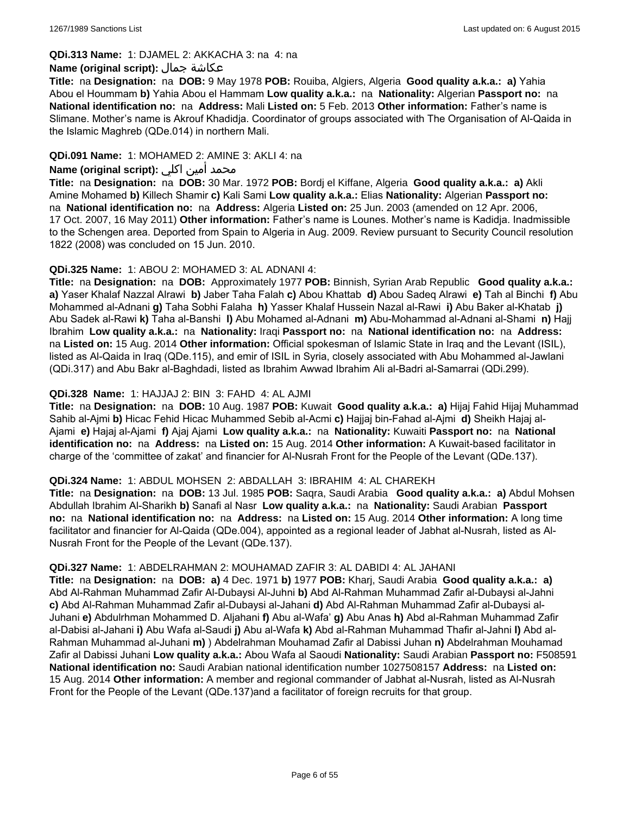#### **QDi.313 Name:** 1: DJAMEL 2: AKKACHA 3: na 4: na

#### **Name (original script):** جمال عكاشة

**Title:** na **Designation:** na **DOB:** 9 May 1978 **POB:** Rouiba, Algiers, Algeria **Good quality a.k.a.: a)** Yahia Abou el Hoummam **b)** Yahia Abou el Hammam **Low quality a.k.a.:** na **Nationality:** Algerian **Passport no:** na **National identification no:** na **Address:** Mali **Listed on:** 5 Feb. 2013 **Other information:** Father's name is Slimane. Mother's name is Akrouf Khadidja. Coordinator of groups associated with The Organisation of Al-Qaida in the Islamic Maghreb (QDe.014) in northern Mali.

### **QDi.091 Name:** 1: MOHAMED 2: AMINE 3: AKLI 4: na

## محمد أمين اكلي **:Name (original script)**

**Title:** na **Designation:** na **DOB:** 30 Mar. 1972 **POB:** Bordj el Kiffane, Algeria **Good quality a.k.a.: a)** Akli Amine Mohamed **b)** Killech Shamir **c)** Kali Sami **Low quality a.k.a.:** Elias **Nationality:** Algerian **Passport no:**  na **National identification no:** na **Address:** Algeria **Listed on:** 25 Jun. 2003 (amended on 12 Apr. 2006, 17 Oct. 2007, 16 May 2011) **Other information:** Father's name is Lounes. Mother's name is Kadidja. Inadmissible to the Schengen area. Deported from Spain to Algeria in Aug. 2009. Review pursuant to Security Council resolution 1822 (2008) was concluded on 15 Jun. 2010.

#### **QDi.325 Name:** 1: ABOU 2: MOHAMED 3: AL ADNANI 4:

**Title:** na **Designation:** na **DOB:** Approximately 1977 **POB:** Binnish, Syrian Arab Republic **Good quality a.k.a.: a)** Yaser Khalaf Nazzal Alrawi **b)** Jaber Taha Falah **c)** Abou Khattab **d)** Abou Sadeq Alrawi **e)** Tah al Binchi **f)** Abu Mohammed al-Adnani **g)** Taha Sobhi Falaha **h)** Yasser Khalaf Hussein Nazal al-Rawi **i)** Abu Baker al-Khatab **j)** Abu Sadek al-Rawi **k)** Taha al-Banshi **l)** Abu Mohamed al-Adnani **m)** Abu-Mohammad al-Adnani al-Shami **n)** Hajj Ibrahim **Low quality a.k.a.:** na **Nationality:** Iraqi **Passport no:** na **National identification no:** na **Address:**  na **Listed on:** 15 Aug. 2014 **Other information:** Official spokesman of Islamic State in Iraq and the Levant (ISIL), listed as Al-Qaida in Iraq (QDe.115), and emir of ISIL in Syria, closely associated with Abu Mohammed al-Jawlani (QDi.317) and Abu Bakr al-Baghdadi, listed as Ibrahim Awwad Ibrahim Ali al-Badri al-Samarrai (QDi.299).

### **QDi.328 Name:** 1: HAJJAJ 2: BIN 3: FAHD 4: AL AJMI

**Title:** na **Designation:** na **DOB:** 10 Aug. 1987 **POB:** Kuwait **Good quality a.k.a.: a)** Hijaj Fahid Hijaj Muhammad Sahib al-Ajmi **b)** Hicac Fehid Hicac Muhammed Sebib al-Acmi **c)** Hajjaj bin-Fahad al-Ajmi **d)** Sheikh Hajaj al-Ajami **e)** Hajaj al-Ajami **f)** Ajaj Ajami **Low quality a.k.a.:** na **Nationality:** Kuwaiti **Passport no:** na **National identification no:** na **Address:** na **Listed on:** 15 Aug. 2014 **Other information:** A Kuwait-based facilitator in charge of the 'committee of zakat' and financier for Al-Nusrah Front for the People of the Levant (QDe.137).

#### **QDi.324 Name:** 1: ABDUL MOHSEN 2: ABDALLAH 3: IBRAHIM 4: AL CHAREKH

**Title:** na **Designation:** na **DOB:** 13 Jul. 1985 **POB:** Saqra, Saudi Arabia **Good quality a.k.a.: a)** Abdul Mohsen Abdullah Ibrahim Al-Sharikh **b)** Sanafi al Nasr **Low quality a.k.a.:** na **Nationality:** Saudi Arabian **Passport no:** na **National identification no:** na **Address:** na **Listed on:** 15 Aug. 2014 **Other information:** A long time facilitator and financier for Al-Qaida (QDe.004), appointed as a regional leader of Jabhat al-Nusrah, listed as Al-Nusrah Front for the People of the Levant (QDe.137).

#### **QDi.327 Name:** 1: ABDELRAHMAN 2: MOUHAMAD ZAFIR 3: AL DABIDI 4: AL JAHANI

**Title:** na **Designation:** na **DOB: a)** 4 Dec. 1971 **b)** 1977 **POB:** Kharj, Saudi Arabia **Good quality a.k.a.: a)** Abd Al-Rahman Muhammad Zafir Al-Dubaysi Al-Juhni **b)** Abd Al-Rahman Muhammad Zafir al-Dubaysi al-Jahni **c)** Abd Al-Rahman Muhammad Zafir al-Dubaysi al-Jahani **d)** Abd Al-Rahman Muhammad Zafir al-Dubaysi al-Juhani **e)** Abdulrhman Mohammed D. Aljahani **f)** Abu al-Wafa' **g)** Abu Anas **h)** Abd al-Rahman Muhammad Zafir al-Dabisi al-Jahani **i)** Abu Wafa al-Saudi **j)** Abu al-Wafa **k)** Abd al-Rahman Muhammad Thafir al-Jahni **l)** Abd al-Rahman Muhammad al-Juhani **m)** ) Abdelrahman Mouhamad Zafir al Dabissi Juhan **n)** Abdelrahman Mouhamad Zafir al Dabissi Juhani **Low quality a.k.a.:** Abou Wafa al Saoudi **Nationality:** Saudi Arabian **Passport no:** F508591 **National identification no:** Saudi Arabian national identification number 1027508157 **Address:** na **Listed on:** 15 Aug. 2014 **Other information:** A member and regional commander of Jabhat al-Nusrah, listed as Al-Nusrah Front for the People of the Levant (QDe.137)and a facilitator of foreign recruits for that group.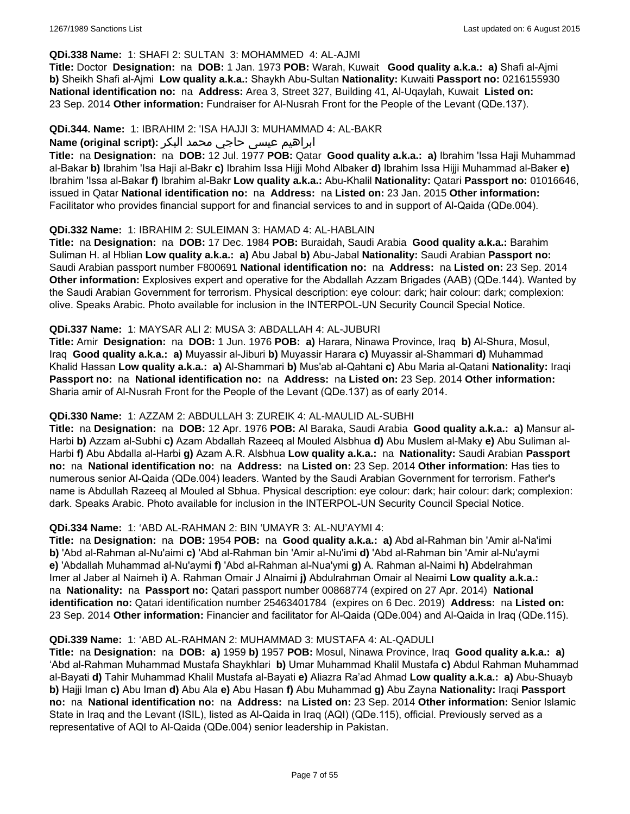### **QDi.338 Name:** 1: SHAFI 2: SULTAN 3: MOHAMMED 4: AL-AJMI

**Title:** Doctor **Designation:** na **DOB:** 1 Jan. 1973 **POB:** Warah, Kuwait **Good quality a.k.a.: a)** Shafi al-Ajmi **b)** Sheikh Shafi al-Ajmi **Low quality a.k.a.:** Shaykh Abu-Sultan **Nationality:** Kuwaiti **Passport no:** 0216155930 **National identification no:** na **Address:** Area 3, Street 327, Building 41, Al-Uqaylah, Kuwait **Listed on:** 23 Sep. 2014 **Other information:** Fundraiser for Al-Nusrah Front for the People of the Levant (QDe.137).

#### **QDi.344. Name:** 1: IBRAHIM 2: 'ISA HAJJI 3: MUHAMMAD 4: AL-BAKR

## ابراهیم عیسی حاجي محمد البکر **:(script original (Name**

**Title:** na **Designation:** na **DOB:** 12 Jul. 1977 **POB:** Qatar **Good quality a.k.a.: a)** Ibrahim 'Issa Haji Muhammad al-Bakar **b)** Ibrahim 'Isa Haji al-Bakr **c)** Ibrahim Issa Hijji Mohd Albaker **d)** Ibrahim Issa Hijji Muhammad al-Baker **e)** Ibrahim 'Issa al-Bakar **f)** Ibrahim al-Bakr **Low quality a.k.a.:** Abu-Khalil **Nationality:** Qatari **Passport no:** 01016646, issued in Qatar **National identification no:** na **Address:** na **Listed on:** 23 Jan. 2015 **Other information:** Facilitator who provides financial support for and financial services to and in support of Al-Qaida (QDe.004).

### **QDi.332 Name:** 1: IBRAHIM 2: SULEIMAN 3: HAMAD 4: AL-HABLAIN

**Title:** na **Designation:** na **DOB:** 17 Dec. 1984 **POB:** Buraidah, Saudi Arabia **Good quality a.k.a.:** Barahim Suliman H. al Hblian **Low quality a.k.a.: a)** Abu Jabal **b)** Abu-Jabal **Nationality:** Saudi Arabian **Passport no:** Saudi Arabian passport number F800691 **National identification no:** na **Address:** na **Listed on:** 23 Sep. 2014 **Other information:** Explosives expert and operative for the Abdallah Azzam Brigades (AAB) (QDe.144). Wanted by the Saudi Arabian Government for terrorism. Physical description: eye colour: dark; hair colour: dark; complexion: olive. Speaks Arabic. Photo available for inclusion in the INTERPOL-UN Security Council Special Notice.

#### **QDi.337 Name:** 1: MAYSAR ALI 2: MUSA 3: ABDALLAH 4: AL-JUBURI

**Title:** Amir **Designation:** na **DOB:** 1 Jun. 1976 **POB: a)** Harara, Ninawa Province, Iraq **b)** Al-Shura, Mosul, Iraq **Good quality a.k.a.: a)** Muyassir al-Jiburi **b)** Muyassir Harara **c)** Muyassir al-Shammari **d)** Muhammad Khalid Hassan **Low quality a.k.a.: a)** Al-Shammari **b)** Mus'ab al-Qahtani **c)** Abu Maria al-Qatani **Nationality:** Iraqi **Passport no:** na **National identification no:** na **Address:** na **Listed on:** 23 Sep. 2014 **Other information:** Sharia amir of Al-Nusrah Front for the People of the Levant (QDe.137) as of early 2014.

## **QDi.330 Name:** 1: AZZAM 2: ABDULLAH 3: ZUREIK 4: AL-MAULID AL-SUBHI

**Title:** na **Designation:** na **DOB:** 12 Apr. 1976 **POB:** Al Baraka, Saudi Arabia **Good quality a.k.a.: a)** Mansur al-Harbi **b)** Azzam al-Subhi **c)** Azam Abdallah Razeeq al Mouled Alsbhua **d)** Abu Muslem al-Maky **e)** Abu Suliman al-Harbi **f)** Abu Abdalla al-Harbi **g)** Azam A.R. Alsbhua **Low quality a.k.a.:** na **Nationality:** Saudi Arabian **Passport no:** na **National identification no:** na **Address:** na **Listed on:** 23 Sep. 2014 **Other information:** Has ties to numerous senior Al-Qaida (QDe.004) leaders. Wanted by the Saudi Arabian Government for terrorism. Father's name is Abdullah Razeeq al Mouled al Sbhua. Physical description: eye colour: dark; hair colour: dark; complexion: dark. Speaks Arabic. Photo available for inclusion in the INTERPOL-UN Security Council Special Notice.

## **QDi.334 Name:** 1: 'ABD AL-RAHMAN 2: BIN 'UMAYR 3: AL-NU'AYMI 4:

**Title:** na **Designation:** na **DOB:** 1954 **POB:** na **Good quality a.k.a.: a)** Abd al-Rahman bin 'Amir al-Na'imi **b)** 'Abd al-Rahman al-Nu'aimi **c)** 'Abd al-Rahman bin 'Amir al-Nu'imi **d)** 'Abd al-Rahman bin 'Amir al-Nu'aymi **e)** 'Abdallah Muhammad al-Nu'aymi **f)** 'Abd al-Rahman al-Nua'ymi **g)** A. Rahman al-Naimi **h)** Abdelrahman Imer al Jaber al Naimeh **i)** A. Rahman Omair J Alnaimi **j)** Abdulrahman Omair al Neaimi **Low quality a.k.a.:**  na **Nationality:** na **Passport no:** Qatari passport number 00868774 (expired on 27 Apr. 2014) **National identification no:** Qatari identification number 25463401784 (expires on 6 Dec. 2019) **Address:** na **Listed on:** 23 Sep. 2014 **Other information:** Financier and facilitator for Al-Qaida (QDe.004) and Al-Qaida in Iraq (QDe.115).

#### **QDi.339 Name:** 1: 'ABD AL-RAHMAN 2: MUHAMMAD 3: MUSTAFA 4: AL-QADULI

**Title:** na **Designation:** na **DOB: a)** 1959 **b)** 1957 **POB:** Mosul, Ninawa Province, Iraq **Good quality a.k.a.: a)** 'Abd al-Rahman Muhammad Mustafa Shaykhlari **b)** Umar Muhammad Khalil Mustafa **c)** Abdul Rahman Muhammad al-Bayati **d)** Tahir Muhammad Khalil Mustafa al-Bayati **e)** Aliazra Ra'ad Ahmad **Low quality a.k.a.: a)** Abu-Shuayb **b)** Hajji Iman **c)** Abu Iman **d)** Abu Ala **e)** Abu Hasan **f)** Abu Muhammad **g)** Abu Zayna **Nationality:** Iraqi **Passport no:** na **National identification no:** na **Address:** na **Listed on:** 23 Sep. 2014 **Other information:** Senior Islamic State in Iraq and the Levant (ISIL), listed as Al-Qaida in Iraq (AQI) (QDe.115), official. Previously served as a representative of AQI to Al-Qaida (QDe.004) senior leadership in Pakistan.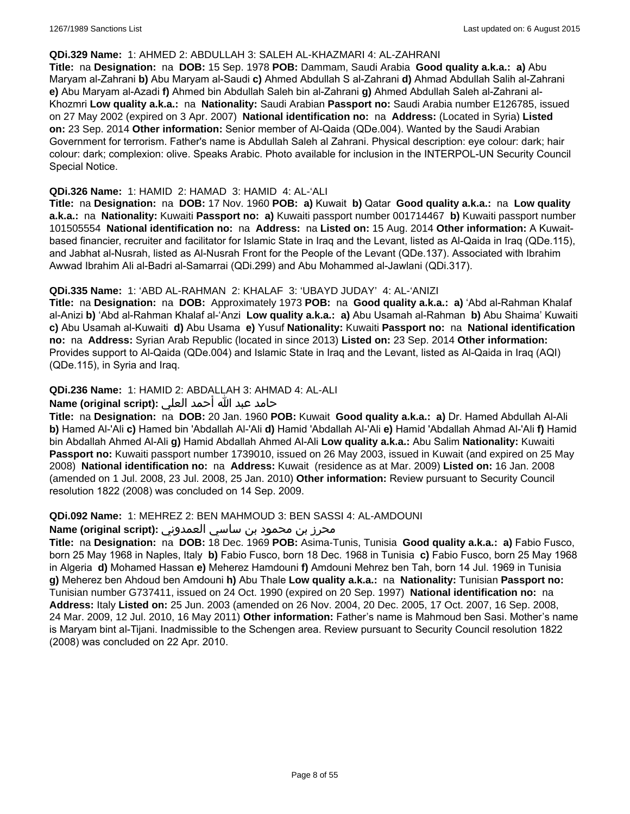#### **QDi.329 Name:** 1: AHMED 2: ABDULLAH 3: SALEH AL-KHAZMARI 4: AL-ZAHRANI

**Title:** na **Designation:** na **DOB:** 15 Sep. 1978 **POB:** Dammam, Saudi Arabia **Good quality a.k.a.: a)** Abu Maryam al-Zahrani **b)** Abu Maryam al-Saudi **c)** Ahmed Abdullah S al-Zahrani **d)** Ahmad Abdullah Salih al-Zahrani **e)** Abu Maryam al-Azadi **f)** Ahmed bin Abdullah Saleh bin al-Zahrani **g)** Ahmed Abdullah Saleh al-Zahrani al-Khozmri **Low quality a.k.a.:** na **Nationality:** Saudi Arabian **Passport no:** Saudi Arabia number E126785, issued on 27 May 2002 (expired on 3 Apr. 2007) **National identification no:** na **Address:** (Located in Syria) **Listed on:** 23 Sep. 2014 **Other information:** Senior member of Al-Qaida (QDe.004). Wanted by the Saudi Arabian Government for terrorism. Father's name is Abdullah Saleh al Zahrani. Physical description: eye colour: dark; hair colour: dark; complexion: olive. Speaks Arabic. Photo available for inclusion in the INTERPOL-UN Security Council Special Notice.

#### **QDi.326 Name:** 1: HAMID 2: HAMAD 3: HAMID 4: AL-'ALI

**Title:** na **Designation:** na **DOB:** 17 Nov. 1960 **POB: a)** Kuwait **b)** Qatar **Good quality a.k.a.:** na **Low quality a.k.a.:** na **Nationality:** Kuwaiti **Passport no: a)** Kuwaiti passport number 001714467 **b)** Kuwaiti passport number 101505554 **National identification no:** na **Address:** na **Listed on:** 15 Aug. 2014 **Other information:** A Kuwaitbased financier, recruiter and facilitator for Islamic State in Iraq and the Levant, listed as Al-Qaida in Iraq (QDe.115), and Jabhat al-Nusrah, listed as Al-Nusrah Front for the People of the Levant (QDe.137). Associated with Ibrahim Awwad Ibrahim Ali al-Badri al-Samarrai (QDi.299) and Abu Mohammed al-Jawlani (QDi.317).

## **QDi.335 Name:** 1: 'ABD AL-RAHMAN 2: KHALAF 3: 'UBAYD JUDAY' 4: AL-'ANIZI

**Title:** na **Designation:** na **DOB:** Approximately 1973 **POB:** na **Good quality a.k.a.: a)** 'Abd al-Rahman Khalaf al-Anizi **b)** 'Abd al-Rahman Khalaf al-'Anzi **Low quality a.k.a.: a)** Abu Usamah al-Rahman **b)** Abu Shaima' Kuwaiti **c)** Abu Usamah al-Kuwaiti **d)** Abu Usama **e)** Yusuf **Nationality:** Kuwaiti **Passport no:** na **National identification no:** na **Address:** Syrian Arab Republic (located in since 2013) **Listed on:** 23 Sep. 2014 **Other information:** Provides support to Al-Qaida (QDe.004) and Islamic State in Iraq and the Levant, listed as Al-Qaida in Iraq (AQI) (QDe.115), in Syria and Iraq.

## **QDi.236 Name:** 1: HAMID 2: ABDALLAH 3: AHMAD 4: AL-ALI

## حامد عبد الله أحمد العلي **:(script original (Name**

**Title:** na **Designation:** na **DOB:** 20 Jan. 1960 **POB:** Kuwait **Good quality a.k.a.: a)** Dr. Hamed Abdullah Al-Ali **b)** Hamed Al-'Ali **c)** Hamed bin 'Abdallah Al-'Ali **d)** Hamid 'Abdallah Al-'Ali **e)** Hamid 'Abdallah Ahmad Al-'Ali **f)** Hamid bin Abdallah Ahmed Al-Ali **g)** Hamid Abdallah Ahmed Al-Ali **Low quality a.k.a.:** Abu Salim **Nationality:** Kuwaiti **Passport no:** Kuwaiti passport number 1739010, issued on 26 May 2003, issued in Kuwait (and expired on 25 May 2008) **National identification no:** na **Address:** Kuwait (residence as at Mar. 2009) **Listed on:** 16 Jan. 2008 (amended on 1 Jul. 2008, 23 Jul. 2008, 25 Jan. 2010) **Other information:** Review pursuant to Security Council resolution 1822 (2008) was concluded on 14 Sep. 2009.

#### **QDi.092 Name:** 1: MEHREZ 2: BEN MAHMOUD 3: BEN SASSI 4: AL-AMDOUNI

### محرز بن محمود بن ساسي العمدوني **:Name (original script**)

**Title:** na **Designation:** na **DOB:** 18 Dec. 1969 **POB:** Asima-Tunis, Tunisia **Good quality a.k.a.: a)** Fabio Fusco, born 25 May 1968 in Naples, Italy **b)** Fabio Fusco, born 18 Dec. 1968 in Tunisia **c)** Fabio Fusco, born 25 May 1968 in Algeria **d)** Mohamed Hassan **e)** Meherez Hamdouni **f)** Amdouni Mehrez ben Tah, born 14 Jul. 1969 in Tunisia **g)** Meherez ben Ahdoud ben Amdouni **h)** Abu Thale **Low quality a.k.a.:** na **Nationality:** Tunisian **Passport no:** Tunisian number G737411, issued on 24 Oct. 1990 (expired on 20 Sep. 1997) **National identification no:** na **Address:** Italy **Listed on:** 25 Jun. 2003 (amended on 26 Nov. 2004, 20 Dec. 2005, 17 Oct. 2007, 16 Sep. 2008, 24 Mar. 2009, 12 Jul. 2010, 16 May 2011) **Other information:** Father's name is Mahmoud ben Sasi. Mother's name is Maryam bint al-Tijani. Inadmissible to the Schengen area. Review pursuant to Security Council resolution 1822 (2008) was concluded on 22 Apr. 2010.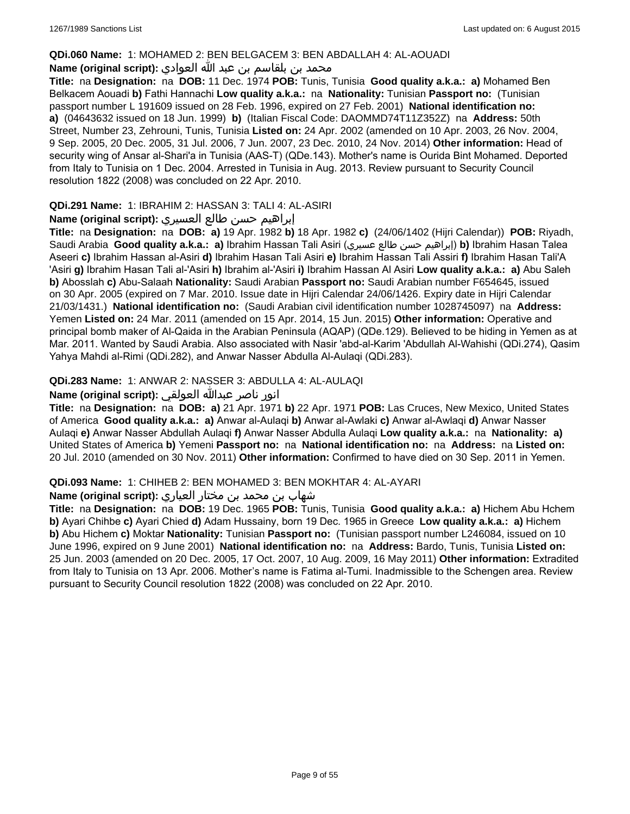#### **QDi.060 Name:** 1: MOHAMED 2: BEN BELGACEM 3: BEN ABDALLAH 4: AL-AOUADI

## محمد بن بلقاسم بن عبد الله العوادي **:**Name (original script)

**Title:** na **Designation:** na **DOB:** 11 Dec. 1974 **POB:** Tunis, Tunisia **Good quality a.k.a.: a)** Mohamed Ben Belkacem Aouadi **b)** Fathi Hannachi **Low quality a.k.a.:** na **Nationality:** Tunisian **Passport no:** (Tunisian passport number L 191609 issued on 28 Feb. 1996, expired on 27 Feb. 2001) **National identification no: a)** (04643632 issued on 18 Jun. 1999) **b)** (Italian Fiscal Code: DAOMMD74T11Z352Z) na **Address:** 50th Street, Number 23, Zehrouni, Tunis, Tunisia **Listed on:** 24 Apr. 2002 (amended on 10 Apr. 2003, 26 Nov. 2004, 9 Sep. 2005, 20 Dec. 2005, 31 Jul. 2006, 7 Jun. 2007, 23 Dec. 2010, 24 Nov. 2014) **Other information:** Head of security wing of Ansar al-Shari'a in Tunisia (AAS-T) (QDe.143). Mother's name is Ourida Bint Mohamed. Deported from Italy to Tunisia on 1 Dec. 2004. Arrested in Tunisia in Aug. 2013. Review pursuant to Security Council resolution 1822 (2008) was concluded on 22 Apr. 2010.

### **QDi.291 Name:** 1: IBRAHIM 2: HASSAN 3: TALI 4: AL-ASIRI

### إبراهيم حسن طالع العسيري **:(script original (Name**

**Title:** na **Designation:** na **DOB: a)** 19 Apr. 1982 **b)** 18 Apr. 1982 **c)** (24/06/1402 (Hijri Calendar)) **POB:** Riyadh, Saudi Arabia **Good quality a.k.a.: a)** Ibrahim Hassan Tali Asiri (عسيري طالع حسن إبراهيم(**b)** Ibrahim Hasan Talea Aseeri **c)** Ibrahim Hassan al-Asiri **d)** Ibrahim Hasan Tali Asiri **e)** Ibrahim Hassan Tali Assiri **f)** Ibrahim Hasan Tali'A 'Asiri **g)** Ibrahim Hasan Tali al-'Asiri **h)** Ibrahim al-'Asiri **i)** Ibrahim Hassan Al Asiri **Low quality a.k.a.: a)** Abu Saleh **b)** Abosslah **c)** Abu-Salaah **Nationality:** Saudi Arabian **Passport no:** Saudi Arabian number F654645, issued on 30 Apr. 2005 (expired on 7 Mar. 2010. Issue date in Hijri Calendar 24/06/1426. Expiry date in Hijri Calendar 21/03/1431.) **National identification no:** (Saudi Arabian civil identification number 1028745097) na **Address:** Yemen **Listed on:** 24 Mar. 2011 (amended on 15 Apr. 2014, 15 Jun. 2015) **Other information:** Operative and principal bomb maker of Al-Qaida in the Arabian Peninsula (AQAP) (QDe.129). Believed to be hiding in Yemen as at Mar. 2011. Wanted by Saudi Arabia. Also associated with Nasir 'abd-al-Karim 'Abdullah Al-Wahishi (QDi.274), Qasim Yahya Mahdi al-Rimi (QDi.282), and Anwar Nasser Abdulla Al-Aulaqi (QDi.283).

## **QDi.283 Name:** 1: ANWAR 2: NASSER 3: ABDULLA 4: AL-AULAQI

## انور ناصر عبدالله العولقي **:(script original (Name**

**Title:** na **Designation:** na **DOB: a)** 21 Apr. 1971 **b)** 22 Apr. 1971 **POB:** Las Cruces, New Mexico, United States of America **Good quality a.k.a.: a)** Anwar al-Aulaqi **b)** Anwar al-Awlaki **c)** Anwar al-Awlaqi **d)** Anwar Nasser Aulaqi **e)** Anwar Nasser Abdullah Aulaqi **f)** Anwar Nasser Abdulla Aulaqi **Low quality a.k.a.:** na **Nationality: a)** United States of America **b)** Yemeni **Passport no:** na **National identification no:** na **Address:** na **Listed on:** 20 Jul. 2010 (amended on 30 Nov. 2011) **Other information:** Confirmed to have died on 30 Sep. 2011 in Yemen.

#### **QDi.093 Name:** 1: CHIHEB 2: BEN MOHAMED 3: BEN MOKHTAR 4: AL-AYARI

### شهاب بن محمد بن مختار العياري **:(script original (Name**

**Title:** na **Designation:** na **DOB:** 19 Dec. 1965 **POB:** Tunis, Tunisia **Good quality a.k.a.: a)** Hichem Abu Hchem **b)** Ayari Chihbe **c)** Ayari Chied **d)** Adam Hussainy, born 19 Dec. 1965 in Greece **Low quality a.k.a.: a)** Hichem **b)** Abu Hichem **c)** Moktar **Nationality:** Tunisian **Passport no:** (Tunisian passport number L246084, issued on 10 June 1996, expired on 9 June 2001) **National identification no:** na **Address:** Bardo, Tunis, Tunisia **Listed on:** 25 Jun. 2003 (amended on 20 Dec. 2005, 17 Oct. 2007, 10 Aug. 2009, 16 May 2011) **Other information:** Extradited from Italy to Tunisia on 13 Apr. 2006. Mother's name is Fatima al-Tumi. Inadmissible to the Schengen area. Review pursuant to Security Council resolution 1822 (2008) was concluded on 22 Apr. 2010.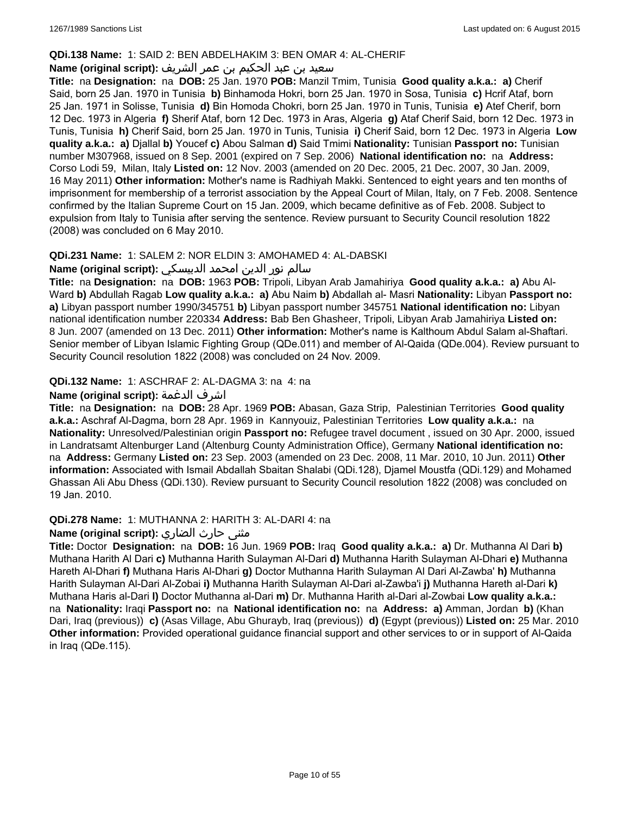### **QDi.138 Name:** 1: SAID 2: BEN ABDELHAKIM 3: BEN OMAR 4: AL-CHERIF

## سعيد بن عبد الحكيم بن عمر الشريف **:(script original (Name**

**Title:** na **Designation:** na **DOB:** 25 Jan. 1970 **POB:** Manzil Tmim, Tunisia **Good quality a.k.a.: a)** Cherif Said, born 25 Jan. 1970 in Tunisia **b)** Binhamoda Hokri, born 25 Jan. 1970 in Sosa, Tunisia **c)** Hcrif Ataf, born 25 Jan. 1971 in Solisse, Tunisia **d)** Bin Homoda Chokri, born 25 Jan. 1970 in Tunis, Tunisia **e)** Atef Cherif, born 12 Dec. 1973 in Algeria **f)** Sherif Ataf, born 12 Dec. 1973 in Aras, Algeria **g)** Ataf Cherif Said, born 12 Dec. 1973 in Tunis, Tunisia **h)** Cherif Said, born 25 Jan. 1970 in Tunis, Tunisia **i)** Cherif Said, born 12 Dec. 1973 in Algeria **Low quality a.k.a.: a)** Djallal **b)** Youcef **c)** Abou Salman **d)** Said Tmimi **Nationality:** Tunisian **Passport no:** Tunisian number M307968, issued on 8 Sep. 2001 (expired on 7 Sep. 2006) **National identification no:** na **Address:** Corso Lodi 59, Milan, Italy **Listed on:** 12 Nov. 2003 (amended on 20 Dec. 2005, 21 Dec. 2007, 30 Jan. 2009, 16 May 2011) **Other information:** Mother's name is Radhiyah Makki. Sentenced to eight years and ten months of imprisonment for membership of a terrorist association by the Appeal Court of Milan, Italy, on 7 Feb. 2008. Sentence confirmed by the Italian Supreme Court on 15 Jan. 2009, which became definitive as of Feb. 2008. Subject to expulsion from Italy to Tunisia after serving the sentence. Review pursuant to Security Council resolution 1822 (2008) was concluded on 6 May 2010.

## **QDi.231 Name:** 1: SALEM 2: NOR ELDIN 3: AMOHAMED 4: AL-DABSKI

### سالم نور الدين امحمد الدبيسكي **:(script original (Name**

**Title:** na **Designation:** na **DOB:** 1963 **POB:** Tripoli, Libyan Arab Jamahiriya **Good quality a.k.a.: a)** Abu Al-Ward **b)** Abdullah Ragab **Low quality a.k.a.: a)** Abu Naim **b)** Abdallah al- Masri **Nationality:** Libyan **Passport no: a)** Libyan passport number 1990/345751 **b)** Libyan passport number 345751 **National identification no:** Libyan national identification number 220334 **Address:** Bab Ben Ghasheer, Tripoli, Libyan Arab Jamahiriya **Listed on:** 8 Jun. 2007 (amended on 13 Dec. 2011) **Other information:** Mother's name is Kalthoum Abdul Salam al-Shaftari. Senior member of Libyan Islamic Fighting Group (QDe.011) and member of Al-Qaida (QDe.004). Review pursuant to Security Council resolution 1822 (2008) was concluded on 24 Nov. 2009.

## **QDi.132 Name:** 1: ASCHRAF 2: AL-DAGMA 3: na 4: na

## **Name (original script):** الدغمة اشرف

**Title:** na **Designation:** na **DOB:** 28 Apr. 1969 **POB:** Abasan, Gaza Strip, Palestinian Territories **Good quality a.k.a.:** Aschraf Al-Dagma, born 28 Apr. 1969 in Kannyouiz, Palestinian Territories **Low quality a.k.a.:** na **Nationality:** Unresolved/Palestinian origin **Passport no:** Refugee travel document , issued on 30 Apr. 2000, issued in Landratsamt Altenburger Land (Altenburg County Administration Office), Germany **National identification no:**  na **Address:** Germany **Listed on:** 23 Sep. 2003 (amended on 23 Dec. 2008, 11 Mar. 2010, 10 Jun. 2011) **Other information:** Associated with Ismail Abdallah Sbaitan Shalabi (QDi.128), Djamel Moustfa (QDi.129) and Mohamed Ghassan Ali Abu Dhess (QDi.130). Review pursuant to Security Council resolution 1822 (2008) was concluded on 19 Jan. 2010.

## **QDi.278 Name:** 1: MUTHANNA 2: HARITH 3: AL-DARI 4: na

## مثنى حارث الضاري :Name (original script)

**Title:** Doctor **Designation:** na **DOB:** 16 Jun. 1969 **POB:** Iraq **Good quality a.k.a.: a)** Dr. Muthanna Al Dari **b)** Muthana Harith Al Dari **c)** Muthanna Harith Sulayman Al-Dari **d)** Muthanna Harith Sulayman Al-Dhari **e)** Muthanna Hareth Al-Dhari **f)** Muthana Haris Al-Dhari **g)** Doctor Muthanna Harith Sulayman Al Dari Al-Zawba' **h)** Muthanna Harith Sulayman Al-Dari Al-Zobai **i)** Muthanna Harith Sulayman Al-Dari al-Zawba'i **j)** Muthanna Hareth al-Dari **k)** Muthana Haris al-Dari **l)** Doctor Muthanna al-Dari **m)** Dr. Muthanna Harith al-Dari al-Zowbai **Low quality a.k.a.:**  na **Nationality:** Iraqi **Passport no:** na **National identification no:** na **Address: a)** Amman, Jordan **b)** (Khan Dari, Iraq (previous)) **c)** (Asas Village, Abu Ghurayb, Iraq (previous)) **d)** (Egypt (previous)) **Listed on:** 25 Mar. 2010 **Other information:** Provided operational guidance financial support and other services to or in support of Al-Qaida in Iraq (QDe.115).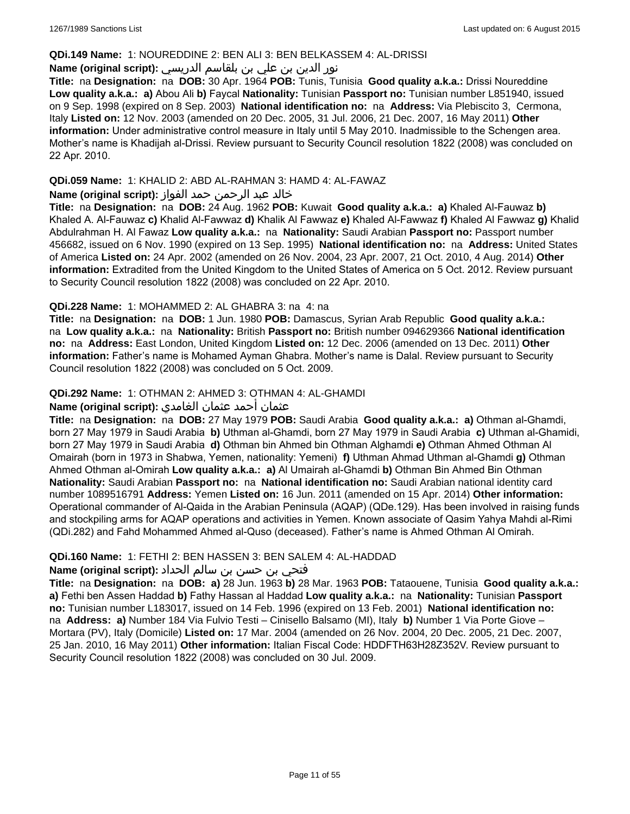#### **QDi.149 Name:** 1: NOUREDDINE 2: BEN ALI 3: BEN BELKASSEM 4: AL-DRISSI

## نور الدين بن علي بن بلقاسم الدريسي **:(script original (Name**

**Title:** na **Designation:** na **DOB:** 30 Apr. 1964 **POB:** Tunis, Tunisia **Good quality a.k.a.:** Drissi Noureddine **Low quality a.k.a.: a)** Abou Ali **b)** Faycal **Nationality:** Tunisian **Passport no:** Tunisian number L851940, issued on 9 Sep. 1998 (expired on 8 Sep. 2003) **National identification no:** na **Address:** Via Plebiscito 3, Cermona, Italy **Listed on:** 12 Nov. 2003 (amended on 20 Dec. 2005, 31 Jul. 2006, 21 Dec. 2007, 16 May 2011) **Other information:** Under administrative control measure in Italy until 5 May 2010. Inadmissible to the Schengen area. Mother's name is Khadijah al-Drissi. Review pursuant to Security Council resolution 1822 (2008) was concluded on 22 Apr. 2010.

## **QDi.059 Name:** 1: KHALID 2: ABD AL-RAHMAN 3: HAMD 4: AL-FAWAZ

## خالد عبد الرحمن حمد الفواز **:(script original (Name**

**Title:** na **Designation:** na **DOB:** 24 Aug. 1962 **POB:** Kuwait **Good quality a.k.a.: a)** Khaled Al-Fauwaz **b)** Khaled A. Al-Fauwaz **c)** Khalid Al-Fawwaz **d)** Khalik Al Fawwaz **e)** Khaled Al-Fawwaz **f)** Khaled Al Fawwaz **g)** Khalid Abdulrahman H. Al Fawaz **Low quality a.k.a.:** na **Nationality:** Saudi Arabian **Passport no:** Passport number 456682, issued on 6 Nov. 1990 (expired on 13 Sep. 1995) **National identification no:** na **Address:** United States of America **Listed on:** 24 Apr. 2002 (amended on 26 Nov. 2004, 23 Apr. 2007, 21 Oct. 2010, 4 Aug. 2014) **Other information:** Extradited from the United Kingdom to the United States of America on 5 Oct. 2012. Review pursuant to Security Council resolution 1822 (2008) was concluded on 22 Apr. 2010.

## **QDi.228 Name:** 1: MOHAMMED 2: AL GHABRA 3: na 4: na

**Title:** na **Designation:** na **DOB:** 1 Jun. 1980 **POB:** Damascus, Syrian Arab Republic **Good quality a.k.a.:**  na **Low quality a.k.a.:** na **Nationality:** British **Passport no:** British number 094629366 **National identification no:** na **Address:** East London, United Kingdom **Listed on:** 12 Dec. 2006 (amended on 13 Dec. 2011) **Other information:** Father's name is Mohamed Ayman Ghabra. Mother's name is Dalal. Review pursuant to Security Council resolution 1822 (2008) was concluded on 5 Oct. 2009.

## **QDi.292 Name:** 1: OTHMAN 2: AHMED 3: OTHMAN 4: AL-GHAMDI

## عثمان أحمد عثمان الغامدي **:(script original (Name**

**Title:** na **Designation:** na **DOB:** 27 May 1979 **POB:** Saudi Arabia **Good quality a.k.a.: a)** Othman al-Ghamdi, born 27 May 1979 in Saudi Arabia **b)** Uthman al-Ghamdi, born 27 May 1979 in Saudi Arabia **c)** Uthman al-Ghamidi, born 27 May 1979 in Saudi Arabia **d)** Othman bin Ahmed bin Othman Alghamdi **e)** Othman Ahmed Othman Al Omairah (born in 1973 in Shabwa, Yemen, nationality: Yemeni) **f)** Uthman Ahmad Uthman al-Ghamdi **g)** Othman Ahmed Othman al-Omirah **Low quality a.k.a.: a)** Al Umairah al-Ghamdi **b)** Othman Bin Ahmed Bin Othman **Nationality:** Saudi Arabian **Passport no:** na **National identification no:** Saudi Arabian national identity card number 1089516791 **Address:** Yemen **Listed on:** 16 Jun. 2011 (amended on 15 Apr. 2014) **Other information:** Operational commander of Al-Qaida in the Arabian Peninsula (AQAP) (QDe.129). Has been involved in raising funds and stockpiling arms for AQAP operations and activities in Yemen. Known associate of Qasim Yahya Mahdi al-Rimi (QDi.282) and Fahd Mohammed Ahmed al-Quso (deceased). Father's name is Ahmed Othman Al Omirah.

## **QDi.160 Name:** 1: FETHI 2: BEN HASSEN 3: BEN SALEM 4: AL-HADDAD

## فتحي بن حسن بن سالم الحداد **:(script original (Name**

**Title:** na **Designation:** na **DOB: a)** 28 Jun. 1963 **b)** 28 Mar. 1963 **POB:** Tataouene, Tunisia **Good quality a.k.a.: a)** Fethi ben Assen Haddad **b)** Fathy Hassan al Haddad **Low quality a.k.a.:** na **Nationality:** Tunisian **Passport no:** Tunisian number L183017, issued on 14 Feb. 1996 (expired on 13 Feb. 2001) **National identification no:**  na **Address: a)** Number 184 Via Fulvio Testi – Cinisello Balsamo (MI), Italy **b)** Number 1 Via Porte Giove – Mortara (PV), Italy (Domicile) **Listed on:** 17 Mar. 2004 (amended on 26 Nov. 2004, 20 Dec. 2005, 21 Dec. 2007, 25 Jan. 2010, 16 May 2011) **Other information:** Italian Fiscal Code: HDDFTH63H28Z352V. Review pursuant to Security Council resolution 1822 (2008) was concluded on 30 Jul. 2009.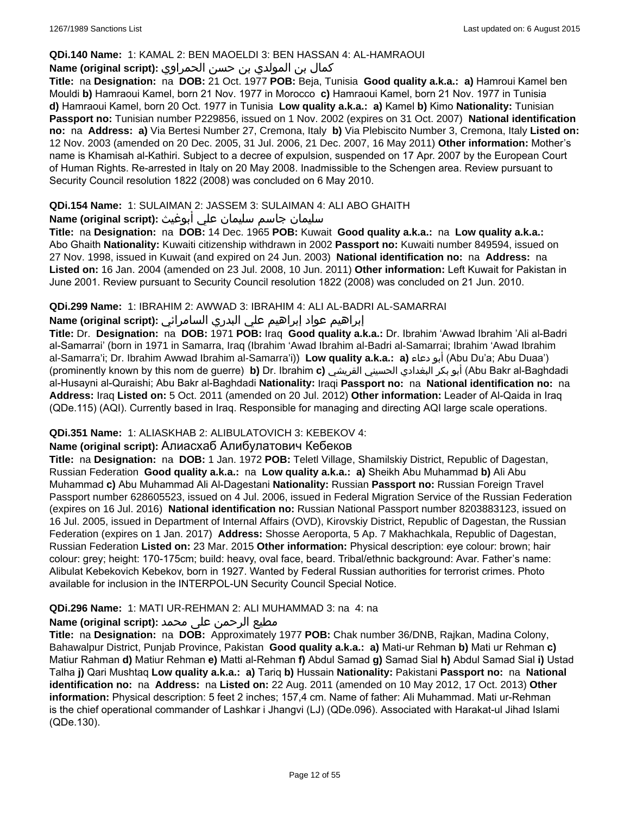### **QDi.140 Name:** 1: KAMAL 2: BEN MAOELDI 3: BEN HASSAN 4: AL-HAMRAOUI

## كمال بن المولدي بن حسن الحمراوي **:(script original (Name**

**Title:** na **Designation:** na **DOB:** 21 Oct. 1977 **POB:** Beja, Tunisia **Good quality a.k.a.: a)** Hamroui Kamel ben Mouldi **b)** Hamraoui Kamel, born 21 Nov. 1977 in Morocco **c)** Hamraoui Kamel, born 21 Nov. 1977 in Tunisia **d)** Hamraoui Kamel, born 20 Oct. 1977 in Tunisia **Low quality a.k.a.: a)** Kamel **b)** Kimo **Nationality:** Tunisian **Passport no:** Tunisian number P229856, issued on 1 Nov. 2002 (expires on 31 Oct. 2007) **National identification no:** na **Address: a)** Via Bertesi Number 27, Cremona, Italy **b)** Via Plebiscito Number 3, Cremona, Italy **Listed on:** 12 Nov. 2003 (amended on 20 Dec. 2005, 31 Jul. 2006, 21 Dec. 2007, 16 May 2011) **Other information:** Mother's name is Khamisah al-Kathiri. Subject to a decree of expulsion, suspended on 17 Apr. 2007 by the European Court of Human Rights. Re-arrested in Italy on 20 May 2008. Inadmissible to the Schengen area. Review pursuant to Security Council resolution 1822 (2008) was concluded on 6 May 2010.

## **QDi.154 Name:** 1: SULAIMAN 2: JASSEM 3: SULAIMAN 4: ALI ABO GHAITH

## سليمان جاسم سليمان علي أبوغيث **:(script original (Name**

**Title:** na **Designation:** na **DOB:** 14 Dec. 1965 **POB:** Kuwait **Good quality a.k.a.:** na **Low quality a.k.a.:** Abo Ghaith **Nationality:** Kuwaiti citizenship withdrawn in 2002 **Passport no:** Kuwaiti number 849594, issued on 27 Nov. 1998, issued in Kuwait (and expired on 24 Jun. 2003) **National identification no:** na **Address:** na **Listed on:** 16 Jan. 2004 (amended on 23 Jul. 2008, 10 Jun. 2011) **Other information:** Left Kuwait for Pakistan in June 2001. Review pursuant to Security Council resolution 1822 (2008) was concluded on 21 Jun. 2010.

## **QDi.299 Name:** 1: IBRAHIM 2: AWWAD 3: IBRAHIM 4: ALI AL-BADRI AL-SAMARRAI

## إبراهيم عواد إبراهيم علي البدري السامرائي **:(script original (Name**

**Title:** Dr. **Designation:** na **DOB:** 1971 **POB:** Iraq **Good quality a.k.a.:** Dr. Ibrahim 'Awwad Ibrahim 'Ali al-Badri al-Samarrai' (born in 1971 in Samarra, Iraq (Ibrahim 'Awad Ibrahim al-Badri al-Samarrai; Ibrahim 'Awad Ibrahim al-Samarra'i; Dr. Ibrahim Awwad Ibrahim al-Samarra'i)) **Low quality a.k.a.: a)** دعاء أبو) Abu Du'a; Abu Duaa') (prominently known by this nom de guerre) **b)** Dr. Ibrahim **c)** القريشي الحسيني البغدادي بكر أبو) Abu Bakr al-Baghdadi al-Husayni al-Quraishi; Abu Bakr al-Baghdadi **Nationality:** Iraqi **Passport no:** na **National identification no:** na **Address:** Iraq **Listed on:** 5 Oct. 2011 (amended on 20 Jul. 2012) **Other information:** Leader of Al-Qaida in Iraq (QDe.115) (AQI). Currently based in Iraq. Responsible for managing and directing AQI large scale operations.

## **QDi.351 Name:** 1: ALIASKHAB 2: ALIBULATOVICH 3: KEBEKOV 4:

## **Name (original script):** Алиaсхаб Алибулатович Кебеков

**Title:** na **Designation:** na **DOB:** 1 Jan. 1972 **POB:** Teletl Village, Shamilskiy District, Republic of Dagestan, Russian Federation **Good quality a.k.a.:** na **Low quality a.k.a.: a)** Sheikh Abu Muhammad **b)** Ali Abu Muhammad **c)** Abu Muhammad Ali Al-Dagestani **Nationality:** Russian **Passport no:** Russian Foreign Travel Passport number 628605523, issued on 4 Jul. 2006, issued in Federal Migration Service of the Russian Federation (expires on 16 Jul. 2016) **National identification no:** Russian National Passport number 8203883123, issued on 16 Jul. 2005, issued in Department of Internal Affairs (OVD), Kirovskiy District, Republic of Dagestan, the Russian Federation (expires on 1 Jan. 2017) **Address:** Shosse Aeroporta, 5 Ap. 7 Makhachkala, Republic of Dagestan, Russian Federation **Listed on:** 23 Mar. 2015 **Other information:** Physical description: eye colour: brown; hair colour: grey; height: 170-175cm; build: heavy, oval face, beard. Tribal/ethnic background: Avar. Father's name: Alibulat Kebekovich Kebekov, born in 1927. Wanted by Federal Russian authorities for terrorist crimes. Photo available for inclusion in the INTERPOL-UN Security Council Special Notice.

## **QDi.296 Name:** 1: MATI UR-REHMAN 2: ALI MUHAMMAD 3: na 4: na

## مطیع الرحمن علی محمد **:Name (original script)**

**Title:** na **Designation:** na **DOB:** Approximately 1977 **POB:** Chak number 36/DNB, Rajkan, Madina Colony, Bahawalpur District, Punjab Province, Pakistan **Good quality a.k.a.: a)** Mati-ur Rehman **b)** Mati ur Rehman **c)** Matiur Rahman **d)** Matiur Rehman **e)** Matti al-Rehman **f)** Abdul Samad **g)** Samad Sial **h)** Abdul Samad Sial **i)** Ustad Talha **j)** Qari Mushtaq **Low quality a.k.a.: a)** Tariq **b)** Hussain **Nationality:** Pakistani **Passport no:** na **National identification no:** na **Address:** na **Listed on:** 22 Aug. 2011 (amended on 10 May 2012, 17 Oct. 2013) **Other information:** Physical description: 5 feet 2 inches; 157,4 cm. Name of father: Ali Muhammad. Mati ur-Rehman is the chief operational commander of Lashkar i Jhangvi (LJ) (QDe.096). Associated with Harakat-ul Jihad Islami (QDe.130).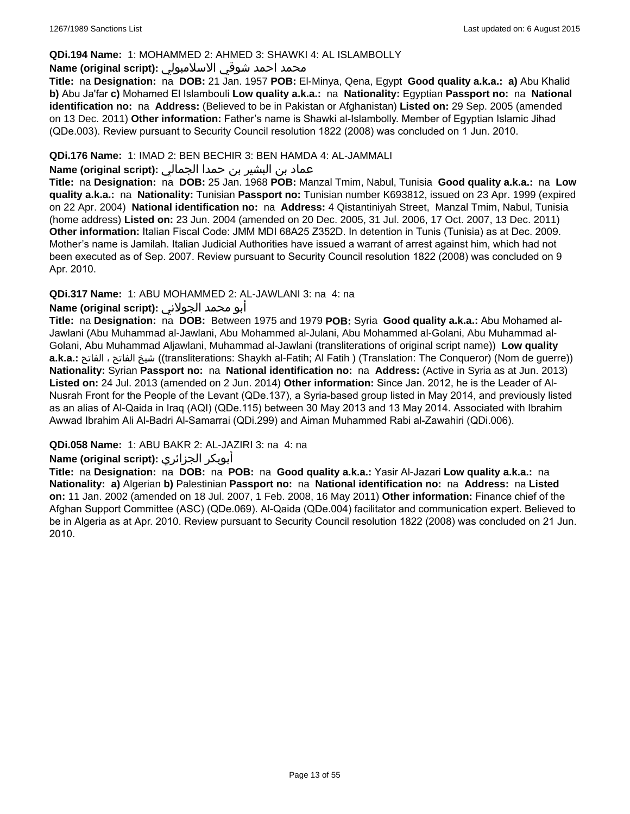#### **QDi.194 Name:** 1: MOHAMMED 2: AHMED 3: SHAWKI 4: AL ISLAMBOLLY

#### محمد احمد شوقي الاسلامبولي **:Name (original script)**

**Title:** na **Designation:** na **DOB:** 21 Jan. 1957 **POB:** El-Minya, Qena, Egypt **Good quality a.k.a.: a)** Abu Khalid **b)** Abu Ja'far **c)** Mohamed El Islambouli **Low quality a.k.a.:** na **Nationality:** Egyptian **Passport no:** na **National identification no:** na **Address:** (Believed to be in Pakistan or Afghanistan) **Listed on:** 29 Sep. 2005 (amended on 13 Dec. 2011) **Other information:** Father's name is Shawki al-Islambolly. Member of Egyptian Islamic Jihad (QDe.003). Review pursuant to Security Council resolution 1822 (2008) was concluded on 1 Jun. 2010.

### **QDi.176 Name:** 1: IMAD 2: BEN BECHIR 3: BEN HAMDA 4: AL-JAMMALI

## عماد بن البشير بن حمدا الجمالي **:(script original (Name**

**Title:** na **Designation:** na **DOB:** 25 Jan. 1968 **POB:** Manzal Tmim, Nabul, Tunisia **Good quality a.k.a.:** na **Low quality a.k.a.:** na **Nationality:** Tunisian **Passport no:** Tunisian number K693812, issued on 23 Apr. 1999 (expired on 22 Apr. 2004) **National identification no:** na **Address:** 4 Qistantiniyah Street, Manzal Tmim, Nabul, Tunisia (home address) **Listed on:** 23 Jun. 2004 (amended on 20 Dec. 2005, 31 Jul. 2006, 17 Oct. 2007, 13 Dec. 2011) **Other information:** Italian Fiscal Code: JMM MDI 68A25 Z352D. In detention in Tunis (Tunisia) as at Dec. 2009. Mother's name is Jamilah. Italian Judicial Authorities have issued a warrant of arrest against him, which had not been executed as of Sep. 2007. Review pursuant to Security Council resolution 1822 (2008) was concluded on 9 Apr. 2010.

## **QDi.317 Name:** 1: ABU MOHAMMED 2: AL-JAWLANI 3: na 4: na

### أبو محمد الجولاني **:(script original (Name**

**Title:** na **Designation:** na **DOB:** Between 1975 and 1979 **POB:** Syria **Good quality a.k.a.:** Abu Mohamed al-Jawlani (Abu Muhammad al-Jawlani, Abu Mohammed al-Julani, Abu Mohammed al-Golani, Abu Muhammad al-Golani, Abu Muhammad Aljawlani, Muhammad al-Jawlani (transliterations of original script name)) **Low quality a.k.a.:** الفاتح ، الفاتح شيخ)) transliterations: Shaykh al-Fatih; Al Fatih ) (Translation: The Conqueror) (Nom de guerre)) **Nationality:** Syrian **Passport no:** na **National identification no:** na **Address:** (Active in Syria as at Jun. 2013) **Listed on:** 24 Jul. 2013 (amended on 2 Jun. 2014) **Other information:** Since Jan. 2012, he is the Leader of Al-Nusrah Front for the People of the Levant (QDe.137), a Syria-based group listed in May 2014, and previously listed as an alias of Al-Qaida in Iraq (AQI) (QDe.115) between 30 May 2013 and 13 May 2014. Associated with Ibrahim Awwad Ibrahim Ali Al-Badri Al-Samarrai (QDi.299) and Aiman Muhammed Rabi al-Zawahiri (QDi.006).

## **QDi.058 Name:** 1: ABU BAKR 2: AL-JAZIRI 3: na 4: na

## **Name (original script):** الجزائري أبوبكر

**Title:** na **Designation:** na **DOB:** na **POB:** na **Good quality a.k.a.:** Yasir Al-Jazari **Low quality a.k.a.:** na **Nationality: a)** Algerian **b)** Palestinian **Passport no:** na **National identification no:** na **Address:** na **Listed on:** 11 Jan. 2002 (amended on 18 Jul. 2007, 1 Feb. 2008, 16 May 2011) **Other information:** Finance chief of the Afghan Support Committee (ASC) (QDe.069). Al-Qaida (QDe.004) facilitator and communication expert. Believed to be in Algeria as at Apr. 2010. Review pursuant to Security Council resolution 1822 (2008) was concluded on 21 Jun. 2010.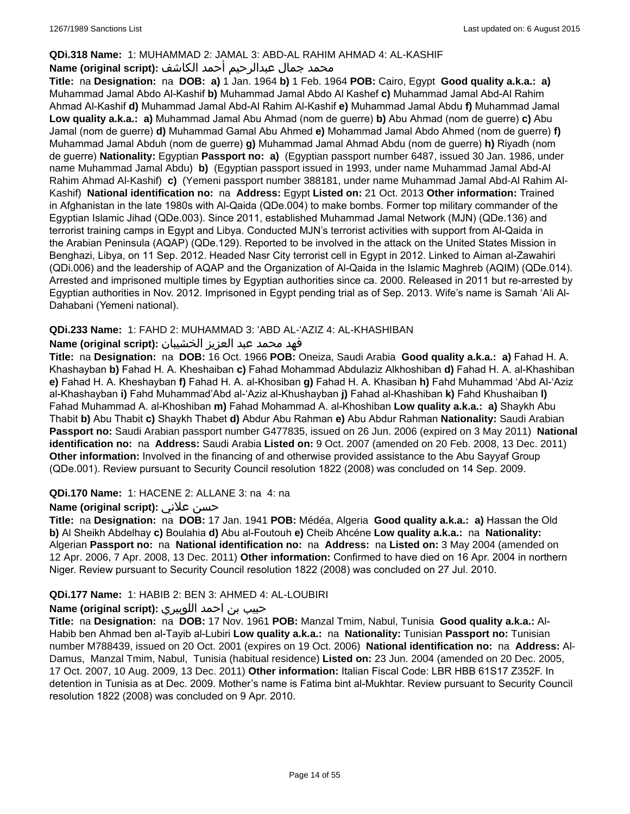### **QDi.318 Name:** 1: MUHAMMAD 2: JAMAL 3: ABD-AL RAHIM AHMAD 4: AL-KASHIF

## محمد جمال عبدالرحيم أحمد الكاشف **:Name (original script**)

**Title:** na **Designation:** na **DOB: a)** 1 Jan. 1964 **b)** 1 Feb. 1964 **POB:** Cairo, Egypt **Good quality a.k.a.: a)** Muhammad Jamal Abdo Al-Kashif **b)** Muhammad Jamal Abdo Al Kashef **c)** Muhammad Jamal Abd-Al Rahim Ahmad Al-Kashif **d)** Muhammad Jamal Abd-Al Rahim Al-Kashif **e)** Muhammad Jamal Abdu **f)** Muhammad Jamal **Low quality a.k.a.: a)** Muhammad Jamal Abu Ahmad (nom de guerre) **b)** Abu Ahmad (nom de guerre) **c)** Abu Jamal (nom de guerre) **d)** Muhammad Gamal Abu Ahmed **e)** Mohammad Jamal Abdo Ahmed (nom de guerre) **f)** Muhammad Jamal Abduh (nom de guerre) **g)** Muhammad Jamal Ahmad Abdu (nom de guerre) **h)** Riyadh (nom de guerre) **Nationality:** Egyptian **Passport no: a)** (Egyptian passport number 6487, issued 30 Jan. 1986, under name Muhammad Jamal Abdu) **b)** (Egyptian passport issued in 1993, under name Muhammad Jamal Abd-Al Rahim Ahmad Al-Kashif) **c)** (Yemeni passport number 388181, under name Muhammad Jamal Abd-Al Rahim Al-Kashif) **National identification no:** na **Address:** Egypt **Listed on:** 21 Oct. 2013 **Other information:** Trained in Afghanistan in the late 1980s with Al-Qaida (QDe.004) to make bombs. Former top military commander of the Egyptian Islamic Jihad (QDe.003). Since 2011, established Muhammad Jamal Network (MJN) (QDe.136) and terrorist training camps in Egypt and Libya. Conducted MJN's terrorist activities with support from Al-Qaida in the Arabian Peninsula (AQAP) (QDe.129). Reported to be involved in the attack on the United States Mission in Benghazi, Libya, on 11 Sep. 2012. Headed Nasr City terrorist cell in Egypt in 2012. Linked to Aiman al-Zawahiri (QDi.006) and the leadership of AQAP and the Organization of Al-Qaida in the Islamic Maghreb (AQIM) (QDe.014). Arrested and imprisoned multiple times by Egyptian authorities since ca. 2000. Released in 2011 but re-arrested by Egyptian authorities in Nov. 2012. Imprisoned in Egypt pending trial as of Sep. 2013. Wife's name is Samah 'Ali Al-Dahabani (Yemeni national).

## **QDi.233 Name:** 1: FAHD 2: MUHAMMAD 3: 'ABD AL-'AZIZ 4: AL-KHASHIBAN

## فهد محمد عبد العزيز الخشيبان **:(script original (Name**

**Title:** na **Designation:** na **DOB:** 16 Oct. 1966 **POB:** Oneiza, Saudi Arabia **Good quality a.k.a.: a)** Fahad H. A. Khashayban **b)** Fahad H. A. Kheshaiban **c)** Fahad Mohammad Abdulaziz Alkhoshiban **d)** Fahad H. A. al-Khashiban **e)** Fahad H. A. Kheshayban **f)** Fahad H. A. al-Khosiban **g)** Fahad H. A. Khasiban **h)** Fahd Muhammad 'Abd Al-'Aziz al-Khashayban **i)** Fahd Muhammad'Abd al-'Aziz al-Khushayban **j)** Fahad al-Khashiban **k)** Fahd Khushaiban **l)** Fahad Muhammad A. al-Khoshiban **m)** Fahad Mohammad A. al-Khoshiban **Low quality a.k.a.: a)** Shaykh Abu Thabit **b)** Abu Thabit **c)** Shaykh Thabet **d)** Abdur Abu Rahman **e)** Abu Abdur Rahman **Nationality:** Saudi Arabian **Passport no:** Saudi Arabian passport number G477835, issued on 26 Jun. 2006 (expired on 3 May 2011) **National identification no:** na **Address:** Saudi Arabia **Listed on:** 9 Oct. 2007 (amended on 20 Feb. 2008, 13 Dec. 2011) **Other information:** Involved in the financing of and otherwise provided assistance to the Abu Sayyaf Group (QDe.001). Review pursuant to Security Council resolution 1822 (2008) was concluded on 14 Sep. 2009.

## **QDi.170 Name:** 1: HACENE 2: ALLANE 3: na 4: na

## **Name (original script):** علاني حسن

**Title:** na **Designation:** na **DOB:** 17 Jan. 1941 **POB:** Médéa, Algeria **Good quality a.k.a.: a)** Hassan the Old **b)** Al Sheikh Abdelhay **c)** Boulahia **d)** Abu al-Foutouh **e)** Cheib Ahcéne **Low quality a.k.a.:** na **Nationality:** Algerian **Passport no:** na **National identification no:** na **Address:** na **Listed on:** 3 May 2004 (amended on 12 Apr. 2006, 7 Apr. 2008, 13 Dec. 2011) **Other information:** Confirmed to have died on 16 Apr. 2004 in northern Niger. Review pursuant to Security Council resolution 1822 (2008) was concluded on 27 Jul. 2010.

## **QDi.177 Name:** 1: HABIB 2: BEN 3: AHMED 4: AL-LOUBIRI

## حبيب بن احمد اللوبيري **:(script original (Name**

**Title:** na **Designation:** na **DOB:** 17 Nov. 1961 **POB:** Manzal Tmim, Nabul, Tunisia **Good quality a.k.a.:** Al-Habib ben Ahmad ben al-Tayib al-Lubiri **Low quality a.k.a.:** na **Nationality:** Tunisian **Passport no:** Tunisian number M788439, issued on 20 Oct. 2001 (expires on 19 Oct. 2006) **National identification no:** na **Address:** Al-Damus, Manzal Tmim, Nabul, Tunisia (habitual residence) **Listed on:** 23 Jun. 2004 (amended on 20 Dec. 2005, 17 Oct. 2007, 10 Aug. 2009, 13 Dec. 2011) **Other information:** Italian Fiscal Code: LBR HBB 61S17 Z352F. In detention in Tunisia as at Dec. 2009. Mother's name is Fatima bint al-Mukhtar. Review pursuant to Security Council resolution 1822 (2008) was concluded on 9 Apr. 2010.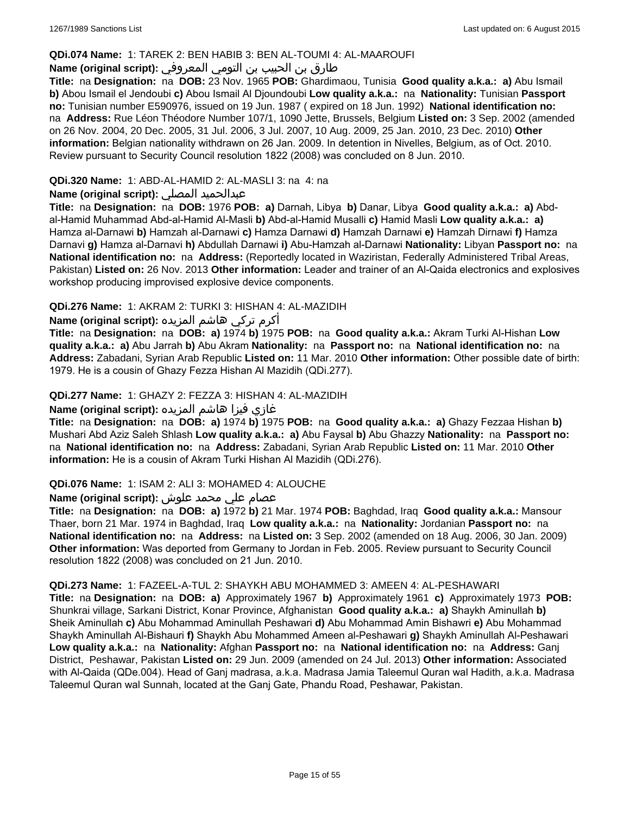### **QDi.074 Name:** 1: TAREK 2: BEN HABIB 3: BEN AL-TOUMI 4: AL-MAAROUFI

## طارق بن الحبيب بن التومي المعروفي **:(script original (Name**

**Title:** na **Designation:** na **DOB:** 23 Nov. 1965 **POB:** Ghardimaou, Tunisia **Good quality a.k.a.: a)** Abu Ismail **b)** Abou Ismail el Jendoubi **c)** Abou Ismail Al Djoundoubi **Low quality a.k.a.:** na **Nationality:** Tunisian **Passport no:** Tunisian number E590976, issued on 19 Jun. 1987 ( expired on 18 Jun. 1992) **National identification no:**  na **Address:** Rue Léon Théodore Number 107/1, 1090 Jette, Brussels, Belgium **Listed on:** 3 Sep. 2002 (amended on 26 Nov. 2004, 20 Dec. 2005, 31 Jul. 2006, 3 Jul. 2007, 10 Aug. 2009, 25 Jan. 2010, 23 Dec. 2010) **Other information:** Belgian nationality withdrawn on 26 Jan. 2009. In detention in Nivelles, Belgium, as of Oct. 2010. Review pursuant to Security Council resolution 1822 (2008) was concluded on 8 Jun. 2010.

### **QDi.320 Name:** 1: ABD-AL-HAMID 2: AL-MASLI 3: na 4: na

## **Name (original script):** المصلي عبدالحميد

**Title:** na **Designation:** na **DOB:** 1976 **POB: a)** Darnah, Libya **b)** Danar, Libya **Good quality a.k.a.: a)** Abdal-Hamid Muhammad Abd-al-Hamid Al-Masli **b)** Abd-al-Hamid Musalli **c)** Hamid Masli **Low quality a.k.a.: a)** Hamza al-Darnawi **b)** Hamzah al-Darnawi **c)** Hamza Darnawi **d)** Hamzah Darnawi **e)** Hamzah Dirnawi **f)** Hamza Darnavi **g)** Hamza al-Darnavi **h)** Abdullah Darnawi **i)** Abu-Hamzah al-Darnawi **Nationality:** Libyan **Passport no:** na **National identification no:** na **Address:** (Reportedly located in Waziristan, Federally Administered Tribal Areas, Pakistan) **Listed on:** 26 Nov. 2013 **Other information:** Leader and trainer of an Al-Qaida electronics and explosives workshop producing improvised explosive device components.

## **QDi.276 Name:** 1: AKRAM 2: TURKI 3: HISHAN 4: AL-MAZIDIH

أكرم تركي هاشم المزيده **:(script original (Name**

**Title:** na **Designation:** na **DOB: a)** 1974 **b)** 1975 **POB:** na **Good quality a.k.a.:** Akram Turki Al-Hishan **Low quality a.k.a.: a)** Abu Jarrah **b)** Abu Akram **Nationality:** na **Passport no:** na **National identification no:** na **Address:** Zabadani, Syrian Arab Republic **Listed on:** 11 Mar. 2010 **Other information:** Other possible date of birth: 1979. He is a cousin of Ghazy Fezza Hishan Al Mazidih (QDi.277).

### **QDi.277 Name:** 1: GHAZY 2: FEZZA 3: HISHAN 4: AL-MAZIDIH

## غازي فيزا هاشم المزيده **:(script original (Name**

**Title:** na **Designation:** na **DOB: a)** 1974 **b)** 1975 **POB:** na **Good quality a.k.a.: a)** Ghazy Fezzaa Hishan **b)** Mushari Abd Aziz Saleh Shlash **Low quality a.k.a.: a)** Abu Faysal **b)** Abu Ghazzy **Nationality:** na **Passport no:**  na **National identification no:** na **Address:** Zabadani, Syrian Arab Republic **Listed on:** 11 Mar. 2010 **Other information:** He is a cousin of Akram Turki Hishan Al Mazidih (QDi.276).

#### **QDi.076 Name:** 1: ISAM 2: ALI 3: MOHAMED 4: ALOUCHE

## عصام علي محمد علوش **:(script original (Name**

**Title:** na **Designation:** na **DOB: a)** 1972 **b)** 21 Mar. 1974 **POB:** Baghdad, Iraq **Good quality a.k.a.:** Mansour Thaer, born 21 Mar. 1974 in Baghdad, Iraq **Low quality a.k.a.:** na **Nationality:** Jordanian **Passport no:** na **National identification no:** na **Address:** na **Listed on:** 3 Sep. 2002 (amended on 18 Aug. 2006, 30 Jan. 2009) **Other information:** Was deported from Germany to Jordan in Feb. 2005. Review pursuant to Security Council resolution 1822 (2008) was concluded on 21 Jun. 2010.

#### **QDi.273 Name:** 1: FAZEEL-A-TUL 2: SHAYKH ABU MOHAMMED 3: AMEEN 4: AL-PESHAWARI

**Title:** na **Designation:** na **DOB: a)** Approximately 1967 **b)** Approximately 1961 **c)** Approximately 1973 **POB:** Shunkrai village, Sarkani District, Konar Province, Afghanistan **Good quality a.k.a.: a)** Shaykh Aminullah **b)** Sheik Aminullah **c)** Abu Mohammad Aminullah Peshawari **d)** Abu Mohammad Amin Bishawri **e)** Abu Mohammad Shaykh Aminullah Al-Bishauri **f)** Shaykh Abu Mohammed Ameen al-Peshawari **g)** Shaykh Aminullah Al-Peshawari **Low quality a.k.a.:** na **Nationality:** Afghan **Passport no:** na **National identification no:** na **Address:** Ganj District, Peshawar, Pakistan **Listed on:** 29 Jun. 2009 (amended on 24 Jul. 2013) **Other information:** Associated with Al-Qaida (QDe.004). Head of Ganj madrasa, a.k.a. Madrasa Jamia Taleemul Quran wal Hadith, a.k.a. Madrasa Taleemul Quran wal Sunnah, located at the Ganj Gate, Phandu Road, Peshawar, Pakistan.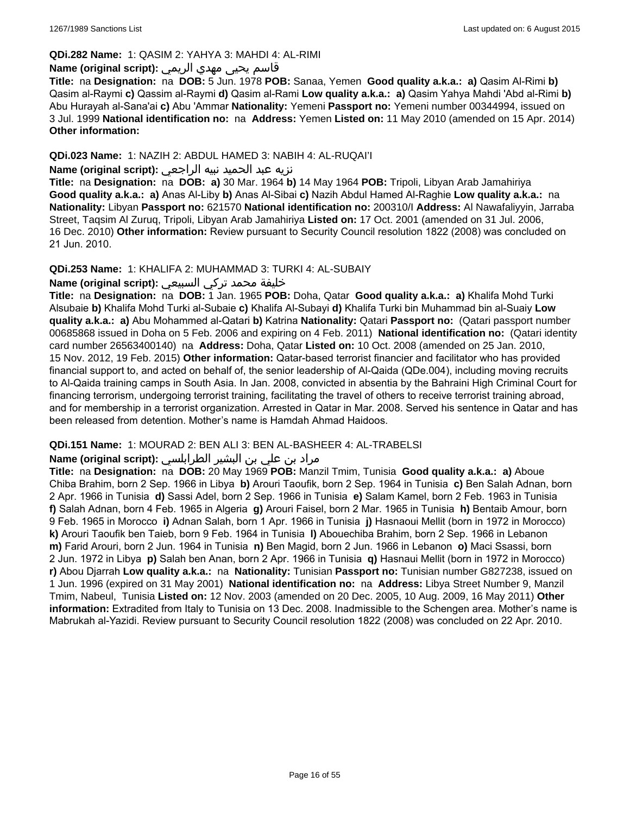#### **QDi.282 Name:** 1: QASIM 2: YAHYA 3: MAHDI 4: AL-RIMI

## قاسم يحيى مهدي الريمي **:(script original (Name**

**Title:** na **Designation:** na **DOB:** 5 Jun. 1978 **POB:** Sanaa, Yemen **Good quality a.k.a.: a)** Qasim Al-Rimi **b)** Qasim al-Raymi **c)** Qassim al-Raymi **d)** Qasim al-Rami **Low quality a.k.a.: a)** Qasim Yahya Mahdi 'Abd al-Rimi **b)** Abu Hurayah al-Sana'ai **c)** Abu 'Ammar **Nationality:** Yemeni **Passport no:** Yemeni number 00344994, issued on 3 Jul. 1999 **National identification no:** na **Address:** Yemen **Listed on:** 11 May 2010 (amended on 15 Apr. 2014) **Other information:**

### **QDi.023 Name:** 1: NAZIH 2: ABDUL HAMED 3: NABIH 4: AL-RUQAI'I

### نزيه عبد الحميد نبيه الراجعي **:(script original (Name**

**Title:** na **Designation:** na **DOB: a)** 30 Mar. 1964 **b)** 14 May 1964 **POB:** Tripoli, Libyan Arab Jamahiriya **Good quality a.k.a.: a)** Anas Al-Liby **b)** Anas Al-Sibai **c)** Nazih Abdul Hamed Al-Raghie **Low quality a.k.a.:** na **Nationality:** Libyan **Passport no:** 621570 **National identification no:** 200310/I **Address:** Al Nawafaliyyin, Jarraba Street, Taqsim Al Zuruq, Tripoli, Libyan Arab Jamahiriya **Listed on:** 17 Oct. 2001 (amended on 31 Jul. 2006, 16 Dec. 2010) **Other information:** Review pursuant to Security Council resolution 1822 (2008) was concluded on 21 Jun. 2010.

### **QDi.253 Name:** 1: KHALIFA 2: MUHAMMAD 3: TURKI 4: AL-SUBAIY

## خليفة محمد تركي السبيعي **:(script original (Name**

**Title:** na **Designation:** na **DOB:** 1 Jan. 1965 **POB:** Doha, Qatar **Good quality a.k.a.: a)** Khalifa Mohd Turki Alsubaie **b)** Khalifa Mohd Turki al-Subaie **c)** Khalifa Al-Subayi **d)** Khalifa Turki bin Muhammad bin al-Suaiy **Low quality a.k.a.: a)** Abu Mohammed al-Qatari **b)** Katrina **Nationality:** Qatari **Passport no:** (Qatari passport number 00685868 issued in Doha on 5 Feb. 2006 and expiring on 4 Feb. 2011) **National identification no:** (Qatari identity card number 26563400140) na **Address:** Doha, Qatar **Listed on:** 10 Oct. 2008 (amended on 25 Jan. 2010, 15 Nov. 2012, 19 Feb. 2015) **Other information:** Qatar-based terrorist financier and facilitator who has provided financial support to, and acted on behalf of, the senior leadership of Al-Qaida (QDe.004), including moving recruits to Al-Qaida training camps in South Asia. In Jan. 2008, convicted in absentia by the Bahraini High Criminal Court for financing terrorism, undergoing terrorist training, facilitating the travel of others to receive terrorist training abroad, and for membership in a terrorist organization. Arrested in Qatar in Mar. 2008. Served his sentence in Qatar and has been released from detention. Mother's name is Hamdah Ahmad Haidoos.

#### **QDi.151 Name:** 1: MOURAD 2: BEN ALI 3: BEN AL-BASHEER 4: AL-TRABELSI

## مراد بن علي بن البشير الطرابلسي **:Name (original script)**

**Title:** na **Designation:** na **DOB:** 20 May 1969 **POB:** Manzil Tmim, Tunisia **Good quality a.k.a.: a)** Aboue Chiba Brahim, born 2 Sep. 1966 in Libya **b)** Arouri Taoufik, born 2 Sep. 1964 in Tunisia **c)** Ben Salah Adnan, born 2 Apr. 1966 in Tunisia **d)** Sassi Adel, born 2 Sep. 1966 in Tunisia **e)** Salam Kamel, born 2 Feb. 1963 in Tunisia **f)** Salah Adnan, born 4 Feb. 1965 in Algeria **g)** Arouri Faisel, born 2 Mar. 1965 in Tunisia **h)** Bentaib Amour, born 9 Feb. 1965 in Morocco **i)** Adnan Salah, born 1 Apr. 1966 in Tunisia **j)** Hasnaoui Mellit (born in 1972 in Morocco) **k)** Arouri Taoufik ben Taieb, born 9 Feb. 1964 in Tunisia **l)** Abouechiba Brahim, born 2 Sep. 1966 in Lebanon **m)** Farid Arouri, born 2 Jun. 1964 in Tunisia **n)** Ben Magid, born 2 Jun. 1966 in Lebanon **o)** Maci Ssassi, born 2 Jun. 1972 in Libya **p)** Salah ben Anan, born 2 Apr. 1966 in Tunisia **q)** Hasnaui Mellit (born in 1972 in Morocco) **r)** Abou Djarrah **Low quality a.k.a.:** na **Nationality:** Tunisian **Passport no:** Tunisian number G827238, issued on 1 Jun. 1996 (expired on 31 May 2001) **National identification no:** na **Address:** Libya Street Number 9, Manzil Tmim, Nabeul, Tunisia **Listed on:** 12 Nov. 2003 (amended on 20 Dec. 2005, 10 Aug. 2009, 16 May 2011) **Other information:** Extradited from Italy to Tunisia on 13 Dec. 2008. Inadmissible to the Schengen area. Mother's name is Mabrukah al-Yazidi. Review pursuant to Security Council resolution 1822 (2008) was concluded on 22 Apr. 2010.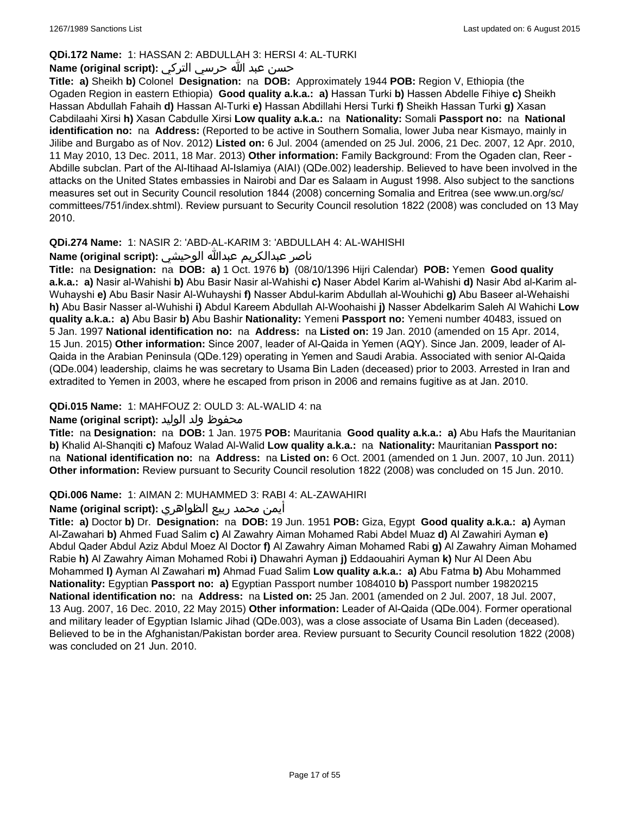## **QDi.172 Name:** 1: HASSAN 2: ABDULLAH 3: HERSI 4: AL-TURKI

## حسن عبد الله حرسي التركي **:(script original (Name**

**Title: a)** Sheikh **b)** Colonel **Designation:** na **DOB:** Approximately 1944 **POB:** Region V, Ethiopia (the Ogaden Region in eastern Ethiopia) **Good quality a.k.a.: a)** Hassan Turki **b)** Hassen Abdelle Fihiye **c)** Sheikh Hassan Abdullah Fahaih **d)** Hassan Al-Turki **e)** Hassan Abdillahi Hersi Turki **f)** Sheikh Hassan Turki **g)** Xasan Cabdilaahi Xirsi **h)** Xasan Cabdulle Xirsi **Low quality a.k.a.:** na **Nationality:** Somali **Passport no:** na **National identification no:** na **Address:** (Reported to be active in Southern Somalia, lower Juba near Kismayo, mainly in Jilibe and Burgabo as of Nov. 2012) **Listed on:** 6 Jul. 2004 (amended on 25 Jul. 2006, 21 Dec. 2007, 12 Apr. 2010, 11 May 2010, 13 Dec. 2011, 18 Mar. 2013) **Other information:** Family Background: From the Ogaden clan, Reer - Abdille subclan. Part of the Al-Itihaad Al-Islamiya (AIAI) (QDe.002) leadership. Believed to have been involved in the attacks on the United States embassies in Nairobi and Dar es Salaam in August 1998. Also subject to the sanctions measures set out in Security Council resolution 1844 (2008) concerning Somalia and Eritrea (see www.un.org/sc/ committees/751/index.shtml). Review pursuant to Security Council resolution 1822 (2008) was concluded on 13 May 2010.

## **QDi.274 Name:** 1: NASIR 2: 'ABD-AL-KARIM 3: 'ABDULLAH 4: AL-WAHISHI

## ناصر عبدالكريم عبدالله الوحيشي **:(script original (Name**

**Title:** na **Designation:** na **DOB: a)** 1 Oct. 1976 **b)** (08/10/1396 Hijri Calendar) **POB:** Yemen **Good quality a.k.a.: a)** Nasir al-Wahishi **b)** Abu Basir Nasir al-Wahishi **c)** Naser Abdel Karim al-Wahishi **d)** Nasir Abd al-Karim al-Wuhayshi **e)** Abu Basir Nasir Al-Wuhayshi **f)** Nasser Abdul-karim Abdullah al-Wouhichi **g)** Abu Baseer al-Wehaishi **h)** Abu Basir Nasser al-Wuhishi **i)** Abdul Kareem Abdullah Al-Woohaishi **j)** Nasser Abdelkarim Saleh Al Wahichi **Low quality a.k.a.: a)** Abu Basir **b)** Abu Bashir **Nationality:** Yemeni **Passport no:** Yemeni number 40483, issued on 5 Jan. 1997 **National identification no:** na **Address:** na **Listed on:** 19 Jan. 2010 (amended on 15 Apr. 2014, 15 Jun. 2015) **Other information:** Since 2007, leader of Al-Qaida in Yemen (AQY). Since Jan. 2009, leader of Al-Qaida in the Arabian Peninsula (QDe.129) operating in Yemen and Saudi Arabia. Associated with senior Al-Qaida (QDe.004) leadership, claims he was secretary to Usama Bin Laden (deceased) prior to 2003. Arrested in Iran and extradited to Yemen in 2003, where he escaped from prison in 2006 and remains fugitive as at Jan. 2010.

## **QDi.015 Name:** 1: MAHFOUZ 2: OULD 3: AL-WALID 4: na

## محفوظ ولد الوليد **:**Name (original script)

**Title:** na **Designation:** na **DOB:** 1 Jan. 1975 **POB:** Mauritania **Good quality a.k.a.: a)** Abu Hafs the Mauritanian **b)** Khalid Al-Shanqiti **c)** Mafouz Walad Al-Walid **Low quality a.k.a.:** na **Nationality:** Mauritanian **Passport no:**  na **National identification no:** na **Address:** na **Listed on:** 6 Oct. 2001 (amended on 1 Jun. 2007, 10 Jun. 2011) **Other information:** Review pursuant to Security Council resolution 1822 (2008) was concluded on 15 Jun. 2010.

## **QDi.006 Name:** 1: AIMAN 2: MUHAMMED 3: RABI 4: AL-ZAWAHIRI

## أيمن محمد ربيع الظواهري **:(script original (Name**

**Title: a)** Doctor **b)** Dr. **Designation:** na **DOB:** 19 Jun. 1951 **POB:** Giza, Egypt **Good quality a.k.a.: a)** Ayman Al-Zawahari **b)** Ahmed Fuad Salim **c)** Al Zawahry Aiman Mohamed Rabi Abdel Muaz **d)** Al Zawahiri Ayman **e)** Abdul Qader Abdul Aziz Abdul Moez Al Doctor **f)** Al Zawahry Aiman Mohamed Rabi **g)** Al Zawahry Aiman Mohamed Rabie **h)** Al Zawahry Aiman Mohamed Robi **i)** Dhawahri Ayman **j)** Eddaouahiri Ayman **k)** Nur Al Deen Abu Mohammed **l)** Ayman Al Zawahari **m)** Ahmad Fuad Salim **Low quality a.k.a.: a)** Abu Fatma **b)** Abu Mohammed **Nationality:** Egyptian **Passport no: a)** Egyptian Passport number 1084010 **b)** Passport number 19820215 **National identification no:** na **Address:** na **Listed on:** 25 Jan. 2001 (amended on 2 Jul. 2007, 18 Jul. 2007, 13 Aug. 2007, 16 Dec. 2010, 22 May 2015) **Other information:** Leader of Al-Qaida (QDe.004). Former operational and military leader of Egyptian Islamic Jihad (QDe.003), was a close associate of Usama Bin Laden (deceased). Believed to be in the Afghanistan/Pakistan border area. Review pursuant to Security Council resolution 1822 (2008) was concluded on 21 Jun. 2010.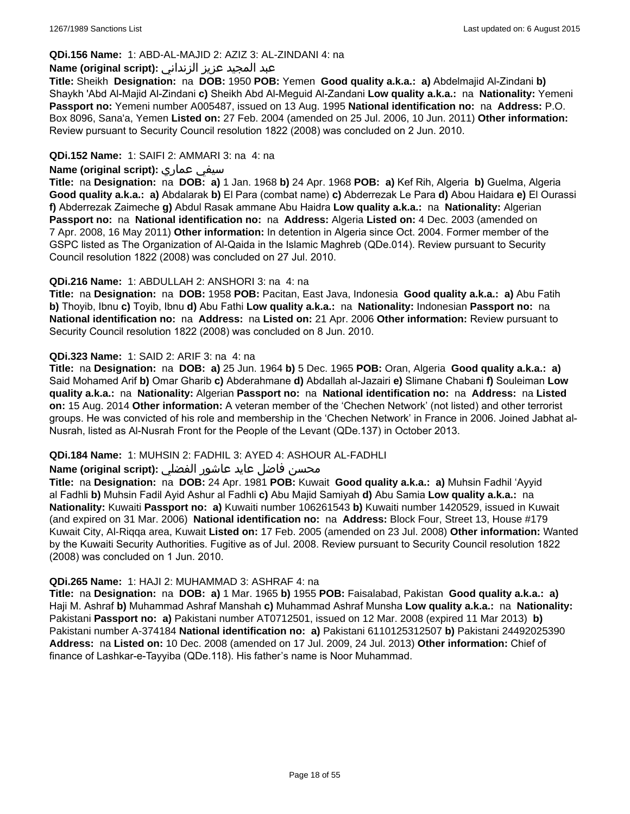### **QDi.156 Name:** 1: ABD-AL-MAJID 2: AZIZ 3: AL-ZINDANI 4: na

### عبد المجيد عزيز الزنداني **:(script original (Name**

**Title:** Sheikh **Designation:** na **DOB:** 1950 **POB:** Yemen **Good quality a.k.a.: a)** Abdelmajid Al-Zindani **b)** Shaykh 'Abd Al-Majid Al-Zindani **c)** Sheikh Abd Al-Meguid Al-Zandani **Low quality a.k.a.:** na **Nationality:** Yemeni **Passport no:** Yemeni number A005487, issued on 13 Aug. 1995 **National identification no:** na **Address:** P.O. Box 8096, Sana'a, Yemen **Listed on:** 27 Feb. 2004 (amended on 25 Jul. 2006, 10 Jun. 2011) **Other information:** Review pursuant to Security Council resolution 1822 (2008) was concluded on 2 Jun. 2010.

### **QDi.152 Name:** 1: SAIFI 2: AMMARI 3: na 4: na

### **Name (original script):** عماري سيفي

**Title:** na **Designation:** na **DOB: a)** 1 Jan. 1968 **b)** 24 Apr. 1968 **POB: a)** Kef Rih, Algeria **b)** Guelma, Algeria **Good quality a.k.a.: a)** Abdalarak **b)** El Para (combat name) **c)** Abderrezak Le Para **d)** Abou Haidara **e)** El Ourassi **f)** Abderrezak Zaimeche **g)** Abdul Rasak ammane Abu Haidra **Low quality a.k.a.:** na **Nationality:** Algerian **Passport no:** na **National identification no:** na **Address:** Algeria **Listed on:** 4 Dec. 2003 (amended on 7 Apr. 2008, 16 May 2011) **Other information:** In detention in Algeria since Oct. 2004. Former member of the GSPC listed as The Organization of Al-Qaida in the Islamic Maghreb (QDe.014). Review pursuant to Security Council resolution 1822 (2008) was concluded on 27 Jul. 2010.

### **QDi.216 Name:** 1: ABDULLAH 2: ANSHORI 3: na 4: na

**Title:** na **Designation:** na **DOB:** 1958 **POB:** Pacitan, East Java, Indonesia **Good quality a.k.a.: a)** Abu Fatih **b)** Thoyib, Ibnu **c)** Toyib, Ibnu **d)** Abu Fathi **Low quality a.k.a.:** na **Nationality:** Indonesian **Passport no:** na **National identification no:** na **Address:** na **Listed on:** 21 Apr. 2006 **Other information:** Review pursuant to Security Council resolution 1822 (2008) was concluded on 8 Jun. 2010.

### **QDi.323 Name:** 1: SAID 2: ARIF 3: na 4: na

**Title:** na **Designation:** na **DOB: a)** 25 Jun. 1964 **b)** 5 Dec. 1965 **POB:** Oran, Algeria **Good quality a.k.a.: a)** Said Mohamed Arif **b)** Omar Gharib **c)** Abderahmane **d)** Abdallah al-Jazairi **e)** Slimane Chabani **f)** Souleiman **Low quality a.k.a.:** na **Nationality:** Algerian **Passport no:** na **National identification no:** na **Address:** na **Listed on:** 15 Aug. 2014 **Other information:** A veteran member of the 'Chechen Network' (not listed) and other terrorist groups. He was convicted of his role and membership in the 'Chechen Network' in France in 2006. Joined Jabhat al-Nusrah, listed as Al-Nusrah Front for the People of the Levant (QDe.137) in October 2013.

## **QDi.184 Name:** 1: MUHSIN 2: FADHIL 3: AYED 4: ASHOUR AL-FADHLI

## محسن فاضل عايد عاشور الفضلي **:Name (original script**)

**Title:** na **Designation:** na **DOB:** 24 Apr. 1981 **POB:** Kuwait **Good quality a.k.a.: a)** Muhsin Fadhil 'Ayyid al Fadhli **b)** Muhsin Fadil Ayid Ashur al Fadhli **c)** Abu Majid Samiyah **d)** Abu Samia **Low quality a.k.a.:** na **Nationality:** Kuwaiti **Passport no: a)** Kuwaiti number 106261543 **b)** Kuwaiti number 1420529, issued in Kuwait (and expired on 31 Mar. 2006) **National identification no:** na **Address:** Block Four, Street 13, House #179 Kuwait City, Al-Riqqa area, Kuwait **Listed on:** 17 Feb. 2005 (amended on 23 Jul. 2008) **Other information:** Wanted by the Kuwaiti Security Authorities. Fugitive as of Jul. 2008. Review pursuant to Security Council resolution 1822 (2008) was concluded on 1 Jun. 2010.

#### **QDi.265 Name:** 1: HAJI 2: MUHAMMAD 3: ASHRAF 4: na

**Title:** na **Designation:** na **DOB: a)** 1 Mar. 1965 **b)** 1955 **POB:** Faisalabad, Pakistan **Good quality a.k.a.: a)** Haji M. Ashraf **b)** Muhammad Ashraf Manshah **c)** Muhammad Ashraf Munsha **Low quality a.k.a.:** na **Nationality:** Pakistani **Passport no: a)** Pakistani number AT0712501, issued on 12 Mar. 2008 (expired 11 Mar 2013) **b)** Pakistani number A-374184 **National identification no: a)** Pakistani 6110125312507 **b)** Pakistani 24492025390 **Address:** na **Listed on:** 10 Dec. 2008 (amended on 17 Jul. 2009, 24 Jul. 2013) **Other information:** Chief of finance of Lashkar-e-Tayyiba (QDe.118). His father's name is Noor Muhammad.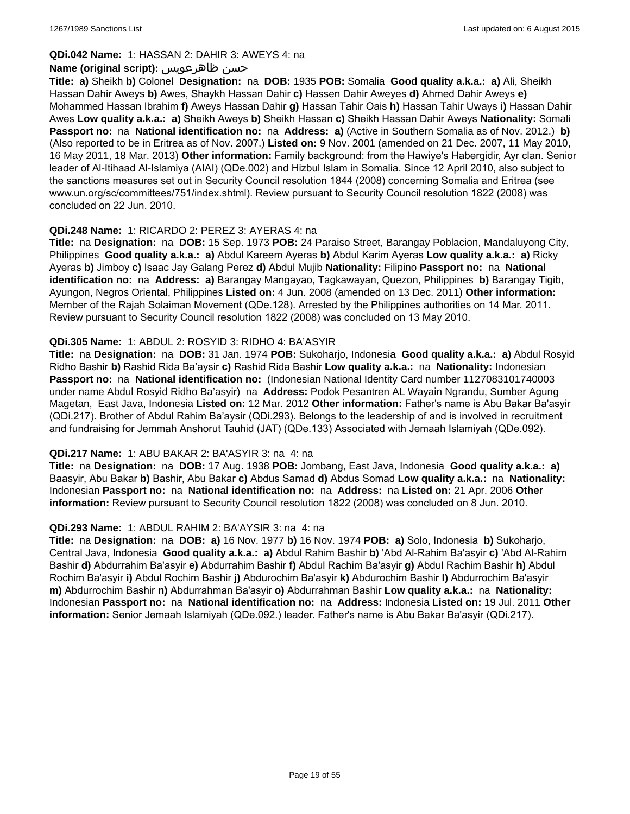### **QDi.042 Name:** 1: HASSAN 2: DAHIR 3: AWEYS 4: na

### **Name (original script):** ظاهرعويس حسن

**Title: a)** Sheikh **b)** Colonel **Designation:** na **DOB:** 1935 **POB:** Somalia **Good quality a.k.a.: a)** Ali, Sheikh Hassan Dahir Aweys **b)** Awes, Shaykh Hassan Dahir **c)** Hassen Dahir Aweyes **d)** Ahmed Dahir Aweys **e)** Mohammed Hassan Ibrahim **f)** Aweys Hassan Dahir **g)** Hassan Tahir Oais **h)** Hassan Tahir Uways **i)** Hassan Dahir Awes **Low quality a.k.a.: a)** Sheikh Aweys **b)** Sheikh Hassan **c)** Sheikh Hassan Dahir Aweys **Nationality:** Somali **Passport no:** na **National identification no:** na **Address: a)** (Active in Southern Somalia as of Nov. 2012.) **b)** (Also reported to be in Eritrea as of Nov. 2007.) **Listed on:** 9 Nov. 2001 (amended on 21 Dec. 2007, 11 May 2010, 16 May 2011, 18 Mar. 2013) **Other information:** Family background: from the Hawiye's Habergidir, Ayr clan. Senior leader of Al-Itihaad Al-Islamiya (AIAI) (QDe.002) and Hizbul Islam in Somalia. Since 12 April 2010, also subject to the sanctions measures set out in Security Council resolution 1844 (2008) concerning Somalia and Eritrea (see www.un.org/sc/committees/751/index.shtml). Review pursuant to Security Council resolution 1822 (2008) was concluded on 22 Jun. 2010.

### **QDi.248 Name:** 1: RICARDO 2: PEREZ 3: AYERAS 4: na

**Title:** na **Designation:** na **DOB:** 15 Sep. 1973 **POB:** 24 Paraiso Street, Barangay Poblacion, Mandaluyong City, Philippines **Good quality a.k.a.: a)** Abdul Kareem Ayeras **b)** Abdul Karim Ayeras **Low quality a.k.a.: a)** Ricky Ayeras **b)** Jimboy **c)** Isaac Jay Galang Perez **d)** Abdul Mujib **Nationality:** Filipino **Passport no:** na **National identification no:** na **Address: a)** Barangay Mangayao, Tagkawayan, Quezon, Philippines **b)** Barangay Tigib, Ayungon, Negros Oriental, Philippines **Listed on:** 4 Jun. 2008 (amended on 13 Dec. 2011) **Other information:** Member of the Rajah Solaiman Movement (QDe.128). Arrested by the Philippines authorities on 14 Mar. 2011. Review pursuant to Security Council resolution 1822 (2008) was concluded on 13 May 2010.

### **QDi.305 Name:** 1: ABDUL 2: ROSYID 3: RIDHO 4: BA'ASYIR

**Title:** na **Designation:** na **DOB:** 31 Jan. 1974 **POB:** Sukoharjo, Indonesia **Good quality a.k.a.: a)** Abdul Rosyid Ridho Bashir **b)** Rashid Rida Ba'aysir **c)** Rashid Rida Bashir **Low quality a.k.a.:** na **Nationality:** Indonesian **Passport no:** na **National identification no:** (Indonesian National Identity Card number 1127083101740003 under name Abdul Rosyid Ridho Ba'asyir) na **Address:** Podok Pesantren AL Wayain Ngrandu, Sumber Agung Magetan, East Java, Indonesia **Listed on:** 12 Mar. 2012 **Other information:** Father's name is Abu Bakar Ba'asyir (QDi.217). Brother of Abdul Rahim Ba'aysir (QDi.293). Belongs to the leadership of and is involved in recruitment and fundraising for Jemmah Anshorut Tauhid (JAT) (QDe.133) Associated with Jemaah Islamiyah (QDe.092).

#### **QDi.217 Name:** 1: ABU BAKAR 2: BA'ASYIR 3: na 4: na

**Title:** na **Designation:** na **DOB:** 17 Aug. 1938 **POB:** Jombang, East Java, Indonesia **Good quality a.k.a.: a)** Baasyir, Abu Bakar **b)** Bashir, Abu Bakar **c)** Abdus Samad **d)** Abdus Somad **Low quality a.k.a.:** na **Nationality:** Indonesian **Passport no:** na **National identification no:** na **Address:** na **Listed on:** 21 Apr. 2006 **Other information:** Review pursuant to Security Council resolution 1822 (2008) was concluded on 8 Jun. 2010.

#### **QDi.293 Name:** 1: ABDUL RAHIM 2: BA'AYSIR 3: na 4: na

**Title:** na **Designation:** na **DOB: a)** 16 Nov. 1977 **b)** 16 Nov. 1974 **POB: a)** Solo, Indonesia **b)** Sukoharjo, Central Java, Indonesia **Good quality a.k.a.: a)** Abdul Rahim Bashir **b)** 'Abd Al-Rahim Ba'asyir **c)** 'Abd Al-Rahim Bashir **d)** Abdurrahim Ba'asyir **e)** Abdurrahim Bashir **f)** Abdul Rachim Ba'asyir **g)** Abdul Rachim Bashir **h)** Abdul Rochim Ba'asyir **i)** Abdul Rochim Bashir **j)** Abdurochim Ba'asyir **k)** Abdurochim Bashir **l)** Abdurrochim Ba'asyir **m)** Abdurrochim Bashir **n)** Abdurrahman Ba'asyir **o)** Abdurrahman Bashir **Low quality a.k.a.:** na **Nationality:** Indonesian **Passport no:** na **National identification no:** na **Address:** Indonesia **Listed on:** 19 Jul. 2011 **Other information:** Senior Jemaah Islamiyah (QDe.092.) leader. Father's name is Abu Bakar Ba'asyir (QDi.217).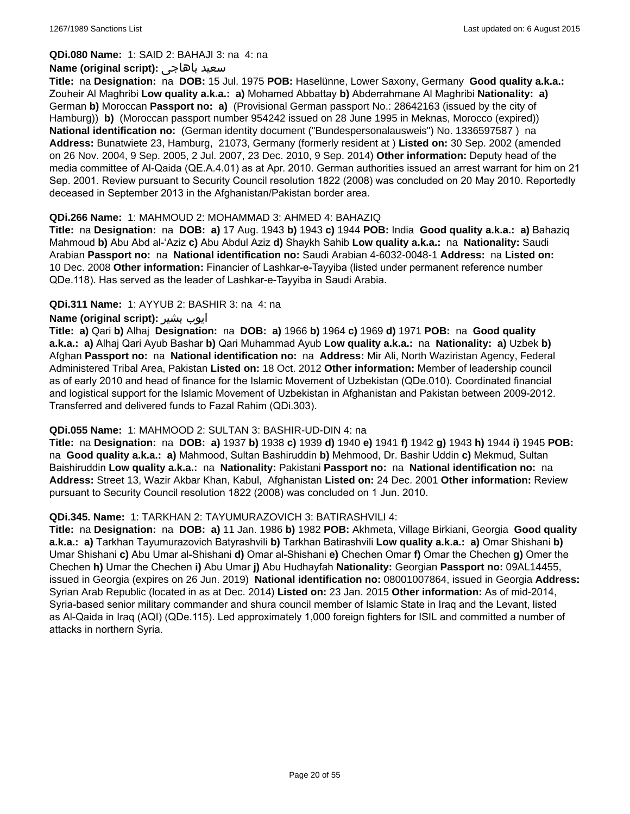**QDi.080 Name:** 1: SAID 2: BAHAJI 3: na 4: na

#### **Name (original script):** باهاجى سعيد

**Title:** na **Designation:** na **DOB:** 15 Jul. 1975 **POB:** Haselünne, Lower Saxony, Germany **Good quality a.k.a.:** Zouheir Al Maghribi **Low quality a.k.a.: a)** Mohamed Abbattay **b)** Abderrahmane Al Maghribi **Nationality: a)** German **b)** Moroccan **Passport no: a)** (Provisional German passport No.: 28642163 (issued by the city of Hamburg)) **b)** (Moroccan passport number 954242 issued on 28 June 1995 in Meknas, Morocco (expired)) **National identification no:** (German identity document ("Bundespersonalausweis") No. 1336597587 ) na **Address:** Bunatwiete 23, Hamburg, 21073, Germany (formerly resident at ) **Listed on:** 30 Sep. 2002 (amended on 26 Nov. 2004, 9 Sep. 2005, 2 Jul. 2007, 23 Dec. 2010, 9 Sep. 2014) **Other information:** Deputy head of the media committee of Al-Qaida (QE.A.4.01) as at Apr. 2010. German authorities issued an arrest warrant for him on 21 Sep. 2001. Review pursuant to Security Council resolution 1822 (2008) was concluded on 20 May 2010. Reportedly deceased in September 2013 in the Afghanistan/Pakistan border area.

### **QDi.266 Name:** 1: MAHMOUD 2: MOHAMMAD 3: AHMED 4: BAHAZIQ

**Title:** na **Designation:** na **DOB: a)** 17 Aug. 1943 **b)** 1943 **c)** 1944 **POB:** India **Good quality a.k.a.: a)** Bahaziq Mahmoud **b)** Abu Abd al-'Aziz **c)** Abu Abdul Aziz **d)** Shaykh Sahib **Low quality a.k.a.:** na **Nationality:** Saudi Arabian **Passport no:** na **National identification no:** Saudi Arabian 4-6032-0048-1 **Address:** na **Listed on:** 10 Dec. 2008 **Other information:** Financier of Lashkar-e-Tayyiba (listed under permanent reference number QDe.118). Has served as the leader of Lashkar-e-Tayyiba in Saudi Arabia.

### **QDi.311 Name:** 1: AYYUB 2: BASHIR 3: na 4: na

### **Name (original script):** بشیر ایوب

**Title: a)** Qari **b)** Alhaj **Designation:** na **DOB: a)** 1966 **b)** 1964 **c)** 1969 **d)** 1971 **POB:** na **Good quality a.k.a.: a)** Alhaj Qari Ayub Bashar **b)** Qari Muhammad Ayub **Low quality a.k.a.:** na **Nationality: a)** Uzbek **b)** Afghan **Passport no:** na **National identification no:** na **Address:** Mir Ali, North Waziristan Agency, Federal Administered Tribal Area, Pakistan **Listed on:** 18 Oct. 2012 **Other information:** Member of leadership council as of early 2010 and head of finance for the Islamic Movement of Uzbekistan (QDe.010). Coordinated financial and logistical support for the Islamic Movement of Uzbekistan in Afghanistan and Pakistan between 2009-2012. Transferred and delivered funds to Fazal Rahim (QDi.303).

#### **QDi.055 Name:** 1: MAHMOOD 2: SULTAN 3: BASHIR-UD-DIN 4: na

**Title:** na **Designation:** na **DOB: a)** 1937 **b)** 1938 **c)** 1939 **d)** 1940 **e)** 1941 **f)** 1942 **g)** 1943 **h)** 1944 **i)** 1945 **POB:**  na **Good quality a.k.a.: a)** Mahmood, Sultan Bashiruddin **b)** Mehmood, Dr. Bashir Uddin **c)** Mekmud, Sultan Baishiruddin **Low quality a.k.a.:** na **Nationality:** Pakistani **Passport no:** na **National identification no:** na **Address:** Street 13, Wazir Akbar Khan, Kabul, Afghanistan **Listed on:** 24 Dec. 2001 **Other information:** Review pursuant to Security Council resolution 1822 (2008) was concluded on 1 Jun. 2010.

#### **QDi.345. Name:** 1: TARKHAN 2: TAYUMURAZOVICH 3: BATIRASHVILI 4:

**Title:** na **Designation:** na **DOB: a)** 11 Jan. 1986 **b)** 1982 **POB:** Akhmeta, Village Birkiani, Georgia **Good quality a.k.a.: a)** Tarkhan Tayumurazovich Batyrashvili **b)** Tarkhan Batirashvili **Low quality a.k.a.: a)** Omar Shishani **b)** Umar Shishani **c)** Abu Umar al-Shishani **d)** Omar al-Shishani **e)** Chechen Omar **f)** Omar the Chechen **g)** Omer the Chechen **h)** Umar the Chechen **i)** Abu Umar **j)** Abu Hudhayfah **Nationality:** Georgian **Passport no:** 09AL14455, issued in Georgia (expires on 26 Jun. 2019) **National identification no:** 08001007864, issued in Georgia **Address:** Syrian Arab Republic (located in as at Dec. 2014) **Listed on:** 23 Jan. 2015 **Other information:** As of mid-2014, Syria-based senior military commander and shura council member of Islamic State in Iraq and the Levant, listed as Al-Qaida in Iraq (AQI) (QDe.115). Led approximately 1,000 foreign fighters for ISIL and committed a number of attacks in northern Syria.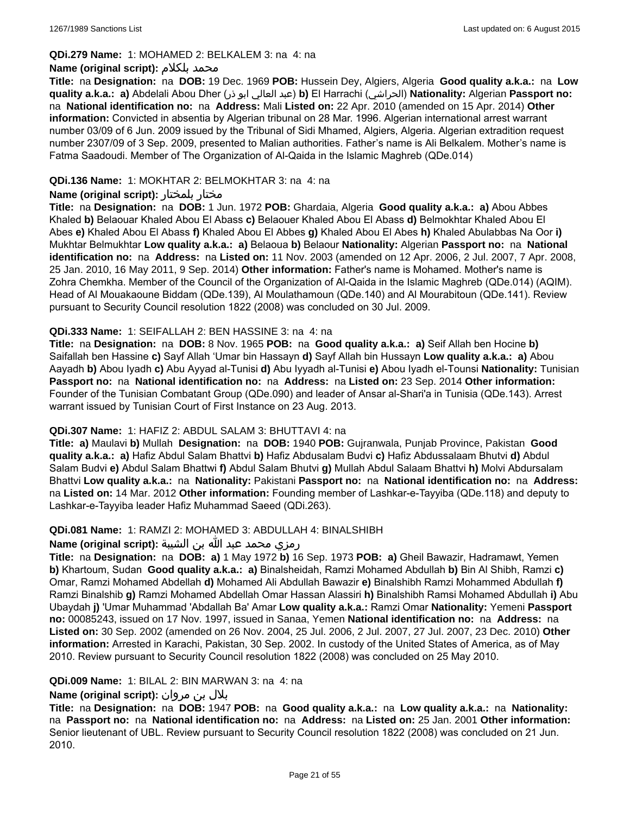#### **QDi.279 Name:** 1: MOHAMED 2: BELKALEM 3: na 4: na

#### **Name (original script):** بلكلام محمد

**Title:** na **Designation:** na **DOB:** 19 Dec. 1969 **POB:** Hussein Dey, Algiers, Algeria **Good quality a.k.a.:** na **Low quality a.k.a.: a)** Abdelali Abou Dher (ذر ابو العالي عبد(**b)** El Harrachi (الحراشي(**Nationality:** Algerian **Passport no:**  na **National identification no:** na **Address:** Mali **Listed on:** 22 Apr. 2010 (amended on 15 Apr. 2014) **Other information:** Convicted in absentia by Algerian tribunal on 28 Mar. 1996. Algerian international arrest warrant number 03/09 of 6 Jun. 2009 issued by the Tribunal of Sidi Mhamed, Algiers, Algeria. Algerian extradition request number 2307/09 of 3 Sep. 2009, presented to Malian authorities. Father's name is Ali Belkalem. Mother's name is Fatma Saadoudi. Member of The Organization of Al-Qaida in the Islamic Maghreb (QDe.014)

### **QDi.136 Name:** 1: MOKHTAR 2: BELMOKHTAR 3: na 4: na

### **Name (original script):** بلمختار مختار

**Title:** na **Designation:** na **DOB:** 1 Jun. 1972 **POB:** Ghardaia, Algeria **Good quality a.k.a.: a)** Abou Abbes Khaled **b)** Belaouar Khaled Abou El Abass **c)** Belaouer Khaled Abou El Abass **d)** Belmokhtar Khaled Abou El Abes **e)** Khaled Abou El Abass **f)** Khaled Abou El Abbes **g)** Khaled Abou El Abes **h)** Khaled Abulabbas Na Oor **i)** Mukhtar Belmukhtar **Low quality a.k.a.: a)** Belaoua **b)** Belaour **Nationality:** Algerian **Passport no:** na **National identification no:** na **Address:** na **Listed on:** 11 Nov. 2003 (amended on 12 Apr. 2006, 2 Jul. 2007, 7 Apr. 2008, 25 Jan. 2010, 16 May 2011, 9 Sep. 2014) **Other information:** Father's name is Mohamed. Mother's name is Zohra Chemkha. Member of the Council of the Organization of Al-Qaida in the Islamic Maghreb (QDe.014) (AQIM). Head of Al Mouakaoune Biddam (QDe.139), Al Moulathamoun (QDe.140) and Al Mourabitoun (QDe.141). Review pursuant to Security Council resolution 1822 (2008) was concluded on 30 Jul. 2009.

### **QDi.333 Name:** 1: SEIFALLAH 2: BEN HASSINE 3: na 4: na

**Title:** na **Designation:** na **DOB:** 8 Nov. 1965 **POB:** na **Good quality a.k.a.: a)** Seif Allah ben Hocine **b)** Saifallah ben Hassine **c)** Sayf Allah 'Umar bin Hassayn **d)** Sayf Allah bin Hussayn **Low quality a.k.a.: a)** Abou Aayadh **b)** Abou Iyadh **c)** Abu Ayyad al-Tunisi **d)** Abu Iyyadh al-Tunisi **e)** Abou Iyadh el-Tounsi **Nationality:** Tunisian **Passport no:** na **National identification no:** na **Address:** na **Listed on:** 23 Sep. 2014 **Other information:** Founder of the Tunisian Combatant Group (QDe.090) and leader of Ansar al-Shari'a in Tunisia (QDe.143). Arrest warrant issued by Tunisian Court of First Instance on 23 Aug. 2013.

#### **QDi.307 Name:** 1: HAFIZ 2: ABDUL SALAM 3: BHUTTAVI 4: na

**Title: a)** Maulavi **b)** Mullah **Designation:** na **DOB:** 1940 **POB:** Gujranwala, Punjab Province, Pakistan **Good quality a.k.a.: a)** Hafiz Abdul Salam Bhattvi **b)** Hafiz Abdusalam Budvi **c)** Hafiz Abdussalaam Bhutvi **d)** Abdul Salam Budvi **e)** Abdul Salam Bhattwi **f)** Abdul Salam Bhutvi **g)** Mullah Abdul Salaam Bhattvi **h)** Molvi Abdursalam Bhattvi **Low quality a.k.a.:** na **Nationality:** Pakistani **Passport no:** na **National identification no:** na **Address:** na **Listed on:** 14 Mar. 2012 **Other information:** Founding member of Lashkar-e-Tayyiba (QDe.118) and deputy to Lashkar-e-Tayyiba leader Hafiz Muhammad Saeed (QDi.263).

## **QDi.081 Name:** 1: RAMZI 2: MOHAMED 3: ABDULLAH 4: BINALSHIBH

#### رمزي محمد عبد الله بن الشيبة **:(script original (Name**

**Title:** na **Designation:** na **DOB: a)** 1 May 1972 **b)** 16 Sep. 1973 **POB: a)** Gheil Bawazir, Hadramawt, Yemen **b)** Khartoum, Sudan **Good quality a.k.a.: a)** Binalsheidah, Ramzi Mohamed Abdullah **b)** Bin Al Shibh, Ramzi **c)** Omar, Ramzi Mohamed Abdellah **d)** Mohamed Ali Abdullah Bawazir **e)** Binalshibh Ramzi Mohammed Abdullah **f)** Ramzi Binalshib **g)** Ramzi Mohamed Abdellah Omar Hassan Alassiri **h)** Binalshibh Ramsi Mohamed Abdullah **i)** Abu Ubaydah **j)** 'Umar Muhammad 'Abdallah Ba' Amar **Low quality a.k.a.:** Ramzi Omar **Nationality:** Yemeni **Passport no:** 00085243, issued on 17 Nov. 1997, issued in Sanaa, Yemen **National identification no:** na **Address:** na **Listed on:** 30 Sep. 2002 (amended on 26 Nov. 2004, 25 Jul. 2006, 2 Jul. 2007, 27 Jul. 2007, 23 Dec. 2010) **Other information:** Arrested in Karachi, Pakistan, 30 Sep. 2002. In custody of the United States of America, as of May 2010. Review pursuant to Security Council resolution 1822 (2008) was concluded on 25 May 2010.

#### **QDi.009 Name:** 1: BILAL 2: BIN MARWAN 3: na 4: na

## بلال بن مروان **:(script original (Name**

**Title:** na **Designation:** na **DOB:** 1947 **POB:** na **Good quality a.k.a.:** na **Low quality a.k.a.:** na **Nationality:**  na **Passport no:** na **National identification no:** na **Address:** na **Listed on:** 25 Jan. 2001 **Other information:** Senior lieutenant of UBL. Review pursuant to Security Council resolution 1822 (2008) was concluded on 21 Jun. 2010.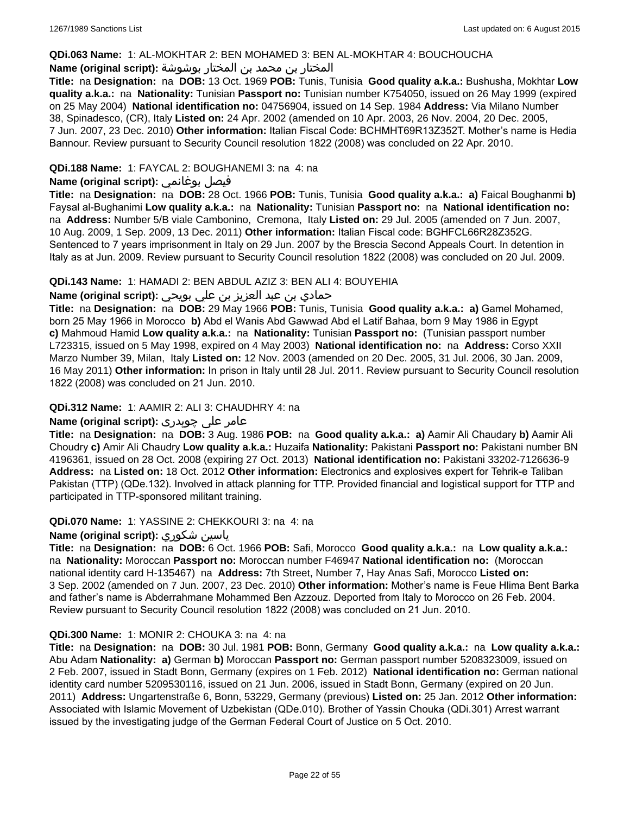### **QDi.063 Name:** 1: AL-MOKHTAR 2: BEN MOHAMED 3: BEN AL-MOKHTAR 4: BOUCHOUCHA

## المختار بن محمد بن المختار بوشوشة **:(script original (Name**

**Title:** na **Designation:** na **DOB:** 13 Oct. 1969 **POB:** Tunis, Tunisia **Good quality a.k.a.:** Bushusha, Mokhtar **Low quality a.k.a.:** na **Nationality:** Tunisian **Passport no:** Tunisian number K754050, issued on 26 May 1999 (expired on 25 May 2004) **National identification no:** 04756904, issued on 14 Sep. 1984 **Address:** Via Milano Number 38, Spinadesco, (CR), Italy **Listed on:** 24 Apr. 2002 (amended on 10 Apr. 2003, 26 Nov. 2004, 20 Dec. 2005, 7 Jun. 2007, 23 Dec. 2010) **Other information:** Italian Fiscal Code: BCHMHT69R13Z352T. Mother's name is Hedia Bannour. Review pursuant to Security Council resolution 1822 (2008) was concluded on 22 Apr. 2010.

## **QDi.188 Name:** 1: FAYCAL 2: BOUGHANEMI 3: na 4: na

## **Name (original script):** بوغانمي فيصل

**Title:** na **Designation:** na **DOB:** 28 Oct. 1966 **POB:** Tunis, Tunisia **Good quality a.k.a.: a)** Faical Boughanmi **b)** Faysal al-Bughanimi **Low quality a.k.a.:** na **Nationality:** Tunisian **Passport no:** na **National identification no:**  na **Address:** Number 5/B viale Cambonino, Cremona, Italy **Listed on:** 29 Jul. 2005 (amended on 7 Jun. 2007, 10 Aug. 2009, 1 Sep. 2009, 13 Dec. 2011) **Other information:** Italian Fiscal code: BGHFCL66R28Z352G. Sentenced to 7 years imprisonment in Italy on 29 Jun. 2007 by the Brescia Second Appeals Court. In detention in Italy as at Jun. 2009. Review pursuant to Security Council resolution 1822 (2008) was concluded on 20 Jul. 2009.

### **QDi.143 Name:** 1: HAMADI 2: BEN ABDUL AZIZ 3: BEN ALI 4: BOUYEHIA

## حمادي بن عبد العزيز بن علي بويحي **:(script original (Name**

**Title:** na **Designation:** na **DOB:** 29 May 1966 **POB:** Tunis, Tunisia **Good quality a.k.a.: a)** Gamel Mohamed, born 25 May 1966 in Morocco **b)** Abd el Wanis Abd Gawwad Abd el Latif Bahaa, born 9 May 1986 in Egypt **c)** Mahmoud Hamid **Low quality a.k.a.:** na **Nationality:** Tunisian **Passport no:** (Tunisian passport number L723315, issued on 5 May 1998, expired on 4 May 2003) **National identification no:** na **Address:** Corso XXII Marzo Number 39, Milan, Italy **Listed on:** 12 Nov. 2003 (amended on 20 Dec. 2005, 31 Jul. 2006, 30 Jan. 2009, 16 May 2011) **Other information:** In prison in Italy until 28 Jul. 2011. Review pursuant to Security Council resolution 1822 (2008) was concluded on 21 Jun. 2010.

### **QDi.312 Name:** 1: AAMIR 2: ALI 3: CHAUDHRY 4: na

## عامر علی چوہدری **:(script original (Name**

**Title:** na **Designation:** na **DOB:** 3 Aug. 1986 **POB:** na **Good quality a.k.a.: a)** Aamir Ali Chaudary **b)** Aamir Ali Choudry **c)** Amir Ali Chaudry **Low quality a.k.a.:** Huzaifa **Nationality:** Pakistani **Passport no:** Pakistani number BN 4196361, issued on 28 Oct. 2008 (expiring 27 Oct. 2013) **National identification no:** Pakistani 33202-7126636-9 **Address:** na **Listed on:** 18 Oct. 2012 **Other information:** Electronics and explosives expert for Tehrik-e Taliban Pakistan (TTP) (QDe.132). Involved in attack planning for TTP. Provided financial and logistical support for TTP and participated in TTP-sponsored militant training.

#### **QDi.070 Name:** 1: YASSINE 2: CHEKKOURI 3: na 4: na

## **Name (original script):** شكوري ياسين

**Title:** na **Designation:** na **DOB:** 6 Oct. 1966 **POB:** Safi, Morocco **Good quality a.k.a.:** na **Low quality a.k.a.:**  na **Nationality:** Moroccan **Passport no:** Moroccan number F46947 **National identification no:** (Moroccan national identity card H-135467) na **Address:** 7th Street, Number 7, Hay Anas Safi, Morocco **Listed on:** 3 Sep. 2002 (amended on 7 Jun. 2007, 23 Dec. 2010) **Other information:** Mother's name is Feue Hlima Bent Barka and father's name is Abderrahmane Mohammed Ben Azzouz. Deported from Italy to Morocco on 26 Feb. 2004. Review pursuant to Security Council resolution 1822 (2008) was concluded on 21 Jun. 2010.

#### **QDi.300 Name:** 1: MONIR 2: CHOUKA 3: na 4: na

**Title:** na **Designation:** na **DOB:** 30 Jul. 1981 **POB:** Bonn, Germany **Good quality a.k.a.:** na **Low quality a.k.a.:** Abu Adam **Nationality: a)** German **b)** Moroccan **Passport no:** German passport number 5208323009, issued on 2 Feb. 2007, issued in Stadt Bonn, Germany (expires on 1 Feb. 2012) **National identification no:** German national identity card number 5209530116, issued on 21 Jun. 2006, issued in Stadt Bonn, Germany (expired on 20 Jun. 2011) **Address:** Ungartenstraße 6, Bonn, 53229, Germany (previous) **Listed on:** 25 Jan. 2012 **Other information:** Associated with Islamic Movement of Uzbekistan (QDe.010). Brother of Yassin Chouka (QDi.301) Arrest warrant issued by the investigating judge of the German Federal Court of Justice on 5 Oct. 2010.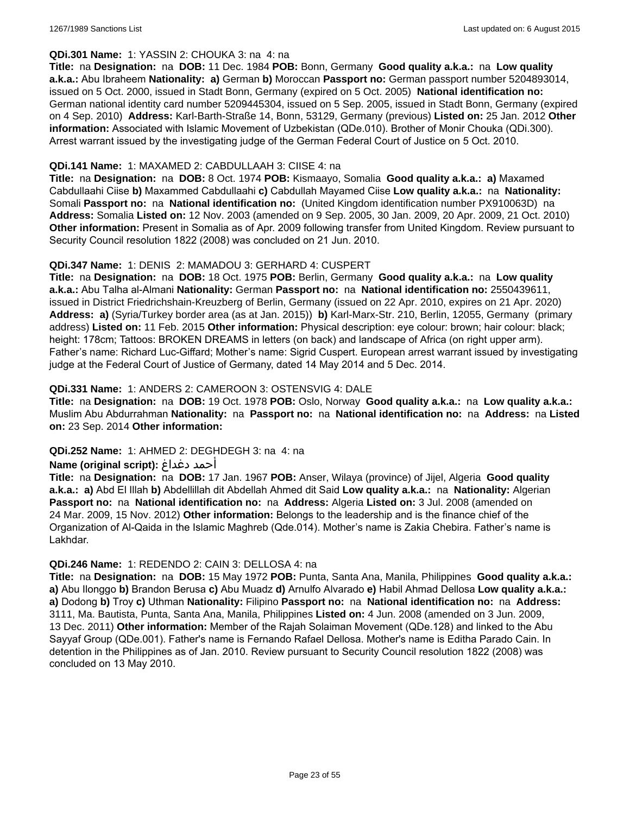#### **QDi.301 Name:** 1: YASSIN 2: CHOUKA 3: na 4: na

**Title:** na **Designation:** na **DOB:** 11 Dec. 1984 **POB:** Bonn, Germany **Good quality a.k.a.:** na **Low quality a.k.a.:** Abu Ibraheem **Nationality: a)** German **b)** Moroccan **Passport no:** German passport number 5204893014, issued on 5 Oct. 2000, issued in Stadt Bonn, Germany (expired on 5 Oct. 2005) **National identification no:** German national identity card number 5209445304, issued on 5 Sep. 2005, issued in Stadt Bonn, Germany (expired on 4 Sep. 2010) **Address:** Karl-Barth-Straße 14, Bonn, 53129, Germany (previous) **Listed on:** 25 Jan. 2012 **Other information:** Associated with Islamic Movement of Uzbekistan (QDe.010). Brother of Monir Chouka (QDi.300). Arrest warrant issued by the investigating judge of the German Federal Court of Justice on 5 Oct. 2010.

### **QDi.141 Name:** 1: MAXAMED 2: CABDULLAAH 3: CIISE 4: na

**Title:** na **Designation:** na **DOB:** 8 Oct. 1974 **POB:** Kismaayo, Somalia **Good quality a.k.a.: a)** Maxamed Cabdullaahi Ciise **b)** Maxammed Cabdullaahi **c)** Cabdullah Mayamed Ciise **Low quality a.k.a.:** na **Nationality:** Somali **Passport no:** na **National identification no:** (United Kingdom identification number PX910063D) na **Address:** Somalia **Listed on:** 12 Nov. 2003 (amended on 9 Sep. 2005, 30 Jan. 2009, 20 Apr. 2009, 21 Oct. 2010) **Other information:** Present in Somalia as of Apr. 2009 following transfer from United Kingdom. Review pursuant to Security Council resolution 1822 (2008) was concluded on 21 Jun. 2010.

### **QDi.347 Name:** 1: DENIS 2: MAMADOU 3: GERHARD 4: CUSPERT

**Title:** na **Designation:** na **DOB:** 18 Oct. 1975 **POB:** Berlin, Germany **Good quality a.k.a.:** na **Low quality a.k.a.:** Abu Talha al-Almani **Nationality:** German **Passport no:** na **National identification no:** 2550439611, issued in District Friedrichshain-Kreuzberg of Berlin, Germany (issued on 22 Apr. 2010, expires on 21 Apr. 2020) **Address: a)** (Syria/Turkey border area (as at Jan. 2015)) **b)** Karl-Marx-Str. 210, Berlin, 12055, Germany (primary address) **Listed on:** 11 Feb. 2015 **Other information:** Physical description: eye colour: brown; hair colour: black; height: 178cm; Tattoos: BROKEN DREAMS in letters (on back) and landscape of Africa (on right upper arm). Father's name: Richard Luc-Giffard; Mother's name: Sigrid Cuspert. European arrest warrant issued by investigating judge at the Federal Court of Justice of Germany, dated 14 May 2014 and 5 Dec. 2014.

### **QDi.331 Name:** 1: ANDERS 2: CAMEROON 3: OSTENSVIG 4: DALE

**Title:** na **Designation:** na **DOB:** 19 Oct. 1978 **POB:** Oslo, Norway **Good quality a.k.a.:** na **Low quality a.k.a.:** Muslim Abu Abdurrahman **Nationality:** na **Passport no:** na **National identification no:** na **Address:** na **Listed on:** 23 Sep. 2014 **Other information:**

#### **QDi.252 Name:** 1: AHMED 2: DEGHDEGH 3: na 4: na

## **Name (original script):** دغداغ أحمد

**Title:** na **Designation:** na **DOB:** 17 Jan. 1967 **POB:** Anser, Wilaya (province) of Jijel, Algeria **Good quality a.k.a.: a)** Abd El Illah **b)** Abdellillah dit Abdellah Ahmed dit Said **Low quality a.k.a.:** na **Nationality:** Algerian **Passport no:** na **National identification no:** na **Address:** Algeria **Listed on:** 3 Jul. 2008 (amended on 24 Mar. 2009, 15 Nov. 2012) **Other information:** Belongs to the leadership and is the finance chief of the Organization of Al-Qaida in the Islamic Maghreb (Qde.014). Mother's name is Zakia Chebira. Father's name is Lakhdar.

#### **QDi.246 Name:** 1: REDENDO 2: CAIN 3: DELLOSA 4: na

**Title:** na **Designation:** na **DOB:** 15 May 1972 **POB:** Punta, Santa Ana, Manila, Philippines **Good quality a.k.a.: a)** Abu Ilonggo **b)** Brandon Berusa **c)** Abu Muadz **d)** Arnulfo Alvarado **e)** Habil Ahmad Dellosa **Low quality a.k.a.: a)** Dodong **b)** Troy **c)** Uthman **Nationality:** Filipino **Passport no:** na **National identification no:** na **Address:** 3111, Ma. Bautista, Punta, Santa Ana, Manila, Philippines **Listed on:** 4 Jun. 2008 (amended on 3 Jun. 2009, 13 Dec. 2011) **Other information:** Member of the Rajah Solaiman Movement (QDe.128) and linked to the Abu Sayyaf Group (QDe.001). Father's name is Fernando Rafael Dellosa. Mother's name is Editha Parado Cain. In detention in the Philippines as of Jan. 2010. Review pursuant to Security Council resolution 1822 (2008) was concluded on 13 May 2010.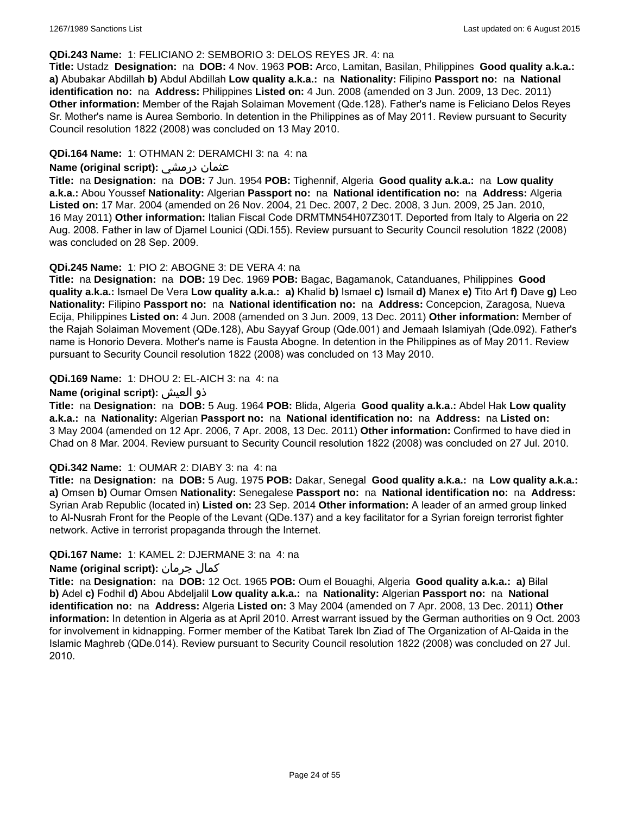#### **QDi.243 Name:** 1: FELICIANO 2: SEMBORIO 3: DELOS REYES JR. 4: na

**Title:** Ustadz **Designation:** na **DOB:** 4 Nov. 1963 **POB:** Arco, Lamitan, Basilan, Philippines **Good quality a.k.a.: a)** Abubakar Abdillah **b)** Abdul Abdillah **Low quality a.k.a.:** na **Nationality:** Filipino **Passport no:** na **National identification no:** na **Address:** Philippines **Listed on:** 4 Jun. 2008 (amended on 3 Jun. 2009, 13 Dec. 2011) **Other information:** Member of the Rajah Solaiman Movement (Qde.128). Father's name is Feliciano Delos Reyes Sr. Mother's name is Aurea Semborio. In detention in the Philippines as of May 2011. Review pursuant to Security Council resolution 1822 (2008) was concluded on 13 May 2010.

### **QDi.164 Name:** 1: OTHMAN 2: DERAMCHI 3: na 4: na

### **Name (original script):** درمشي عثمان

**Title:** na **Designation:** na **DOB:** 7 Jun. 1954 **POB:** Tighennif, Algeria **Good quality a.k.a.:** na **Low quality a.k.a.:** Abou Youssef **Nationality:** Algerian **Passport no:** na **National identification no:** na **Address:** Algeria **Listed on:** 17 Mar. 2004 (amended on 26 Nov. 2004, 21 Dec. 2007, 2 Dec. 2008, 3 Jun. 2009, 25 Jan. 2010, 16 May 2011) **Other information:** Italian Fiscal Code DRMTMN54H07Z301T. Deported from Italy to Algeria on 22 Aug. 2008. Father in law of Djamel Lounici (QDi.155). Review pursuant to Security Council resolution 1822 (2008) was concluded on 28 Sep. 2009.

### **QDi.245 Name:** 1: PIO 2: ABOGNE 3: DE VERA 4: na

**Title:** na **Designation:** na **DOB:** 19 Dec. 1969 **POB:** Bagac, Bagamanok, Catanduanes, Philippines **Good quality a.k.a.:** Ismael De Vera **Low quality a.k.a.: a)** Khalid **b)** Ismael **c)** Ismail **d)** Manex **e)** Tito Art **f)** Dave **g)** Leo **Nationality:** Filipino **Passport no:** na **National identification no:** na **Address:** Concepcion, Zaragosa, Nueva Ecija, Philippines **Listed on:** 4 Jun. 2008 (amended on 3 Jun. 2009, 13 Dec. 2011) **Other information:** Member of the Rajah Solaiman Movement (QDe.128), Abu Sayyaf Group (Qde.001) and Jemaah Islamiyah (Qde.092). Father's name is Honorio Devera. Mother's name is Fausta Abogne. In detention in the Philippines as of May 2011. Review pursuant to Security Council resolution 1822 (2008) was concluded on 13 May 2010.

### **QDi.169 Name:** 1: DHOU 2: EL-AICH 3: na 4: na

### **Name (original script):** العيش ذو

**Title:** na **Designation:** na **DOB:** 5 Aug. 1964 **POB:** Blida, Algeria **Good quality a.k.a.:** Abdel Hak **Low quality a.k.a.:** na **Nationality:** Algerian **Passport no:** na **National identification no:** na **Address:** na **Listed on:** 3 May 2004 (amended on 12 Apr. 2006, 7 Apr. 2008, 13 Dec. 2011) **Other information:** Confirmed to have died in Chad on 8 Mar. 2004. Review pursuant to Security Council resolution 1822 (2008) was concluded on 27 Jul. 2010.

#### **QDi.342 Name:** 1: OUMAR 2: DIABY 3: na 4: na

**Title:** na **Designation:** na **DOB:** 5 Aug. 1975 **POB:** Dakar, Senegal **Good quality a.k.a.:** na **Low quality a.k.a.: a)** Omsen **b)** Oumar Omsen **Nationality:** Senegalese **Passport no:** na **National identification no:** na **Address:** Syrian Arab Republic (located in) **Listed on:** 23 Sep. 2014 **Other information:** A leader of an armed group linked to Al-Nusrah Front for the People of the Levant (QDe.137) and a key facilitator for a Syrian foreign terrorist fighter network. Active in terrorist propaganda through the Internet.

## **QDi.167 Name:** 1: KAMEL 2: DJERMANE 3: na 4: na

## **Name (original script):** جرمان كمال

**Title:** na **Designation:** na **DOB:** 12 Oct. 1965 **POB:** Oum el Bouaghi, Algeria **Good quality a.k.a.: a)** Bilal **b)** Adel **c)** Fodhil **d)** Abou Abdeljalil **Low quality a.k.a.:** na **Nationality:** Algerian **Passport no:** na **National identification no:** na **Address:** Algeria **Listed on:** 3 May 2004 (amended on 7 Apr. 2008, 13 Dec. 2011) **Other information:** In detention in Algeria as at April 2010. Arrest warrant issued by the German authorities on 9 Oct. 2003 for involvement in kidnapping. Former member of the Katibat Tarek Ibn Ziad of The Organization of Al-Qaida in the Islamic Maghreb (QDe.014). Review pursuant to Security Council resolution 1822 (2008) was concluded on 27 Jul. 2010.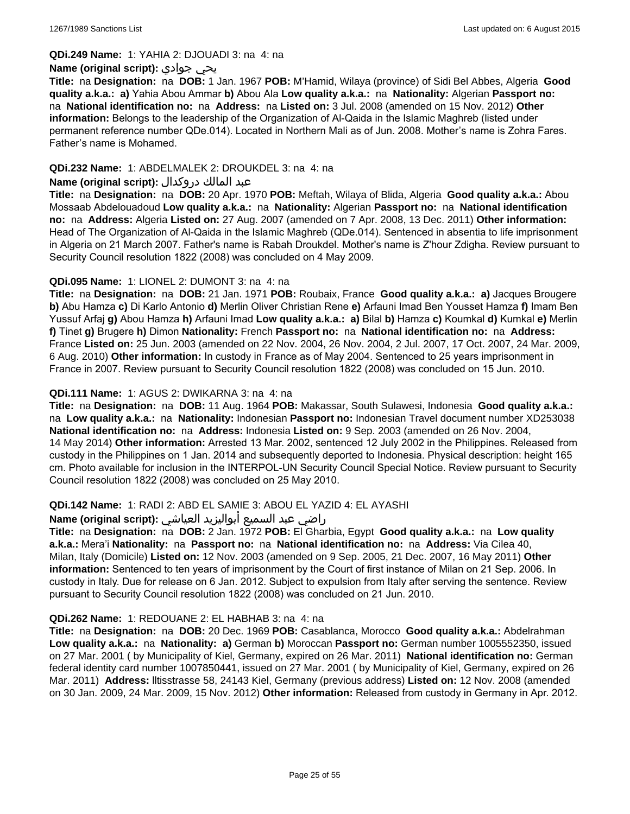**QDi.249 Name:** 1: YAHIA 2: DJOUADI 3: na 4: na

#### **Name (original script):** جوادي يحي

**Title:** na **Designation:** na **DOB:** 1 Jan. 1967 **POB:** M'Hamid, Wilaya (province) of Sidi Bel Abbes, Algeria **Good quality a.k.a.: a)** Yahia Abou Ammar **b)** Abou Ala **Low quality a.k.a.:** na **Nationality:** Algerian **Passport no:**  na **National identification no:** na **Address:** na **Listed on:** 3 Jul. 2008 (amended on 15 Nov. 2012) **Other information:** Belongs to the leadership of the Organization of Al-Qaida in the Islamic Maghreb (listed under permanent reference number QDe.014). Located in Northern Mali as of Jun. 2008. Mother's name is Zohra Fares. Father's name is Mohamed.

### **QDi.232 Name:** 1: ABDELMALEK 2: DROUKDEL 3: na 4: na

### عبد المالك دروكدال **:(script original (Name**

**Title:** na **Designation:** na **DOB:** 20 Apr. 1970 **POB:** Meftah, Wilaya of Blida, Algeria **Good quality a.k.a.:** Abou Mossaab Abdelouadoud **Low quality a.k.a.:** na **Nationality:** Algerian **Passport no:** na **National identification no:** na **Address:** Algeria **Listed on:** 27 Aug. 2007 (amended on 7 Apr. 2008, 13 Dec. 2011) **Other information:** Head of The Organization of Al-Qaida in the Islamic Maghreb (QDe.014). Sentenced in absentia to life imprisonment in Algeria on 21 March 2007. Father's name is Rabah Droukdel. Mother's name is Z'hour Zdigha. Review pursuant to Security Council resolution 1822 (2008) was concluded on 4 May 2009.

## **QDi.095 Name:** 1: LIONEL 2: DUMONT 3: na 4: na

**Title:** na **Designation:** na **DOB:** 21 Jan. 1971 **POB:** Roubaix, France **Good quality a.k.a.: a)** Jacques Brougere **b)** Abu Hamza **c)** Di Karlo Antonio **d)** Merlin Oliver Christian Rene **e)** Arfauni Imad Ben Yousset Hamza **f)** Imam Ben Yussuf Arfaj **g)** Abou Hamza **h)** Arfauni Imad **Low quality a.k.a.: a)** Bilal **b)** Hamza **c)** Koumkal **d)** Kumkal **e)** Merlin **f)** Tinet **g)** Brugere **h)** Dimon **Nationality:** French **Passport no:** na **National identification no:** na **Address:** France **Listed on:** 25 Jun. 2003 (amended on 22 Nov. 2004, 26 Nov. 2004, 2 Jul. 2007, 17 Oct. 2007, 24 Mar. 2009, 6 Aug. 2010) **Other information:** In custody in France as of May 2004. Sentenced to 25 years imprisonment in France in 2007. Review pursuant to Security Council resolution 1822 (2008) was concluded on 15 Jun. 2010.

### **QDi.111 Name:** 1: AGUS 2: DWIKARNA 3: na 4: na

**Title:** na **Designation:** na **DOB:** 11 Aug. 1964 **POB:** Makassar, South Sulawesi, Indonesia **Good quality a.k.a.:**  na **Low quality a.k.a.:** na **Nationality:** Indonesian **Passport no:** Indonesian Travel document number XD253038 **National identification no:** na **Address:** Indonesia **Listed on:** 9 Sep. 2003 (amended on 26 Nov. 2004, 14 May 2014) **Other information:** Arrested 13 Mar. 2002, sentenced 12 July 2002 in the Philippines. Released from custody in the Philippines on 1 Jan. 2014 and subsequently deported to Indonesia. Physical description: height 165 cm. Photo available for inclusion in the INTERPOL-UN Security Council Special Notice. Review pursuant to Security Council resolution 1822 (2008) was concluded on 25 May 2010.

## **QDi.142 Name:** 1: RADI 2: ABD EL SAMIE 3: ABOU EL YAZID 4: EL AYASHI

#### راضي عبد السميع أبواليزيد العياشي **:(script original (Name**

**Title:** na **Designation:** na **DOB:** 2 Jan. 1972 **POB:** El Gharbia, Egypt **Good quality a.k.a.:** na **Low quality a.k.a.:** Mera'i **Nationality:** na **Passport no:** na **National identification no:** na **Address:** Via Cilea 40, Milan, Italy (Domicile) **Listed on:** 12 Nov. 2003 (amended on 9 Sep. 2005, 21 Dec. 2007, 16 May 2011) **Other information:** Sentenced to ten years of imprisonment by the Court of first instance of Milan on 21 Sep. 2006. In custody in Italy. Due for release on 6 Jan. 2012. Subject to expulsion from Italy after serving the sentence. Review pursuant to Security Council resolution 1822 (2008) was concluded on 21 Jun. 2010.

#### **QDi.262 Name:** 1: REDOUANE 2: EL HABHAB 3: na 4: na

**Title:** na **Designation:** na **DOB:** 20 Dec. 1969 **POB:** Casablanca, Morocco **Good quality a.k.a.:** Abdelrahman **Low quality a.k.a.:** na **Nationality: a)** German **b)** Moroccan **Passport no:** German number 1005552350, issued on 27 Mar. 2001 ( by Municipality of Kiel, Germany, expired on 26 Mar. 2011) **National identification no:** German federal identity card number 1007850441, issued on 27 Mar. 2001 ( by Municipality of Kiel, Germany, expired on 26 Mar. 2011) **Address:** lltisstrasse 58, 24143 Kiel, Germany (previous address) **Listed on:** 12 Nov. 2008 (amended on 30 Jan. 2009, 24 Mar. 2009, 15 Nov. 2012) **Other information:** Released from custody in Germany in Apr. 2012.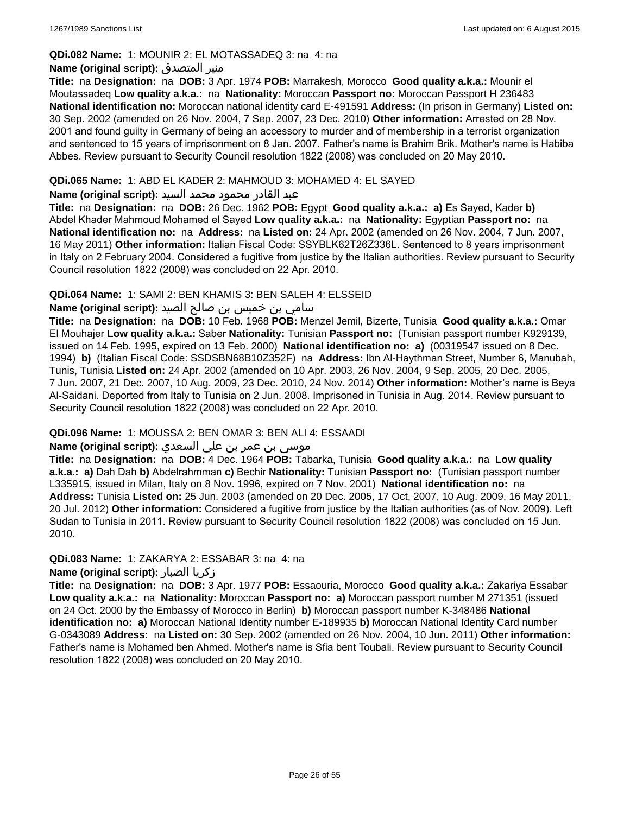### **QDi.082 Name:** 1: MOUNIR 2: EL MOTASSADEQ 3: na 4: na

#### **Name (original script):** المتصدق منير

**Title:** na **Designation:** na **DOB:** 3 Apr. 1974 **POB:** Marrakesh, Morocco **Good quality a.k.a.:** Mounir el Moutassadeq **Low quality a.k.a.:** na **Nationality:** Moroccan **Passport no:** Moroccan Passport H 236483 **National identification no:** Moroccan national identity card E-491591 **Address:** (In prison in Germany) **Listed on:** 30 Sep. 2002 (amended on 26 Nov. 2004, 7 Sep. 2007, 23 Dec. 2010) **Other information:** Arrested on 28 Nov. 2001 and found guilty in Germany of being an accessory to murder and of membership in a terrorist organization and sentenced to 15 years of imprisonment on 8 Jan. 2007. Father's name is Brahim Brik. Mother's name is Habiba Abbes. Review pursuant to Security Council resolution 1822 (2008) was concluded on 20 May 2010.

### **QDi.065 Name:** 1: ABD EL KADER 2: MAHMOUD 3: MOHAMED 4: EL SAYED

### عبد القادر محمود محمد السيد **:(script original (Name**

**Title:** na **Designation:** na **DOB:** 26 Dec. 1962 **POB:** Egypt **Good quality a.k.a.: a)** Es Sayed, Kader **b)** Abdel Khader Mahmoud Mohamed el Sayed **Low quality a.k.a.:** na **Nationality:** Egyptian **Passport no:** na **National identification no:** na **Address:** na **Listed on:** 24 Apr. 2002 (amended on 26 Nov. 2004, 7 Jun. 2007, 16 May 2011) **Other information:** Italian Fiscal Code: SSYBLK62T26Z336L. Sentenced to 8 years imprisonment in Italy on 2 February 2004. Considered a fugitive from justice by the Italian authorities. Review pursuant to Security Council resolution 1822 (2008) was concluded on 22 Apr. 2010.

### **QDi.064 Name:** 1: SAMI 2: BEN KHAMIS 3: BEN SALEH 4: ELSSEID

## سامي بن خميس بن صالح الصيد **:Name (original script**)

**Title:** na **Designation:** na **DOB:** 10 Feb. 1968 **POB:** Menzel Jemil, Bizerte, Tunisia **Good quality a.k.a.:** Omar El Mouhajer **Low quality a.k.a.:** Saber **Nationality:** Tunisian **Passport no:** (Tunisian passport number K929139, issued on 14 Feb. 1995, expired on 13 Feb. 2000) **National identification no: a)** (00319547 issued on 8 Dec. 1994) **b)** (Italian Fiscal Code: SSDSBN68B10Z352F) na **Address:** Ibn Al-Haythman Street, Number 6, Manubah, Tunis, Tunisia **Listed on:** 24 Apr. 2002 (amended on 10 Apr. 2003, 26 Nov. 2004, 9 Sep. 2005, 20 Dec. 2005, 7 Jun. 2007, 21 Dec. 2007, 10 Aug. 2009, 23 Dec. 2010, 24 Nov. 2014) **Other information:** Mother's name is Beya Al-Saidani. Deported from Italy to Tunisia on 2 Jun. 2008. Imprisoned in Tunisia in Aug. 2014. Review pursuant to Security Council resolution 1822 (2008) was concluded on 22 Apr. 2010.

#### **QDi.096 Name:** 1: MOUSSA 2: BEN OMAR 3: BEN ALI 4: ESSAADI

## موسى بن عمر بن علي السعدي **:Name (original script**)

**Title:** na **Designation:** na **DOB:** 4 Dec. 1964 **POB:** Tabarka, Tunisia **Good quality a.k.a.:** na **Low quality a.k.a.: a)** Dah Dah **b)** Abdelrahmman **c)** Bechir **Nationality:** Tunisian **Passport no:** (Tunisian passport number L335915, issued in Milan, Italy on 8 Nov. 1996, expired on 7 Nov. 2001) **National identification no:** na **Address:** Tunisia **Listed on:** 25 Jun. 2003 (amended on 20 Dec. 2005, 17 Oct. 2007, 10 Aug. 2009, 16 May 2011, 20 Jul. 2012) **Other information:** Considered a fugitive from justice by the Italian authorities (as of Nov. 2009). Left Sudan to Tunisia in 2011. Review pursuant to Security Council resolution 1822 (2008) was concluded on 15 Jun. 2010.

## **QDi.083 Name:** 1: ZAKARYA 2: ESSABAR 3: na 4: na

## **Name (original script):** الصبار زكريا

**Title:** na **Designation:** na **DOB:** 3 Apr. 1977 **POB:** Essaouria, Morocco **Good quality a.k.a.:** Zakariya Essabar **Low quality a.k.a.:** na **Nationality:** Moroccan **Passport no: a)** Moroccan passport number M 271351 (issued on 24 Oct. 2000 by the Embassy of Morocco in Berlin) **b)** Moroccan passport number K-348486 **National identification no: a)** Moroccan National Identity number E-189935 **b)** Moroccan National Identity Card number G-0343089 **Address:** na **Listed on:** 30 Sep. 2002 (amended on 26 Nov. 2004, 10 Jun. 2011) **Other information:** Father's name is Mohamed ben Ahmed. Mother's name is Sfia bent Toubali. Review pursuant to Security Council resolution 1822 (2008) was concluded on 20 May 2010.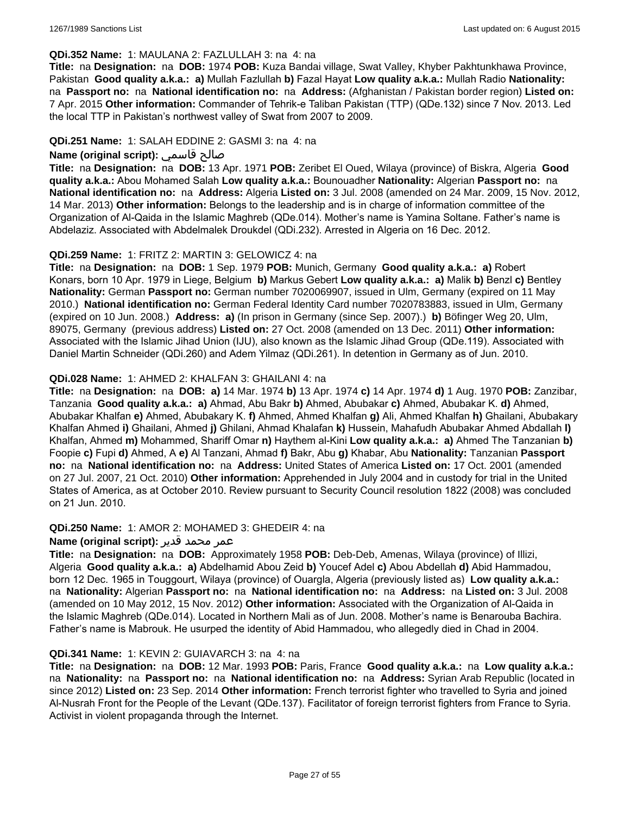#### **QDi.352 Name:** 1: MAULANA 2: FAZLULLAH 3: na 4: na

**Title:** na **Designation:** na **DOB:** 1974 **POB:** Kuza Bandai village, Swat Valley, Khyber Pakhtunkhawa Province, Pakistan **Good quality a.k.a.: a)** Mullah Fazlullah **b)** Fazal Hayat **Low quality a.k.a.:** Mullah Radio **Nationality:**  na **Passport no:** na **National identification no:** na **Address:** (Afghanistan / Pakistan border region) **Listed on:** 7 Apr. 2015 **Other information:** Commander of Tehrik-e Taliban Pakistan (TTP) (QDe.132) since 7 Nov. 2013. Led the local TTP in Pakistan's northwest valley of Swat from 2007 to 2009.

### **QDi.251 Name:** 1: SALAH EDDINE 2: GASMI 3: na 4: na

## **Name (original script):** قاسمي صالح

**Title:** na **Designation:** na **DOB:** 13 Apr. 1971 **POB:** Zeribet El Oued, Wilaya (province) of Biskra, Algeria **Good quality a.k.a.:** Abou Mohamed Salah **Low quality a.k.a.:** Bounouadher **Nationality:** Algerian **Passport no:** na **National identification no:** na **Address:** Algeria **Listed on:** 3 Jul. 2008 (amended on 24 Mar. 2009, 15 Nov. 2012, 14 Mar. 2013) **Other information:** Belongs to the leadership and is in charge of information committee of the Organization of Al-Qaida in the Islamic Maghreb (QDe.014). Mother's name is Yamina Soltane. Father's name is Abdelaziz. Associated with Abdelmalek Droukdel (QDi.232). Arrested in Algeria on 16 Dec. 2012.

### **QDi.259 Name:** 1: FRITZ 2: MARTIN 3: GELOWICZ 4: na

**Title:** na **Designation:** na **DOB:** 1 Sep. 1979 **POB:** Munich, Germany **Good quality a.k.a.: a)** Robert Konars, born 10 Apr. 1979 in Liege, Belgium **b)** Markus Gebert **Low quality a.k.a.: a)** Malik **b)** Benzl **c)** Bentley **Nationality:** German **Passport no:** German number 7020069907, issued in Ulm, Germany (expired on 11 May 2010.) **National identification no:** German Federal Identity Card number 7020783883, issued in Ulm, Germany (expired on 10 Jun. 2008.) **Address: a)** (In prison in Germany (since Sep. 2007).) **b)** Böfinger Weg 20, Ulm, 89075, Germany (previous address) **Listed on:** 27 Oct. 2008 (amended on 13 Dec. 2011) **Other information:** Associated with the Islamic Jihad Union (IJU), also known as the Islamic Jihad Group (QDe.119). Associated with Daniel Martin Schneider (QDi.260) and Adem Yilmaz (QDi.261). In detention in Germany as of Jun. 2010.

### **QDi.028 Name:** 1: AHMED 2: KHALFAN 3: GHAILANI 4: na

**Title:** na **Designation:** na **DOB: a)** 14 Mar. 1974 **b)** 13 Apr. 1974 **c)** 14 Apr. 1974 **d)** 1 Aug. 1970 **POB:** Zanzibar, Tanzania **Good quality a.k.a.: a)** Ahmad, Abu Bakr **b)** Ahmed, Abubakar **c)** Ahmed, Abubakar K. **d)** Ahmed, Abubakar Khalfan **e)** Ahmed, Abubakary K. **f)** Ahmed, Ahmed Khalfan **g)** Ali, Ahmed Khalfan **h)** Ghailani, Abubakary Khalfan Ahmed **i)** Ghailani, Ahmed **j)** Ghilani, Ahmad Khalafan **k)** Hussein, Mahafudh Abubakar Ahmed Abdallah **l)** Khalfan, Ahmed **m)** Mohammed, Shariff Omar **n)** Haythem al-Kini **Low quality a.k.a.: a)** Ahmed The Tanzanian **b)** Foopie **c)** Fupi **d)** Ahmed, A **e)** Al Tanzani, Ahmad **f)** Bakr, Abu **g)** Khabar, Abu **Nationality:** Tanzanian **Passport no:** na **National identification no:** na **Address:** United States of America **Listed on:** 17 Oct. 2001 (amended on 27 Jul. 2007, 21 Oct. 2010) **Other information:** Apprehended in July 2004 and in custody for trial in the United States of America, as at October 2010. Review pursuant to Security Council resolution 1822 (2008) was concluded on 21 Jun. 2010.

#### **QDi.250 Name:** 1: AMOR 2: MOHAMED 3: GHEDEIR 4: na

#### عمر محمد قدير **:(script original (Name**

**Title:** na **Designation:** na **DOB:** Approximately 1958 **POB:** Deb-Deb, Amenas, Wilaya (province) of Illizi, Algeria **Good quality a.k.a.: a)** Abdelhamid Abou Zeid **b)** Youcef Adel **c)** Abou Abdellah **d)** Abid Hammadou, born 12 Dec. 1965 in Touggourt, Wilaya (province) of Ouargla, Algeria (previously listed as) **Low quality a.k.a.:**  na **Nationality:** Algerian **Passport no:** na **National identification no:** na **Address:** na **Listed on:** 3 Jul. 2008 (amended on 10 May 2012, 15 Nov. 2012) **Other information:** Associated with the Organization of Al-Qaida in the Islamic Maghreb (QDe.014). Located in Northern Mali as of Jun. 2008. Mother's name is Benarouba Bachira. Father's name is Mabrouk. He usurped the identity of Abid Hammadou, who allegedly died in Chad in 2004.

#### **QDi.341 Name:** 1: KEVIN 2: GUIAVARCH 3: na 4: na

**Title:** na **Designation:** na **DOB:** 12 Mar. 1993 **POB:** Paris, France **Good quality a.k.a.:** na **Low quality a.k.a.:**  na **Nationality:** na **Passport no:** na **National identification no:** na **Address:** Syrian Arab Republic (located in since 2012) **Listed on:** 23 Sep. 2014 **Other information:** French terrorist fighter who travelled to Syria and joined Al-Nusrah Front for the People of the Levant (QDe.137). Facilitator of foreign terrorist fighters from France to Syria. Activist in violent propaganda through the Internet.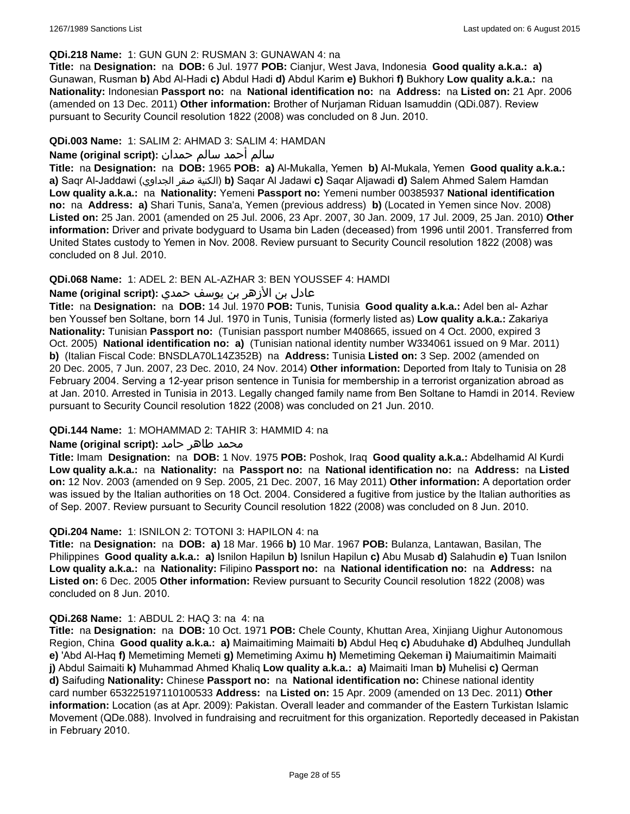#### **QDi.218 Name:** 1: GUN GUN 2: RUSMAN 3: GUNAWAN 4: na

**Title:** na **Designation:** na **DOB:** 6 Jul. 1977 **POB:** Cianjur, West Java, Indonesia **Good quality a.k.a.: a)** Gunawan, Rusman **b)** Abd Al-Hadi **c)** Abdul Hadi **d)** Abdul Karim **e)** Bukhori **f)** Bukhory **Low quality a.k.a.:** na **Nationality:** Indonesian **Passport no:** na **National identification no:** na **Address:** na **Listed on:** 21 Apr. 2006 (amended on 13 Dec. 2011) **Other information:** Brother of Nurjaman Riduan Isamuddin (QDi.087). Review pursuant to Security Council resolution 1822 (2008) was concluded on 8 Jun. 2010.

### **QDi.003 Name:** 1: SALIM 2: AHMAD 3: SALIM 4: HAMDAN

## سالم أحمد سالم حمدان **:(script original (Name**

**Title:** na **Designation:** na **DOB:** 1965 **POB: a)** Al-Mukalla, Yemen **b)** AI-Mukala, Yemen **Good quality a.k.a.: a)** Saqr Al-Jaddawi (الجداوي صقر الكنية(**b)** Saqar Al Jadawi **c)** Saqar Aljawadi **d)** Salem Ahmed Salem Hamdan **Low quality a.k.a.:** na **Nationality:** Yemeni **Passport no:** Yemeni number 00385937 **National identification no:** na **Address: a)** Shari Tunis, Sana'a, Yemen (previous address) **b)** (Located in Yemen since Nov. 2008) **Listed on:** 25 Jan. 2001 (amended on 25 Jul. 2006, 23 Apr. 2007, 30 Jan. 2009, 17 Jul. 2009, 25 Jan. 2010) **Other information:** Driver and private bodyguard to Usama bin Laden (deceased) from 1996 until 2001. Transferred from United States custody to Yemen in Nov. 2008. Review pursuant to Security Council resolution 1822 (2008) was concluded on 8 Jul. 2010.

### **QDi.068 Name:** 1: ADEL 2: BEN AL-AZHAR 3: BEN YOUSSEF 4: HAMDI

## عادل بن الأزهر بن يوسف حمدي **:(script original (Name**

**Title:** na **Designation:** na **DOB:** 14 Jul. 1970 **POB:** Tunis, Tunisia **Good quality a.k.a.:** Adel ben al- Azhar ben Youssef ben Soltane, born 14 Jul. 1970 in Tunis, Tunisia (formerly listed as) **Low quality a.k.a.:** Zakariya **Nationality:** Tunisian **Passport no:** (Tunisian passport number M408665, issued on 4 Oct. 2000, expired 3 Oct. 2005) **National identification no: a)** (Tunisian national identity number W334061 issued on 9 Mar. 2011) **b)** (Italian Fiscal Code: BNSDLA70L14Z352B) na **Address:** Tunisia **Listed on:** 3 Sep. 2002 (amended on 20 Dec. 2005, 7 Jun. 2007, 23 Dec. 2010, 24 Nov. 2014) **Other information:** Deported from Italy to Tunisia on 28 February 2004. Serving a 12-year prison sentence in Tunisia for membership in a terrorist organization abroad as at Jan. 2010. Arrested in Tunisia in 2013. Legally changed family name from Ben Soltane to Hamdi in 2014. Review pursuant to Security Council resolution 1822 (2008) was concluded on 21 Jun. 2010.

#### **QDi.144 Name:** 1: MOHAMMAD 2: TAHIR 3: HAMMID 4: na

#### **محمد طاهر حامد :(Name (original script**

**Title:** Imam **Designation:** na **DOB:** 1 Nov. 1975 **POB:** Poshok, Iraq **Good quality a.k.a.:** Abdelhamid Al Kurdi **Low quality a.k.a.:** na **Nationality:** na **Passport no:** na **National identification no:** na **Address:** na **Listed on:** 12 Nov. 2003 (amended on 9 Sep. 2005, 21 Dec. 2007, 16 May 2011) **Other information:** A deportation order was issued by the Italian authorities on 18 Oct. 2004. Considered a fugitive from justice by the Italian authorities as of Sep. 2007. Review pursuant to Security Council resolution 1822 (2008) was concluded on 8 Jun. 2010.

#### **QDi.204 Name:** 1: ISNILON 2: TOTONI 3: HAPILON 4: na

**Title:** na **Designation:** na **DOB: a)** 18 Mar. 1966 **b)** 10 Mar. 1967 **POB:** Bulanza, Lantawan, Basilan, The Philippines **Good quality a.k.a.: a)** Isnilon Hapilun **b)** Isnilun Hapilun **c)** Abu Musab **d)** Salahudin **e)** Tuan Isnilon **Low quality a.k.a.:** na **Nationality:** Filipino **Passport no:** na **National identification no:** na **Address:** na **Listed on:** 6 Dec. 2005 **Other information:** Review pursuant to Security Council resolution 1822 (2008) was concluded on 8 Jun. 2010.

#### **QDi.268 Name:** 1: ABDUL 2: HAQ 3: na 4: na

**Title:** na **Designation:** na **DOB:** 10 Oct. 1971 **POB:** Chele County, Khuttan Area, Xinjiang Uighur Autonomous Region, China **Good quality a.k.a.: a)** Maimaitiming Maimaiti **b)** Abdul Heq **c)** Abuduhake **d)** Abdulheq Jundullah **e)** 'Abd Al-Haq **f)** Memetiming Memeti **g)** Memetiming Aximu **h)** Memetiming Qekeman **i)** Maiumaitimin Maimaiti **j)** Abdul Saimaiti **k)** Muhammad Ahmed Khaliq **Low quality a.k.a.: a)** Maimaiti Iman **b)** Muhelisi **c)** Qerman **d)** Saifuding **Nationality:** Chinese **Passport no:** na **National identification no:** Chinese national identity card number 653225197110100533 **Address:** na **Listed on:** 15 Apr. 2009 (amended on 13 Dec. 2011) **Other information:** Location (as at Apr. 2009): Pakistan. Overall leader and commander of the Eastern Turkistan Islamic Movement (QDe.088). Involved in fundraising and recruitment for this organization. Reportedly deceased in Pakistan in February 2010.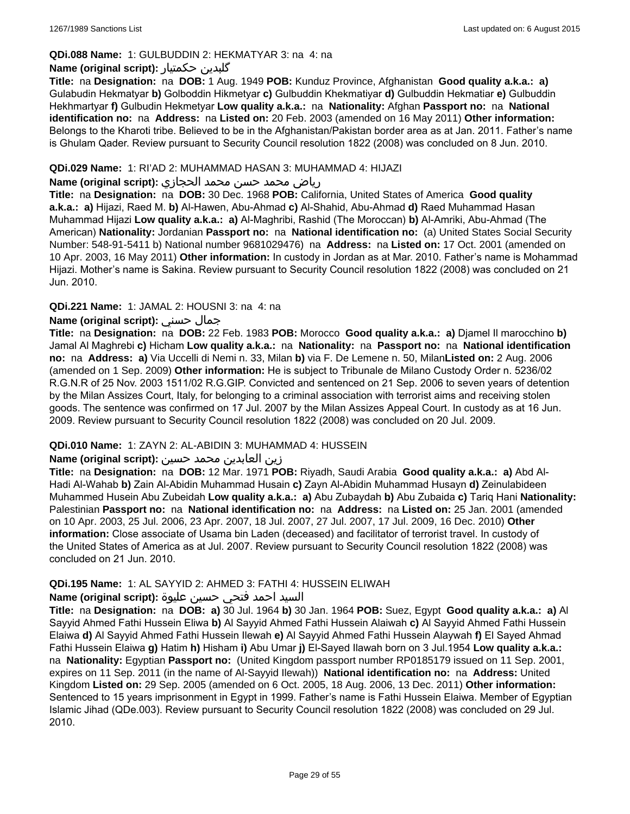## **QDi.088 Name:** 1: GULBUDDIN 2: HEKMATYAR 3: na 4: na

### **Name (original script):** حکمتیار گلبدین

**Title:** na **Designation:** na **DOB:** 1 Aug. 1949 **POB:** Kunduz Province, Afghanistan **Good quality a.k.a.: a)** Gulabudin Hekmatyar **b)** Golboddin Hikmetyar **c)** Gulbuddin Khekmatiyar **d)** Gulbuddin Hekmatiar **e)** Gulbuddin Hekhmartyar **f)** Gulbudin Hekmetyar **Low quality a.k.a.:** na **Nationality:** Afghan **Passport no:** na **National identification no:** na **Address:** na **Listed on:** 20 Feb. 2003 (amended on 16 May 2011) **Other information:** Belongs to the Kharoti tribe. Believed to be in the Afghanistan/Pakistan border area as at Jan. 2011. Father's name is Ghulam Qader. Review pursuant to Security Council resolution 1822 (2008) was concluded on 8 Jun. 2010.

#### **QDi.029 Name:** 1: RI'AD 2: MUHAMMAD HASAN 3: MUHAMMAD 4: HIJAZI

#### رياض محمد حسن محمد الحجازي **:(script original (Name**

**Title:** na **Designation:** na **DOB:** 30 Dec. 1968 **POB:** California, United States of America **Good quality a.k.a.: a)** Hijazi, Raed M. **b)** Al-Hawen, Abu-Ahmad **c)** Al-Shahid, Abu-Ahmad **d)** Raed Muhammad Hasan Muhammad Hijazi **Low quality a.k.a.: a)** Al-Maghribi, Rashid (The Moroccan) **b)** Al-Amriki, Abu-Ahmad (The American) **Nationality:** Jordanian **Passport no:** na **National identification no:** (a) United States Social Security Number: 548-91-5411 b) National number 9681029476) na **Address:** na **Listed on:** 17 Oct. 2001 (amended on 10 Apr. 2003, 16 May 2011) **Other information:** In custody in Jordan as at Mar. 2010. Father's name is Mohammad Hijazi. Mother's name is Sakina. Review pursuant to Security Council resolution 1822 (2008) was concluded on 21 Jun. 2010.

## **QDi.221 Name:** 1: JAMAL 2: HOUSNI 3: na 4: na

## **Name (original script):** حسني جمال

**Title:** na **Designation:** na **DOB:** 22 Feb. 1983 **POB:** Morocco **Good quality a.k.a.: a)** Djamel Il marocchino **b)** Jamal Al Maghrebi **c)** Hicham **Low quality a.k.a.:** na **Nationality:** na **Passport no:** na **National identification no:** na **Address: a)** Via Uccelli di Nemi n. 33, Milan **b)** via F. De Lemene n. 50, Milan**Listed on:** 2 Aug. 2006 (amended on 1 Sep. 2009) **Other information:** He is subject to Tribunale de Milano Custody Order n. 5236/02 R.G.N.R of 25 Nov. 2003 1511/02 R.G.GIP. Convicted and sentenced on 21 Sep. 2006 to seven years of detention by the Milan Assizes Court, Italy, for belonging to a criminal association with terrorist aims and receiving stolen goods. The sentence was confirmed on 17 Jul. 2007 by the Milan Assizes Appeal Court. In custody as at 16 Jun. 2009. Review pursuant to Security Council resolution 1822 (2008) was concluded on 20 Jul. 2009.

## **QDi.010 Name:** 1: ZAYN 2: AL-ABIDIN 3: MUHAMMAD 4: HUSSEIN

## زين العابدين محمد حسين **:(script original (Name**

**Title:** na **Designation:** na **DOB:** 12 Mar. 1971 **POB:** Riyadh, Saudi Arabia **Good quality a.k.a.: a)** Abd Al-Hadi Al-Wahab **b)** Zain Al-Abidin Muhammad Husain **c)** Zayn Al-Abidin Muhammad Husayn **d)** Zeinulabideen Muhammed Husein Abu Zubeidah **Low quality a.k.a.: a)** Abu Zubaydah **b)** Abu Zubaida **c)** Tariq Hani **Nationality:** Palestinian **Passport no:** na **National identification no:** na **Address:** na **Listed on:** 25 Jan. 2001 (amended on 10 Apr. 2003, 25 Jul. 2006, 23 Apr. 2007, 18 Jul. 2007, 27 Jul. 2007, 17 Jul. 2009, 16 Dec. 2010) **Other information:** Close associate of Usama bin Laden (deceased) and facilitator of terrorist travel. In custody of the United States of America as at Jul. 2007. Review pursuant to Security Council resolution 1822 (2008) was concluded on 21 Jun. 2010.

#### **QDi.195 Name:** 1: AL SAYYID 2: AHMED 3: FATHI 4: HUSSEIN ELIWAH

### السيد احمد فتحي حسين عليوة **:(script original (Name**

**Title:** na **Designation:** na **DOB: a)** 30 Jul. 1964 **b)** 30 Jan. 1964 **POB:** Suez, Egypt **Good quality a.k.a.: a)** Al Sayyid Ahmed Fathi Hussein Eliwa **b)** Al Sayyid Ahmed Fathi Hussein Alaiwah **c)** Al Sayyid Ahmed Fathi Hussein Elaiwa **d)** Al Sayyid Ahmed Fathi Hussein Ilewah **e)** Al Sayyid Ahmed Fathi Hussein Alaywah **f)** El Sayed Ahmad Fathi Hussein Elaiwa **g)** Hatim **h)** Hisham **i)** Abu Umar **j)** El-Sayed Ilawah born on 3 Jul.1954 **Low quality a.k.a.:**  na **Nationality:** Egyptian **Passport no:** (United Kingdom passport number RP0185179 issued on 11 Sep. 2001, expires on 11 Sep. 2011 (in the name of Al-Sayyid Ilewah)) **National identification no:** na **Address:** United Kingdom **Listed on:** 29 Sep. 2005 (amended on 6 Oct. 2005, 18 Aug. 2006, 13 Dec. 2011) **Other information:** Sentenced to 15 years imprisonment in Egypt in 1999. Father's name is Fathi Hussein Elaiwa. Member of Egyptian Islamic Jihad (QDe.003). Review pursuant to Security Council resolution 1822 (2008) was concluded on 29 Jul. 2010.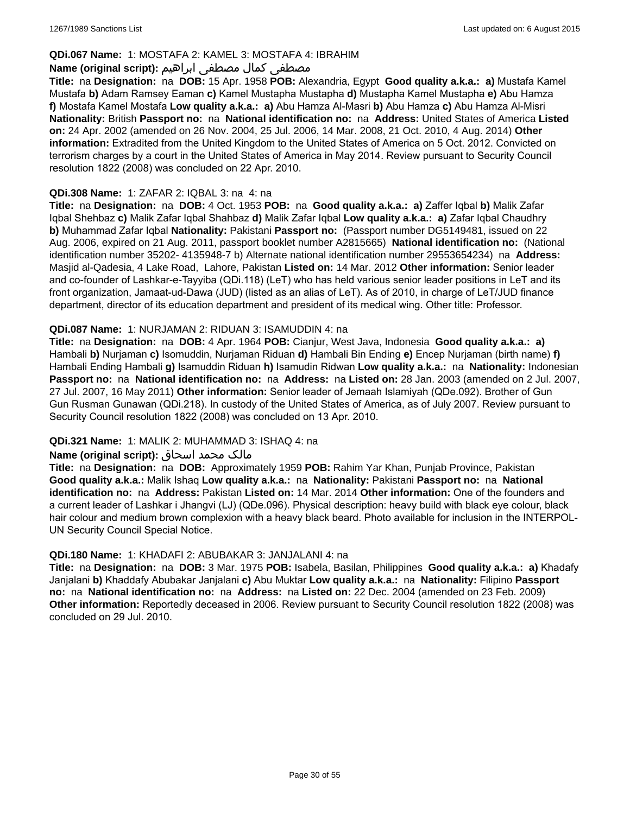## **QDi.067 Name:** 1: MOSTAFA 2: KAMEL 3: MOSTAFA 4: IBRAHIM

### مصطفى كمال مصطفى ابراهيم **:Name (original script**)

**Title:** na **Designation:** na **DOB:** 15 Apr. 1958 **POB:** Alexandria, Egypt **Good quality a.k.a.: a)** Mustafa Kamel Mustafa **b)** Adam Ramsey Eaman **c)** Kamel Mustapha Mustapha **d)** Mustapha Kamel Mustapha **e)** Abu Hamza **f)** Mostafa Kamel Mostafa **Low quality a.k.a.: a)** Abu Hamza Al-Masri **b)** Abu Hamza **c)** Abu Hamza Al-Misri **Nationality:** British **Passport no:** na **National identification no:** na **Address:** United States of America **Listed on:** 24 Apr. 2002 (amended on 26 Nov. 2004, 25 Jul. 2006, 14 Mar. 2008, 21 Oct. 2010, 4 Aug. 2014) **Other information:** Extradited from the United Kingdom to the United States of America on 5 Oct. 2012. Convicted on terrorism charges by a court in the United States of America in May 2014. Review pursuant to Security Council resolution 1822 (2008) was concluded on 22 Apr. 2010.

### **QDi.308 Name:** 1: ZAFAR 2: IQBAL 3: na 4: na

**Title:** na **Designation:** na **DOB:** 4 Oct. 1953 **POB:** na **Good quality a.k.a.: a)** Zaffer Iqbal **b)** Malik Zafar Iqbal Shehbaz **c)** Malik Zafar Iqbal Shahbaz **d)** Malik Zafar Iqbal **Low quality a.k.a.: a)** Zafar Iqbal Chaudhry **b)** Muhammad Zafar Iqbal **Nationality:** Pakistani **Passport no:** (Passport number DG5149481, issued on 22 Aug. 2006, expired on 21 Aug. 2011, passport booklet number A2815665) **National identification no:** (National identification number 35202- 4135948-7 b) Alternate national identification number 29553654234) na **Address:** Masjid al-Qadesia, 4 Lake Road, Lahore, Pakistan **Listed on:** 14 Mar. 2012 **Other information:** Senior leader and co-founder of Lashkar-e-Tayyiba (QDi.118) (LeT) who has held various senior leader positions in LeT and its front organization, Jamaat-ud-Dawa (JUD) (listed as an alias of LeT). As of 2010, in charge of LeT/JUD finance department, director of its education department and president of its medical wing. Other title: Professor.

### **QDi.087 Name:** 1: NURJAMAN 2: RIDUAN 3: ISAMUDDIN 4: na

**Title:** na **Designation:** na **DOB:** 4 Apr. 1964 **POB:** Cianjur, West Java, Indonesia **Good quality a.k.a.: a)** Hambali **b)** Nurjaman **c)** Isomuddin, Nurjaman Riduan **d)** Hambali Bin Ending **e)** Encep Nurjaman (birth name) **f)** Hambali Ending Hambali **g)** Isamuddin Riduan **h)** Isamudin Ridwan **Low quality a.k.a.:** na **Nationality:** Indonesian **Passport no:** na **National identification no:** na **Address:** na **Listed on:** 28 Jan. 2003 (amended on 2 Jul. 2007, 27 Jul. 2007, 16 May 2011) **Other information:** Senior leader of Jemaah Islamiyah (QDe.092). Brother of Gun Gun Rusman Gunawan (QDi.218). In custody of the United States of America, as of July 2007. Review pursuant to Security Council resolution 1822 (2008) was concluded on 13 Apr. 2010.

## **QDi.321 Name:** 1: MALIK 2: MUHAMMAD 3: ISHAQ 4: na

## مالک محمد اسحاق : Name (original script)

**Title:** na **Designation:** na **DOB:** Approximately 1959 **POB:** Rahim Yar Khan, Punjab Province, Pakistan **Good quality a.k.a.:** Malik Ishaq **Low quality a.k.a.:** na **Nationality:** Pakistani **Passport no:** na **National identification no:** na **Address:** Pakistan **Listed on:** 14 Mar. 2014 **Other information:** One of the founders and a current leader of Lashkar i Jhangvi (LJ) (QDe.096). Physical description: heavy build with black eye colour, black hair colour and medium brown complexion with a heavy black beard. Photo available for inclusion in the INTERPOL-UN Security Council Special Notice.

#### **QDi.180 Name:** 1: KHADAFI 2: ABUBAKAR 3: JANJALANI 4: na

**Title:** na **Designation:** na **DOB:** 3 Mar. 1975 **POB:** Isabela, Basilan, Philippines **Good quality a.k.a.: a)** Khadafy Janjalani **b)** Khaddafy Abubakar Janjalani **c)** Abu Muktar **Low quality a.k.a.:** na **Nationality:** Filipino **Passport no:** na **National identification no:** na **Address:** na **Listed on:** 22 Dec. 2004 (amended on 23 Feb. 2009) **Other information:** Reportedly deceased in 2006. Review pursuant to Security Council resolution 1822 (2008) was concluded on 29 Jul. 2010.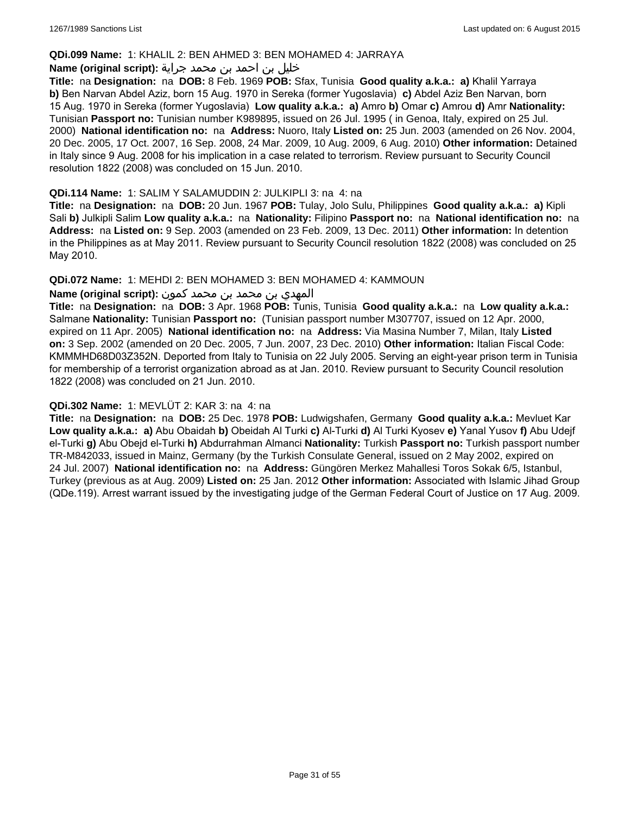#### **QDi.099 Name:** 1: KHALIL 2: BEN AHMED 3: BEN MOHAMED 4: JARRAYA

### خليل بن احمد بن محمد جراية **:(script original (Name**

**Title:** na **Designation:** na **DOB:** 8 Feb. 1969 **POB:** Sfax, Tunisia **Good quality a.k.a.: a)** Khalil Yarraya **b)** Ben Narvan Abdel Aziz, born 15 Aug. 1970 in Sereka (former Yugoslavia) **c)** Abdel Aziz Ben Narvan, born 15 Aug. 1970 in Sereka (former Yugoslavia) **Low quality a.k.a.: a)** Amro **b)** Omar **c)** Amrou **d)** Amr **Nationality:** Tunisian **Passport no:** Tunisian number K989895, issued on 26 Jul. 1995 ( in Genoa, Italy, expired on 25 Jul. 2000) **National identification no:** na **Address:** Nuoro, Italy **Listed on:** 25 Jun. 2003 (amended on 26 Nov. 2004, 20 Dec. 2005, 17 Oct. 2007, 16 Sep. 2008, 24 Mar. 2009, 10 Aug. 2009, 6 Aug. 2010) **Other information:** Detained in Italy since 9 Aug. 2008 for his implication in a case related to terrorism. Review pursuant to Security Council resolution 1822 (2008) was concluded on 15 Jun. 2010.

#### **QDi.114 Name:** 1: SALIM Y SALAMUDDIN 2: JULKIPLI 3: na 4: na

**Title:** na **Designation:** na **DOB:** 20 Jun. 1967 **POB:** Tulay, Jolo Sulu, Philippines **Good quality a.k.a.: a)** Kipli Sali **b)** Julkipli Salim **Low quality a.k.a.:** na **Nationality:** Filipino **Passport no:** na **National identification no:** na **Address:** na **Listed on:** 9 Sep. 2003 (amended on 23 Feb. 2009, 13 Dec. 2011) **Other information:** In detention in the Philippines as at May 2011. Review pursuant to Security Council resolution 1822 (2008) was concluded on 25 May 2010.

### **QDi.072 Name:** 1: MEHDI 2: BEN MOHAMED 3: BEN MOHAMED 4: KAMMOUN

## المهدي بن محمد بن محمد كمون **:(script original (Name**

**Title:** na **Designation:** na **DOB:** 3 Apr. 1968 **POB:** Tunis, Tunisia **Good quality a.k.a.:** na **Low quality a.k.a.:** Salmane **Nationality:** Tunisian **Passport no:** (Tunisian passport number M307707, issued on 12 Apr. 2000, expired on 11 Apr. 2005) **National identification no:** na **Address:** Via Masina Number 7, Milan, Italy **Listed on:** 3 Sep. 2002 (amended on 20 Dec. 2005, 7 Jun. 2007, 23 Dec. 2010) **Other information:** Italian Fiscal Code: KMMMHD68D03Z352N. Deported from Italy to Tunisia on 22 July 2005. Serving an eight-year prison term in Tunisia for membership of a terrorist organization abroad as at Jan. 2010. Review pursuant to Security Council resolution 1822 (2008) was concluded on 21 Jun. 2010.

#### **QDi.302 Name:** 1: MEVLÜT 2: KAR 3: na 4: na

**Title:** na **Designation:** na **DOB:** 25 Dec. 1978 **POB:** Ludwigshafen, Germany **Good quality a.k.a.:** Mevluet Kar **Low quality a.k.a.: a)** Abu Obaidah **b)** Obeidah Al Turki **c)** Al-Turki **d)** Al Turki Kyosev **e)** Yanal Yusov **f)** Abu Udejf el-Turki **g)** Abu Obejd el-Turki **h)** Abdurrahman Almanci **Nationality:** Turkish **Passport no:** Turkish passport number TR-M842033, issued in Mainz, Germany (by the Turkish Consulate General, issued on 2 May 2002, expired on 24 Jul. 2007) **National identification no:** na **Address:** Güngören Merkez Mahallesi Toros Sokak 6/5, Istanbul, Turkey (previous as at Aug. 2009) **Listed on:** 25 Jan. 2012 **Other information:** Associated with Islamic Jihad Group (QDe.119). Arrest warrant issued by the investigating judge of the German Federal Court of Justice on 17 Aug. 2009.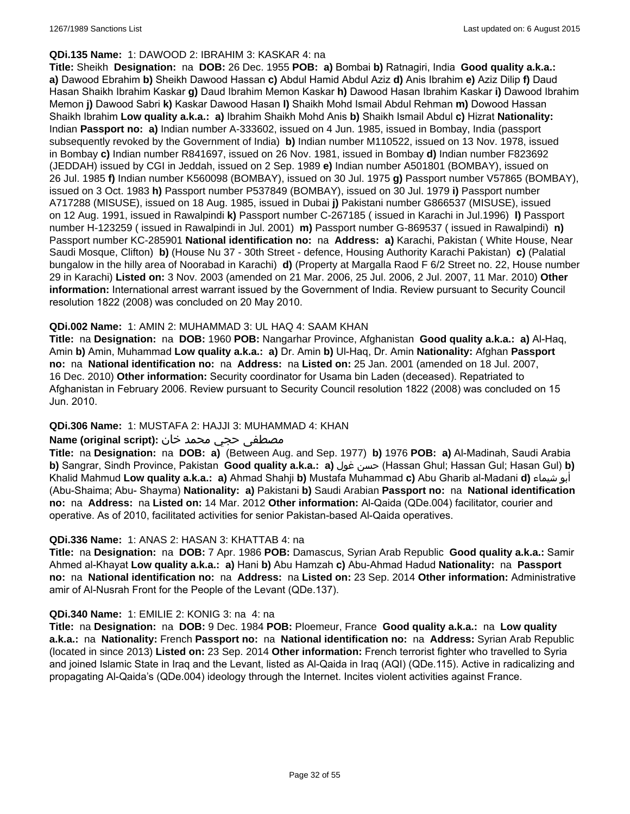#### **QDi.135 Name:** 1: DAWOOD 2: IBRAHIM 3: KASKAR 4: na

**Title:** Sheikh **Designation:** na **DOB:** 26 Dec. 1955 **POB: a)** Bombai **b)** Ratnagiri, India **Good quality a.k.a.: a)** Dawood Ebrahim **b)** Sheikh Dawood Hassan **c)** Abdul Hamid Abdul Aziz **d)** Anis Ibrahim **e)** Aziz Dilip **f)** Daud Hasan Shaikh Ibrahim Kaskar **g)** Daud Ibrahim Memon Kaskar **h)** Dawood Hasan Ibrahim Kaskar **i)** Dawood Ibrahim Memon **j)** Dawood Sabri **k)** Kaskar Dawood Hasan **l)** Shaikh Mohd Ismail Abdul Rehman **m)** Dowood Hassan Shaikh Ibrahim **Low quality a.k.a.: a)** Ibrahim Shaikh Mohd Anis **b)** Shaikh Ismail Abdul **c)** Hizrat **Nationality:** Indian **Passport no: a)** Indian number A-333602, issued on 4 Jun. 1985, issued in Bombay, India (passport subsequently revoked by the Government of India) **b)** Indian number M110522, issued on 13 Nov. 1978, issued in Bombay **c)** Indian number R841697, issued on 26 Nov. 1981, issued in Bombay **d)** Indian number F823692 (JEDDAH) issued by CGI in Jeddah, issued on 2 Sep. 1989 **e)** Indian number A501801 (BOMBAY), issued on 26 Jul. 1985 **f)** Indian number K560098 (BOMBAY), issued on 30 Jul. 1975 **g)** Passport number V57865 (BOMBAY), issued on 3 Oct. 1983 **h)** Passport number P537849 (BOMBAY), issued on 30 Jul. 1979 **i)** Passport number A717288 (MISUSE), issued on 18 Aug. 1985, issued in Dubai **j)** Pakistani number G866537 (MISUSE), issued on 12 Aug. 1991, issued in Rawalpindi **k)** Passport number C-267185 ( issued in Karachi in Jul.1996) **l)** Passport number H-123259 ( issued in Rawalpindi in Jul. 2001) **m)** Passport number G-869537 ( issued in Rawalpindi) **n)** Passport number KC-285901 **National identification no:** na **Address: a)** Karachi, Pakistan ( White House, Near Saudi Mosque, Clifton) **b)** (House Nu 37 - 30th Street - defence, Housing Authority Karachi Pakistan) **c)** (Palatial bungalow in the hilly area of Noorabad in Karachi) **d)** (Property at Margalla Raod F 6/2 Street no. 22, House number 29 in Karachi) **Listed on:** 3 Nov. 2003 (amended on 21 Mar. 2006, 25 Jul. 2006, 2 Jul. 2007, 11 Mar. 2010) **Other information:** International arrest warrant issued by the Government of India. Review pursuant to Security Council resolution 1822 (2008) was concluded on 20 May 2010.

### **QDi.002 Name:** 1: AMIN 2: MUHAMMAD 3: UL HAQ 4: SAAM KHAN

**Title:** na **Designation:** na **DOB:** 1960 **POB:** Nangarhar Province, Afghanistan **Good quality a.k.a.: a)** Al-Haq, Amin **b)** Amin, Muhammad **Low quality a.k.a.: a)** Dr. Amin **b)** Ul-Haq, Dr. Amin **Nationality:** Afghan **Passport no:** na **National identification no:** na **Address:** na **Listed on:** 25 Jan. 2001 (amended on 18 Jul. 2007, 16 Dec. 2010) **Other information:** Security coordinator for Usama bin Laden (deceased). Repatriated to Afghanistan in February 2006. Review pursuant to Security Council resolution 1822 (2008) was concluded on 15 Jun. 2010.

## **QDi.306 Name:** 1: MUSTAFA 2: HAJJI 3: MUHAMMAD 4: KHAN

### مصطفى حجي محمد خان **:Name (original script)**

**Title:** na **Designation:** na **DOB: a)** (Between Aug. and Sep. 1977) **b)** 1976 **POB: a)** Al-Madinah, Saudi Arabia **b)** Sangrar, Sindh Province, Pakistan **Good quality a.k.a.: a)** غول حسن) Hassan Ghul; Hassan Gul; Hasan Gul) **b)** Khalid Mahmud **Low quality a.k.a.: a)** Ahmad Shahji **b)** Mustafa Muhammad **c)** Abu Gharib al-Madani **d)** شيماء أبو (Abu-Shaima; Abu- Shayma) **Nationality: a)** Pakistani **b)** Saudi Arabian **Passport no:** na **National identification no:** na **Address:** na **Listed on:** 14 Mar. 2012 **Other information:** Al-Qaida (QDe.004) facilitator, courier and operative. As of 2010, facilitated activities for senior Pakistan-based Al-Qaida operatives.

#### **QDi.336 Name:** 1: ANAS 2: HASAN 3: KHATTAB 4: na

**Title:** na **Designation:** na **DOB:** 7 Apr. 1986 **POB:** Damascus, Syrian Arab Republic **Good quality a.k.a.:** Samir Ahmed al-Khayat **Low quality a.k.a.: a)** Hani **b)** Abu Hamzah **c)** Abu-Ahmad Hadud **Nationality:** na **Passport no:** na **National identification no:** na **Address:** na **Listed on:** 23 Sep. 2014 **Other information:** Administrative amir of Al-Nusrah Front for the People of the Levant (QDe.137).

#### **QDi.340 Name:** 1: EMILIE 2: KONIG 3: na 4: na

**Title:** na **Designation:** na **DOB:** 9 Dec. 1984 **POB:** Ploemeur, France **Good quality a.k.a.:** na **Low quality a.k.a.:** na **Nationality:** French **Passport no:** na **National identification no:** na **Address:** Syrian Arab Republic (located in since 2013) **Listed on:** 23 Sep. 2014 **Other information:** French terrorist fighter who travelled to Syria and joined Islamic State in Iraq and the Levant, listed as Al-Qaida in Iraq (AQI) (QDe.115). Active in radicalizing and propagating Al-Qaida's (QDe.004) ideology through the Internet. Incites violent activities against France.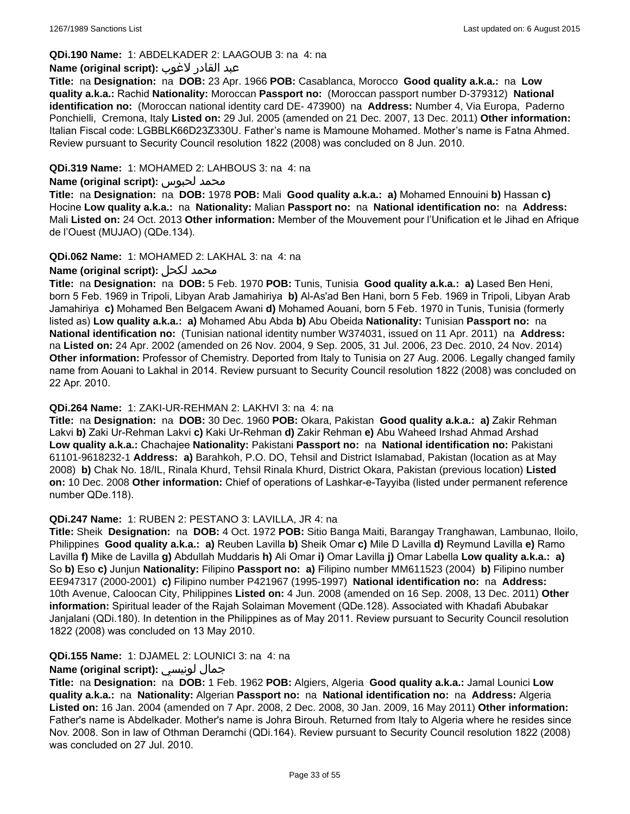## **QDi.190 Name:** 1: ABDELKADER 2: LAAGOUB 3: na 4: na

#### عبد القادر لاغوب **:(script original (Name**

**Title:** na **Designation:** na **DOB:** 23 Apr. 1966 **POB:** Casablanca, Morocco **Good quality a.k.a.:** na **Low quality a.k.a.:** Rachid **Nationality:** Moroccan **Passport no:** (Moroccan passport number D-379312) **National identification no:** (Moroccan national identity card DE- 473900) na **Address:** Number 4, Via Europa, Paderno Ponchielli, Cremona, Italy **Listed on:** 29 Jul. 2005 (amended on 21 Dec. 2007, 13 Dec. 2011) **Other information:** Italian Fiscal code: LGBBLK66D23Z330U. Father's name is Mamoune Mohamed. Mother's name is Fatna Ahmed. Review pursuant to Security Council resolution 1822 (2008) was concluded on 8 Jun. 2010.

### **QDi.319 Name:** 1: MOHAMED 2: LAHBOUS 3: na 4: na

#### **Name (original script):** لحبوس محمد

**Title:** na **Designation:** na **DOB:** 1978 **POB:** Mali **Good quality a.k.a.: a)** Mohamed Ennouini **b)** Hassan **c)** Hocine **Low quality a.k.a.:** na **Nationality:** Malian **Passport no:** na **National identification no:** na **Address:** Mali **Listed on:** 24 Oct. 2013 **Other information:** Member of the Mouvement pour l'Unification et le Jihad en Afrique de l'Ouest (MUJAO) (QDe.134).

### **QDi.062 Name:** 1: MOHAMED 2: LAKHAL 3: na 4: na

## **Name (original script):** لكحل محمد

**Title:** na **Designation:** na **DOB:** 5 Feb. 1970 **POB:** Tunis, Tunisia **Good quality a.k.a.: a)** Lased Ben Heni, born 5 Feb. 1969 in Tripoli, Libyan Arab Jamahiriya **b)** Al-As'ad Ben Hani, born 5 Feb. 1969 in Tripoli, Libyan Arab Jamahiriya **c)** Mohamed Ben Belgacem Awani **d)** Mohamed Aouani, born 5 Feb. 1970 in Tunis, Tunisia (formerly listed as) **Low quality a.k.a.: a)** Mohamed Abu Abda **b)** Abu Obeida **Nationality:** Tunisian **Passport no:** na **National identification no:** (Tunisian national identity number W374031, issued on 11 Apr. 2011) na **Address:**  na **Listed on:** 24 Apr. 2002 (amended on 26 Nov. 2004, 9 Sep. 2005, 31 Jul. 2006, 23 Dec. 2010, 24 Nov. 2014) **Other information:** Professor of Chemistry. Deported from Italy to Tunisia on 27 Aug. 2006. Legally changed family name from Aouani to Lakhal in 2014. Review pursuant to Security Council resolution 1822 (2008) was concluded on 22 Apr. 2010.

#### **QDi.264 Name:** 1: ZAKI-UR-REHMAN 2: LAKHVI 3: na 4: na

**Title:** na **Designation:** na **DOB:** 30 Dec. 1960 **POB:** Okara, Pakistan **Good quality a.k.a.: a)** Zakir Rehman Lakvi **b)** Zaki Ur-Rehman Lakvi **c)** Kaki Ur-Rehman **d)** Zakir Rehman **e)** Abu Waheed Irshad Ahmad Arshad **Low quality a.k.a.:** Chachajee **Nationality:** Pakistani **Passport no:** na **National identification no:** Pakistani 61101-9618232-1 **Address: a)** Barahkoh, P.O. DO, Tehsil and District Islamabad, Pakistan (location as at May 2008) **b)** Chak No. 18/IL, Rinala Khurd, Tehsil Rinala Khurd, District Okara, Pakistan (previous location) **Listed on:** 10 Dec. 2008 **Other information:** Chief of operations of Lashkar-e-Tayyiba (listed under permanent reference number QDe.118).

#### **QDi.247 Name:** 1: RUBEN 2: PESTANO 3: LAVILLA, JR 4: na

**Title:** Sheik **Designation:** na **DOB:** 4 Oct. 1972 **POB:** Sitio Banga Maiti, Barangay Tranghawan, Lambunao, Iloilo, Philippines **Good quality a.k.a.: a)** Reuben Lavilla **b)** Sheik Omar **c)** Mile D Lavilla **d)** Reymund Lavilla **e)** Ramo Lavilla **f)** Mike de Lavilla **g)** Abdullah Muddaris **h)** Ali Omar **i)** Omar Lavilla **j)** Omar Labella **Low quality a.k.a.: a)** So **b)** Eso **c)** Junjun **Nationality:** Filipino **Passport no: a)** Filipino number MM611523 (2004) **b)** Filipino number EE947317 (2000-2001) **c)** Filipino number P421967 (1995-1997) **National identification no:** na **Address:** 10th Avenue, Caloocan City, Philippines **Listed on:** 4 Jun. 2008 (amended on 16 Sep. 2008, 13 Dec. 2011) **Other information:** Spiritual leader of the Rajah Solaiman Movement (QDe.128). Associated with Khadafi Abubakar Janjalani (QDi.180). In detention in the Philippines as of May 2011. Review pursuant to Security Council resolution 1822 (2008) was concluded on 13 May 2010.

## **QDi.155 Name:** 1: DJAMEL 2: LOUNICI 3: na 4: na

## **Name (original script):** لونيسي جمال

**Title:** na **Designation:** na **DOB:** 1 Feb. 1962 **POB:** Algiers, Algeria **Good quality a.k.a.:** Jamal Lounici **Low quality a.k.a.:** na **Nationality:** Algerian **Passport no:** na **National identification no:** na **Address:** Algeria **Listed on:** 16 Jan. 2004 (amended on 7 Apr. 2008, 2 Dec. 2008, 30 Jan. 2009, 16 May 2011) **Other information:** Father's name is Abdelkader. Mother's name is Johra Birouh. Returned from Italy to Algeria where he resides since Nov. 2008. Son in law of Othman Deramchi (QDi.164). Review pursuant to Security Council resolution 1822 (2008) was concluded on 27 Jul. 2010.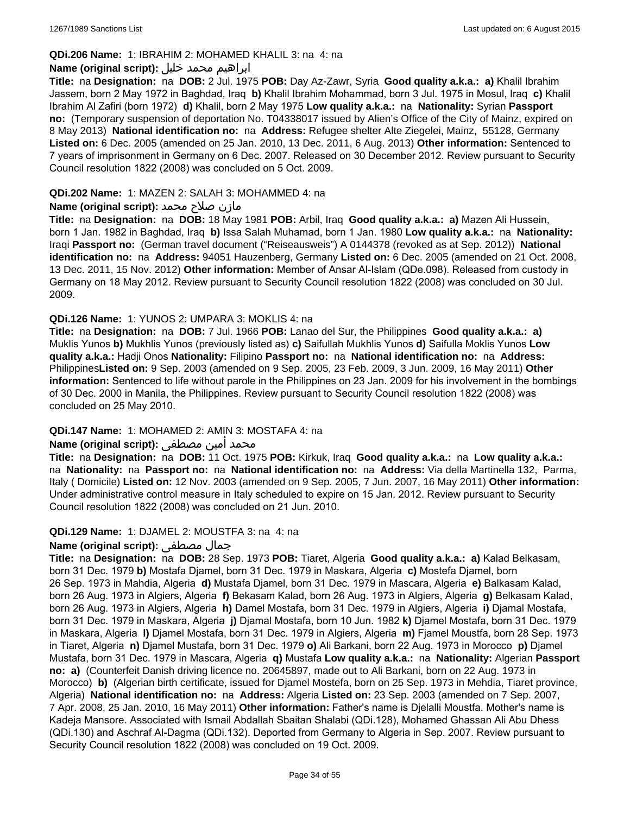### **QDi.206 Name:** 1: IBRAHIM 2: MOHAMED KHALIL 3: na 4: na

### ابراهيم محمد خليل **:(script original (Name**

**Title:** na **Designation:** na **DOB:** 2 Jul. 1975 **POB:** Day Az-Zawr, Syria **Good quality a.k.a.: a)** Khalil Ibrahim Jassem, born 2 May 1972 in Baghdad, Iraq **b)** Khalil Ibrahim Mohammad, born 3 Jul. 1975 in Mosul, Iraq **c)** Khalil Ibrahim Al Zafiri (born 1972) **d)** Khalil, born 2 May 1975 **Low quality a.k.a.:** na **Nationality:** Syrian **Passport no:** (Temporary suspension of deportation No. T04338017 issued by Alien's Office of the City of Mainz, expired on 8 May 2013) **National identification no:** na **Address:** Refugee shelter Alte Ziegelei, Mainz, 55128, Germany **Listed on:** 6 Dec. 2005 (amended on 25 Jan. 2010, 13 Dec. 2011, 6 Aug. 2013) **Other information:** Sentenced to 7 years of imprisonment in Germany on 6 Dec. 2007. Released on 30 December 2012. Review pursuant to Security Council resolution 1822 (2008) was concluded on 5 Oct. 2009.

#### **QDi.202 Name:** 1: MAZEN 2: SALAH 3: MOHAMMED 4: na

### مازن صلاح محمد **:Name (original script)**

**Title:** na **Designation:** na **DOB:** 18 May 1981 **POB:** Arbil, Iraq **Good quality a.k.a.: a)** Mazen Ali Hussein, born 1 Jan. 1982 in Baghdad, Iraq **b)** Issa Salah Muhamad, born 1 Jan. 1980 **Low quality a.k.a.:** na **Nationality:** Iraqi **Passport no:** (German travel document ("Reiseausweis") A 0144378 (revoked as at Sep. 2012)) **National identification no:** na **Address:** 94051 Hauzenberg, Germany **Listed on:** 6 Dec. 2005 (amended on 21 Oct. 2008, 13 Dec. 2011, 15 Nov. 2012) **Other information:** Member of Ansar Al-Islam (QDe.098). Released from custody in Germany on 18 May 2012. Review pursuant to Security Council resolution 1822 (2008) was concluded on 30 Jul. 2009.

### **QDi.126 Name:** 1: YUNOS 2: UMPARA 3: MOKLIS 4: na

**Title:** na **Designation:** na **DOB:** 7 Jul. 1966 **POB:** Lanao del Sur, the Philippines **Good quality a.k.a.: a)** Muklis Yunos **b)** Mukhlis Yunos (previously listed as) **c)** Saifullah Mukhlis Yunos **d)** Saifulla Moklis Yunos **Low quality a.k.a.:** Hadji Onos **Nationality:** Filipino **Passport no:** na **National identification no:** na **Address:** Philippines**Listed on:** 9 Sep. 2003 (amended on 9 Sep. 2005, 23 Feb. 2009, 3 Jun. 2009, 16 May 2011) **Other information:** Sentenced to life without parole in the Philippines on 23 Jan. 2009 for his involvement in the bombings of 30 Dec. 2000 in Manila, the Philippines. Review pursuant to Security Council resolution 1822 (2008) was concluded on 25 May 2010.

## **QDi.147 Name:** 1: MOHAMED 2: AMIN 3: MOSTAFA 4: na

## محمد أمين مصطفى :**Name (original script)**

**Title:** na **Designation:** na **DOB:** 11 Oct. 1975 **POB:** Kirkuk, Iraq **Good quality a.k.a.:** na **Low quality a.k.a.:**  na **Nationality:** na **Passport no:** na **National identification no:** na **Address:** Via della Martinella 132, Parma, Italy ( Domicile) **Listed on:** 12 Nov. 2003 (amended on 9 Sep. 2005, 7 Jun. 2007, 16 May 2011) **Other information:** Under administrative control measure in Italy scheduled to expire on 15 Jan. 2012. Review pursuant to Security Council resolution 1822 (2008) was concluded on 21 Jun. 2010.

#### **QDi.129 Name:** 1: DJAMEL 2: MOUSTFA 3: na 4: na

## **Name (original script):** مصطفى جمال

**Title:** na **Designation:** na **DOB:** 28 Sep. 1973 **POB:** Tiaret, Algeria **Good quality a.k.a.: a)** Kalad Belkasam, born 31 Dec. 1979 **b)** Mostafa Djamel, born 31 Dec. 1979 in Maskara, Algeria **c)** Mostefa Djamel, born 26 Sep. 1973 in Mahdia, Algeria **d)** Mustafa Djamel, born 31 Dec. 1979 in Mascara, Algeria **e)** Balkasam Kalad, born 26 Aug. 1973 in Algiers, Algeria **f)** Bekasam Kalad, born 26 Aug. 1973 in Algiers, Algeria **g)** Belkasam Kalad, born 26 Aug. 1973 in Algiers, Algeria **h)** Damel Mostafa, born 31 Dec. 1979 in Algiers, Algeria **i)** Djamal Mostafa, born 31 Dec. 1979 in Maskara, Algeria **j)** Djamal Mostafa, born 10 Jun. 1982 **k)** Djamel Mostafa, born 31 Dec. 1979 in Maskara, Algeria **l)** Djamel Mostafa, born 31 Dec. 1979 in Algiers, Algeria **m)** Fjamel Moustfa, born 28 Sep. 1973 in Tiaret, Algeria **n)** Djamel Mustafa, born 31 Dec. 1979 **o)** Ali Barkani, born 22 Aug. 1973 in Morocco **p)** Djamel Mustafa, born 31 Dec. 1979 in Mascara, Algeria **q)** Mustafa **Low quality a.k.a.:** na **Nationality:** Algerian **Passport no: a)** (Counterfeit Danish driving licence no. 20645897, made out to Ali Barkani, born on 22 Aug. 1973 in Morocco) **b)** (Algerian birth certificate, issued for Djamel Mostefa, born on 25 Sep. 1973 in Mehdia, Tiaret province, Algeria) **National identification no:** na **Address:** Algeria **Listed on:** 23 Sep. 2003 (amended on 7 Sep. 2007, 7 Apr. 2008, 25 Jan. 2010, 16 May 2011) **Other information:** Father's name is Djelalli Moustfa. Mother's name is Kadeja Mansore. Associated with Ismail Abdallah Sbaitan Shalabi (QDi.128), Mohamed Ghassan Ali Abu Dhess (QDi.130) and Aschraf Al-Dagma (QDi.132). Deported from Germany to Algeria in Sep. 2007. Review pursuant to Security Council resolution 1822 (2008) was concluded on 19 Oct. 2009.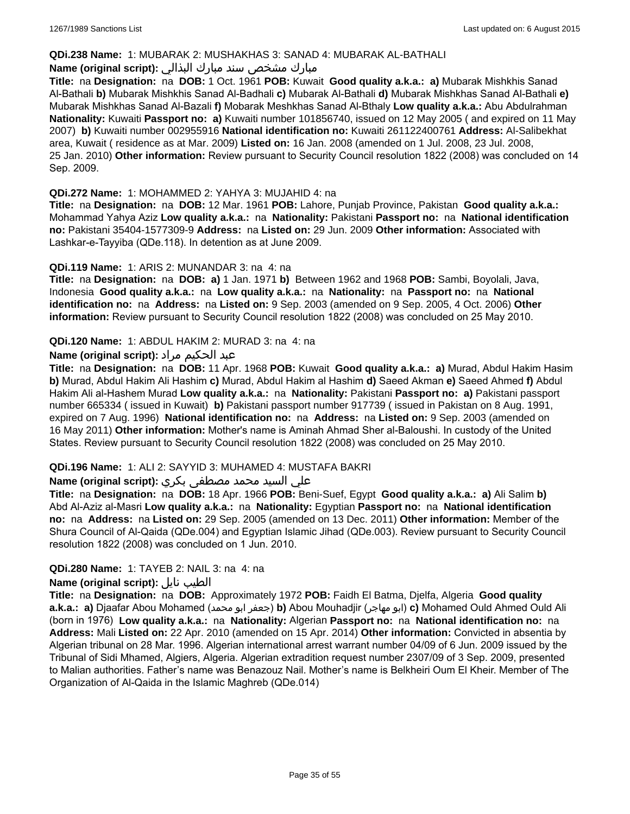#### **QDi.238 Name:** 1: MUBARAK 2: MUSHAKHAS 3: SANAD 4: MUBARAK AL-BATHALI

## مبارك مشخص سند مبارك البذالي **:Name (original script)**

**Title:** na **Designation:** na **DOB:** 1 Oct. 1961 **POB:** Kuwait **Good quality a.k.a.: a)** Mubarak Mishkhis Sanad Al-Bathali **b)** Mubarak Mishkhis Sanad Al-Badhali **c)** Mubarak Al-Bathali **d)** Mubarak Mishkhas Sanad Al-Bathali **e)** Mubarak Mishkhas Sanad Al-Bazali **f)** Mobarak Meshkhas Sanad Al-Bthaly **Low quality a.k.a.:** Abu Abdulrahman **Nationality:** Kuwaiti **Passport no: a)** Kuwaiti number 101856740, issued on 12 May 2005 ( and expired on 11 May 2007) **b)** Kuwaiti number 002955916 **National identification no:** Kuwaiti 261122400761 **Address:** Al-Salibekhat area, Kuwait ( residence as at Mar. 2009) **Listed on:** 16 Jan. 2008 (amended on 1 Jul. 2008, 23 Jul. 2008, 25 Jan. 2010) **Other information:** Review pursuant to Security Council resolution 1822 (2008) was concluded on 14 Sep. 2009.

### **QDi.272 Name:** 1: MOHAMMED 2: YAHYA 3: MUJAHID 4: na

**Title:** na **Designation:** na **DOB:** 12 Mar. 1961 **POB:** Lahore, Punjab Province, Pakistan **Good quality a.k.a.:** Mohammad Yahya Aziz **Low quality a.k.a.:** na **Nationality:** Pakistani **Passport no:** na **National identification no:** Pakistani 35404-1577309-9 **Address:** na **Listed on:** 29 Jun. 2009 **Other information:** Associated with Lashkar-e-Tayyiba (QDe.118). In detention as at June 2009.

### **QDi.119 Name:** 1: ARIS 2: MUNANDAR 3: na 4: na

**Title:** na **Designation:** na **DOB: a)** 1 Jan. 1971 **b)** Between 1962 and 1968 **POB:** Sambi, Boyolali, Java, Indonesia **Good quality a.k.a.:** na **Low quality a.k.a.:** na **Nationality:** na **Passport no:** na **National identification no:** na **Address:** na **Listed on:** 9 Sep. 2003 (amended on 9 Sep. 2005, 4 Oct. 2006) **Other information:** Review pursuant to Security Council resolution 1822 (2008) was concluded on 25 May 2010.

### **QDi.120 Name:** 1: ABDUL HAKIM 2: MURAD 3: na 4: na

## عبد الحكيم مراد **:(script original (Name**

**Title:** na **Designation:** na **DOB:** 11 Apr. 1968 **POB:** Kuwait **Good quality a.k.a.: a)** Murad, Abdul Hakim Hasim **b)** Murad, Abdul Hakim Ali Hashim **c)** Murad, Abdul Hakim al Hashim **d)** Saeed Akman **e)** Saeed Ahmed **f)** Abdul Hakim Ali al-Hashem Murad **Low quality a.k.a.:** na **Nationality:** Pakistani **Passport no: a)** Pakistani passport number 665334 ( issued in Kuwait) **b)** Pakistani passport number 917739 ( issued in Pakistan on 8 Aug. 1991, expired on 7 Aug. 1996) **National identification no:** na **Address:** na **Listed on:** 9 Sep. 2003 (amended on 16 May 2011) **Other information:** Mother's name is Aminah Ahmad Sher al-Baloushi. In custody of the United States. Review pursuant to Security Council resolution 1822 (2008) was concluded on 25 May 2010.

## **QDi.196 Name:** 1: ALI 2: SAYYID 3: MUHAMED 4: MUSTAFA BAKRI

## علي السيد محمد مصطفى بكري **:(script original (Name**

**Title:** na **Designation:** na **DOB:** 18 Apr. 1966 **POB:** Beni-Suef, Egypt **Good quality a.k.a.: a)** Ali Salim **b)** Abd Al-Aziz al-Masri **Low quality a.k.a.:** na **Nationality:** Egyptian **Passport no:** na **National identification no:** na **Address:** na **Listed on:** 29 Sep. 2005 (amended on 13 Dec. 2011) **Other information:** Member of the Shura Council of Al-Qaida (QDe.004) and Egyptian Islamic Jihad (QDe.003). Review pursuant to Security Council resolution 1822 (2008) was concluded on 1 Jun. 2010.

## **QDi.280 Name:** 1: TAYEB 2: NAIL 3: na 4: na

#### **Name (original script):** نايل الطيب

**Title:** na **Designation:** na **DOB:** Approximately 1972 **POB:** Faidh El Batma, Djelfa, Algeria **Good quality a.k.a.: a)** Djaafar Abou Mohamed (محمد ابو جعفر(**b)** Abou Mouhadjir (مهاجر ابو(**c)** Mohamed Ould Ahmed Ould Ali (born in 1976) **Low quality a.k.a.:** na **Nationality:** Algerian **Passport no:** na **National identification no:** na **Address:** Mali **Listed on:** 22 Apr. 2010 (amended on 15 Apr. 2014) **Other information:** Convicted in absentia by Algerian tribunal on 28 Mar. 1996. Algerian international arrest warrant number 04/09 of 6 Jun. 2009 issued by the Tribunal of Sidi Mhamed, Algiers, Algeria. Algerian extradition request number 2307/09 of 3 Sep. 2009, presented to Malian authorities. Father's name was Benazouz Nail. Mother's name is Belkheiri Oum El Kheir. Member of The Organization of Al-Qaida in the Islamic Maghreb (QDe.014)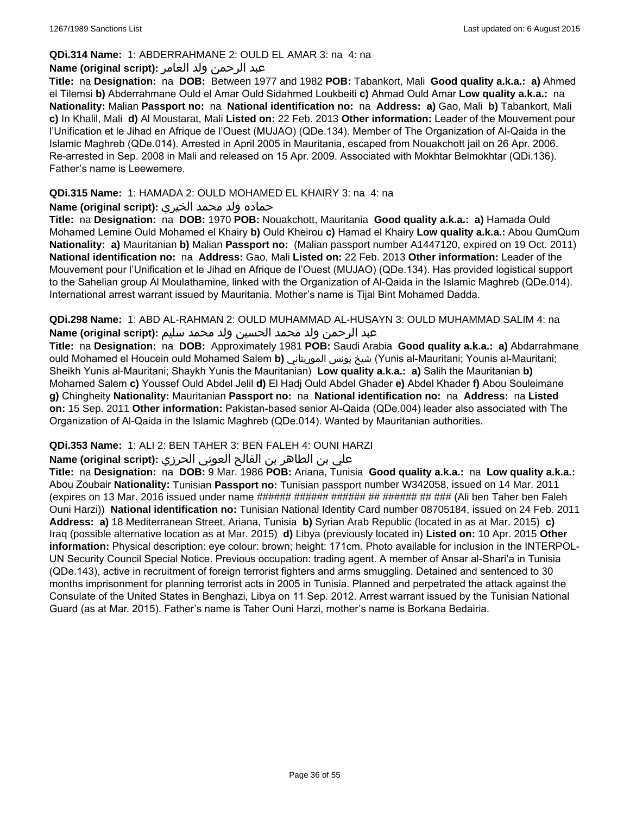### **QDi.314 Name:** 1: ABDERRAHMANE 2: OULD EL AMAR 3: na 4: na

## عبد الرحمن ولد العامر **:(script original (Name**

**Title:** na **Designation:** na **DOB:** Between 1977 and 1982 **POB:** Tabankort, Mali **Good quality a.k.a.: a)** Ahmed el Tilemsi **b)** Abderrahmane Ould el Amar Ould Sidahmed Loukbeiti **c)** Ahmad Ould Amar **Low quality a.k.a.:** na **Nationality:** Malian **Passport no:** na **National identification no:** na **Address: a)** Gao, Mali **b)** Tabankort, Mali **c)** In Khalil, Mali **d)** Al Moustarat, Mali **Listed on:** 22 Feb. 2013 **Other information:** Leader of the Mouvement pour l'Unification et le Jihad en Afrique de l'Ouest (MUJAO) (QDe.134). Member of The Organization of Al-Qaida in the Islamic Maghreb (QDe.014). Arrested in April 2005 in Mauritania, escaped from Nouakchott jail on 26 Apr. 2006. Re-arrested in Sep. 2008 in Mali and released on 15 Apr. 2009. Associated with Mokhtar Belmokhtar (QDi.136). Father's name is Leewemere.

## **QDi.315 Name:** 1: HAMADA 2: OULD MOHAMED EL KHAIRY 3: na 4: na

## حماده ولد محمد الخيري **:(script original (Name**

**Title:** na **Designation:** na **DOB:** 1970 **POB:** Nouakchott, Mauritania **Good quality a.k.a.: a)** Hamada Ould Mohamed Lemine Ould Mohamed el Khairy **b)** Ould Kheirou **c)** Hamad el Khairy **Low quality a.k.a.:** Abou QumQum **Nationality: a)** Mauritanian **b)** Malian **Passport no:** (Malian passport number A1447120, expired on 19 Oct. 2011) **National identification no:** na **Address:** Gao, Mali **Listed on:** 22 Feb. 2013 **Other information:** Leader of the Mouvement pour l'Unification et le Jihad en Afrique de l'Ouest (MUJAO) (QDe.134). Has provided logistical support to the Sahelian group Al Moulathamine, linked with the Organization of Al-Qaida in the Islamic Maghreb (QDe.014). International arrest warrant issued by Mauritania. Mother's name is Tijal Bint Mohamed Dadda.

**QDi.298 Name:** 1: ABD AL-RAHMAN 2: OULD MUHAMMAD AL-HUSAYN 3: OULD MUHAMMAD SALIM 4: na عبد الرحمن ولد محمد الحسين ولد محمد سليم **:(script original (Name**

**Title:** na **Designation:** na **DOB:** Approximately 1981 **POB:** Saudi Arabia **Good quality a.k.a.: a)** Abdarrahmane ould Mohamed el Houcein ould Mohamed Salem **b)** الموريتاني يونس شيخ) Yunis al-Mauritani; Younis al-Mauritani; Sheikh Yunis al-Mauritani; Shaykh Yunis the Mauritanian) **Low quality a.k.a.: a)** Salih the Mauritanian **b)** Mohamed Salem **c)** Youssef Ould Abdel Jelil **d)** El Hadj Ould Abdel Ghader **e)** Abdel Khader **f)** Abou Souleimane **g)** Chingheity **Nationality:** Mauritanian **Passport no:** na **National identification no:** na **Address:** na **Listed on:** 15 Sep. 2011 **Other information:** Pakistan-based senior Al-Qaida (QDe.004) leader also associated with The Organization of Al-Qaida in the Islamic Maghreb (QDe.014). Wanted by Mauritanian authorities.

## **QDi.353 Name:** 1: ALI 2: BEN TAHER 3: BEN FALEH 4: OUNI HARZI

## علي بن الطاھر بن الفالح العوني الحرزي **:(script original (Name**

**Title:** na **Designation:** na **DOB:** 9 Mar. 1986 **POB:** Ariana, Tunisia **Good quality a.k.a.:** na **Low quality a.k.a.:** Abou Zoubair **Nationality:** Tunisian **Passport no:** Tunisian passport number W342058, issued on 14 Mar. 2011 (expires on 13 Mar. 2016 issued under name ###### ###### ####### ######### (Ali ben Taher ben Faleh Ouni Harzi)) **National identification no:** Tunisian National Identity Card number 08705184, issued on 24 Feb. 2011 **Address: a)** 18 Mediterranean Street, Ariana, Tunisia **b)** Syrian Arab Republic (located in as at Mar. 2015) **c)** Iraq (possible alternative location as at Mar. 2015) **d)** Libya (previously located in) **Listed on:** 10 Apr. 2015 **Other information:** Physical description: eye colour: brown; height: 171cm. Photo available for inclusion in the INTERPOL-UN Security Council Special Notice. Previous occupation: trading agent. A member of Ansar al-Shari'a in Tunisia (QDe.143), active in recruitment of foreign terrorist fighters and arms smuggling. Detained and sentenced to 30 months imprisonment for planning terrorist acts in 2005 in Tunisia. Planned and perpetrated the attack against the Consulate of the United States in Benghazi, Libya on 11 Sep. 2012. Arrest warrant issued by the Tunisian National Guard (as at Mar. 2015). Father's name is Taher Ouni Harzi, mother's name is Borkana Bedairia.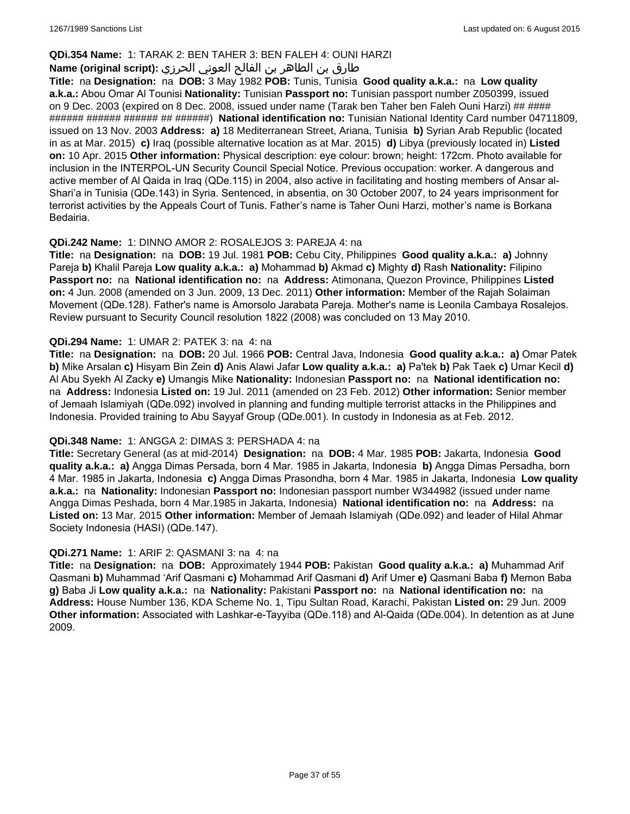### **QDi.354 Name:** 1: TARAK 2: BEN TAHER 3: BEN FALEH 4: OUNI HARZI

## طارق بن الطاھر بن الفالح العوني الحرزي **:(script original (Name**

**Title:** na **Designation:** na **DOB:** 3 May 1982 **POB:** Tunis, Tunisia **Good quality a.k.a.:** na **Low quality a.k.a.:** Abou Omar Al Tounisi **Nationality:** Tunisian **Passport no:** Tunisian passport number Z050399, issued on 9 Dec. 2003 (expired on 8 Dec. 2008, issued under name (Tarak ben Taher ben Faleh Ouni Harzi) ## #### ###### ###### ###### ## ######) **National identification no:** Tunisian National Identity Card number 04711809, issued on 13 Nov. 2003 **Address: a)** 18 Mediterranean Street, Ariana, Tunisia **b)** Syrian Arab Republic (located in as at Mar. 2015) **c)** Iraq (possible alternative location as at Mar. 2015) **d)** Libya (previously located in) **Listed on:** 10 Apr. 2015 **Other information:** Physical description: eye colour: brown; height: 172cm. Photo available for inclusion in the INTERPOL-UN Security Council Special Notice. Previous occupation: worker. A dangerous and active member of Al Qaida in Iraq (QDe.115) in 2004, also active in facilitating and hosting members of Ansar al-Shari'a in Tunisia (QDe.143) in Syria. Sentenced, in absentia, on 30 October 2007, to 24 years imprisonment for terrorist activities by the Appeals Court of Tunis. Father's name is Taher Ouni Harzi, mother's name is Borkana Bedairia.

### **QDi.242 Name:** 1: DINNO AMOR 2: ROSALEJOS 3: PAREJA 4: na

**Title:** na **Designation:** na **DOB:** 19 Jul. 1981 **POB:** Cebu City, Philippines **Good quality a.k.a.: a)** Johnny Pareja **b)** Khalil Pareja **Low quality a.k.a.: a)** Mohammad **b)** Akmad **c)** Mighty **d)** Rash **Nationality:** Filipino **Passport no:** na **National identification no:** na **Address:** Atimonana, Quezon Province, Philippines **Listed on:** 4 Jun. 2008 (amended on 3 Jun. 2009, 13 Dec. 2011) **Other information:** Member of the Rajah Solaiman Movement (QDe.128). Father's name is Amorsolo Jarabata Pareja. Mother's name is Leonila Cambaya Rosalejos. Review pursuant to Security Council resolution 1822 (2008) was concluded on 13 May 2010.

### **QDi.294 Name:** 1: UMAR 2: PATEK 3: na 4: na

**Title:** na **Designation:** na **DOB:** 20 Jul. 1966 **POB:** Central Java, Indonesia **Good quality a.k.a.: a)** Omar Patek **b)** Mike Arsalan **c)** Hisyam Bin Zein **d)** Anis Alawi Jafar **Low quality a.k.a.: a)** Pa'tek **b)** Pak Taek **c)** Umar Kecil **d)** Al Abu Syekh Al Zacky **e)** Umangis Mike **Nationality:** Indonesian **Passport no:** na **National identification no:**  na **Address:** Indonesia **Listed on:** 19 Jul. 2011 (amended on 23 Feb. 2012) **Other information:** Senior member of Jemaah Islamiyah (QDe.092) involved in planning and funding multiple terrorist attacks in the Philippines and Indonesia. Provided training to Abu Sayyaf Group (QDe.001). In custody in Indonesia as at Feb. 2012.

#### **QDi.348 Name:** 1: ANGGA 2: DIMAS 3: PERSHADA 4: na

**Title:** Secretary General (as at mid-2014) **Designation:** na **DOB:** 4 Mar. 1985 **POB:** Jakarta, Indonesia **Good quality a.k.a.: a)** Angga Dimas Persada, born 4 Mar. 1985 in Jakarta, Indonesia **b)** Angga Dimas Persadha, born 4 Mar. 1985 in Jakarta, Indonesia **c)** Angga Dimas Prasondha, born 4 Mar. 1985 in Jakarta, Indonesia **Low quality a.k.a.:** na **Nationality:** Indonesian **Passport no:** Indonesian passport number W344982 (issued under name Angga Dimas Peshada, born 4 Mar.1985 in Jakarta, Indonesia) **National identification no:** na **Address:** na **Listed on:** 13 Mar. 2015 **Other information:** Member of Jemaah Islamiyah (QDe.092) and leader of Hilal Ahmar Society Indonesia (HASI) (QDe.147).

#### **QDi.271 Name:** 1: ARIF 2: QASMANI 3: na 4: na

**Title:** na **Designation:** na **DOB:** Approximately 1944 **POB:** Pakistan **Good quality a.k.a.: a)** Muhammad Arif Qasmani **b)** Muhammad 'Arif Qasmani **c)** Mohammad Arif Qasmani **d)** Arif Umer **e)** Qasmani Baba **f)** Memon Baba **g)** Baba Ji **Low quality a.k.a.:** na **Nationality:** Pakistani **Passport no:** na **National identification no:** na **Address:** House Number 136, KDA Scheme No. 1, Tipu Sultan Road, Karachi, Pakistan **Listed on:** 29 Jun. 2009 **Other information:** Associated with Lashkar-e-Tayyiba (QDe.118) and Al-Qaida (QDe.004). In detention as at June 2009.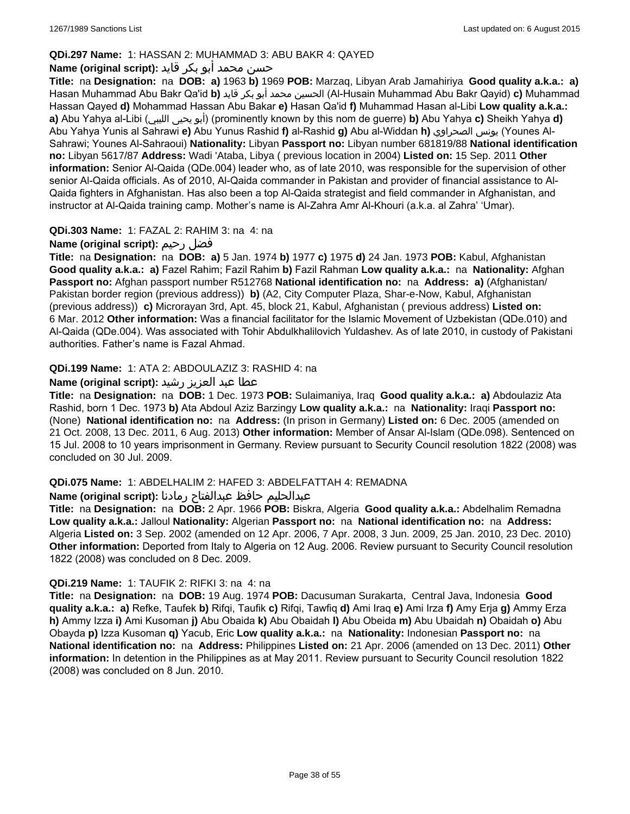## **QDi.297 Name:** 1: HASSAN 2: MUHAMMAD 3: ABU BAKR 4: QAYED

## حسن محمد أبو بكر قايد **:(script original (Name**

**Title:** na **Designation:** na **DOB: a)** 1963 **b)** 1969 **POB:** Marzaq, Libyan Arab Jamahiriya **Good quality a.k.a.: a)** Hasan Muhammad Abu Bakr Qa'id **b)** قايد بكر أبو محمد الحسين) Al-Husain Muhammad Abu Bakr Qayid) **c)** Muhammad Hassan Qayed **d)** Mohammad Hassan Abu Bakar **e)** Hasan Qa'id **f)** Muhammad Hasan al-Libi **Low quality a.k.a.: a)** Abu Yahya al-Libi (الليبي يحيى أبو) (prominently known by this nom de guerre) **b)** Abu Yahya **c)** Sheikh Yahya **d)** Abu Yahya Yunis al Sahrawi **e)** Abu Yunus Rashid **f)** al-Rashid **g)** Abu al-Widdan **h)** الصحراوي يونس) Younes Al-Sahrawi; Younes Al-Sahraoui) **Nationality:** Libyan **Passport no:** Libyan number 681819/88 **National identification no:** Libyan 5617/87 **Address:** Wadi 'Ataba, Libya ( previous location in 2004) **Listed on:** 15 Sep. 2011 **Other information:** Senior Al-Qaida (QDe.004) leader who, as of late 2010, was responsible for the supervision of other senior Al-Qaida officials. As of 2010, Al-Qaida commander in Pakistan and provider of financial assistance to Al-Qaida fighters in Afghanistan. Has also been a top Al-Qaida strategist and field commander in Afghanistan, and instructor at Al-Qaida training camp. Mother's name is Al-Zahra Amr Al-Khouri (a.k.a. al Zahra' 'Umar).

## **QDi.303 Name:** 1: FAZAL 2: RAHIM 3: na 4: na

## **Name (original script):** رحيم فضل

**Title:** na **Designation:** na **DOB: a)** 5 Jan. 1974 **b)** 1977 **c)** 1975 **d)** 24 Jan. 1973 **POB:** Kabul, Afghanistan **Good quality a.k.a.: a)** Fazel Rahim; Fazil Rahim **b)** Fazil Rahman **Low quality a.k.a.:** na **Nationality:** Afghan **Passport no:** Afghan passport number R512768 **National identification no:** na **Address: a)** (Afghanistan/ Pakistan border region (previous address)) **b)** (A2, City Computer Plaza, Shar-e-Now, Kabul, Afghanistan (previous address)) **c)** Microrayan 3rd, Apt. 45, block 21, Kabul, Afghanistan ( previous address) **Listed on:** 6 Mar. 2012 **Other information:** Was a financial facilitator for the Islamic Movement of Uzbekistan (QDe.010) and Al-Qaida (QDe.004). Was associated with Tohir Abdulkhalilovich Yuldashev. As of late 2010, in custody of Pakistani authorities. Father's name is Fazal Ahmad.

## **QDi.199 Name:** 1: ATA 2: ABDOULAZIZ 3: RASHID 4: na

## عطا عبد العزيز رشيد **:(script original (Name**

**Title:** na **Designation:** na **DOB:** 1 Dec. 1973 **POB:** Sulaimaniya, Iraq **Good quality a.k.a.: a)** Abdoulaziz Ata Rashid, born 1 Dec. 1973 **b)** Ata Abdoul Aziz Barzingy **Low quality a.k.a.:** na **Nationality:** Iraqi **Passport no:**  (None) **National identification no:** na **Address:** (In prison in Germany) **Listed on:** 6 Dec. 2005 (amended on 21 Oct. 2008, 13 Dec. 2011, 6 Aug. 2013) **Other information:** Member of Ansar Al-Islam (QDe.098). Sentenced on 15 Jul. 2008 to 10 years imprisonment in Germany. Review pursuant to Security Council resolution 1822 (2008) was concluded on 30 Jul. 2009.

## **QDi.075 Name:** 1: ABDELHALIM 2: HAFED 3: ABDELFATTAH 4: REMADNA

## عبدالحليم حافظ عبدالفتاح رمادنا **:(script original (Name**

**Title:** na **Designation:** na **DOB:** 2 Apr. 1966 **POB:** Biskra, Algeria **Good quality a.k.a.:** Abdelhalim Remadna **Low quality a.k.a.:** Jalloul **Nationality:** Algerian **Passport no:** na **National identification no:** na **Address:** Algeria **Listed on:** 3 Sep. 2002 (amended on 12 Apr. 2006, 7 Apr. 2008, 3 Jun. 2009, 25 Jan. 2010, 23 Dec. 2010) **Other information:** Deported from Italy to Algeria on 12 Aug. 2006. Review pursuant to Security Council resolution 1822 (2008) was concluded on 8 Dec. 2009.

## **QDi.219 Name:** 1: TAUFIK 2: RIFKI 3: na 4: na

**Title:** na **Designation:** na **DOB:** 19 Aug. 1974 **POB:** Dacusuman Surakarta, Central Java, Indonesia **Good quality a.k.a.: a)** Refke, Taufek **b)** Rifqi, Taufik **c)** Rifqi, Tawfiq **d)** Ami Iraq **e)** Ami Irza **f)** Amy Erja **g)** Ammy Erza **h)** Ammy Izza **i)** Ami Kusoman **j)** Abu Obaida **k)** Abu Obaidah **l)** Abu Obeida **m)** Abu Ubaidah **n)** Obaidah **o)** Abu Obayda **p)** Izza Kusoman **q)** Yacub, Eric **Low quality a.k.a.:** na **Nationality:** Indonesian **Passport no:** na **National identification no:** na **Address:** Philippines **Listed on:** 21 Apr. 2006 (amended on 13 Dec. 2011) **Other information:** In detention in the Philippines as at May 2011. Review pursuant to Security Council resolution 1822 (2008) was concluded on 8 Jun. 2010.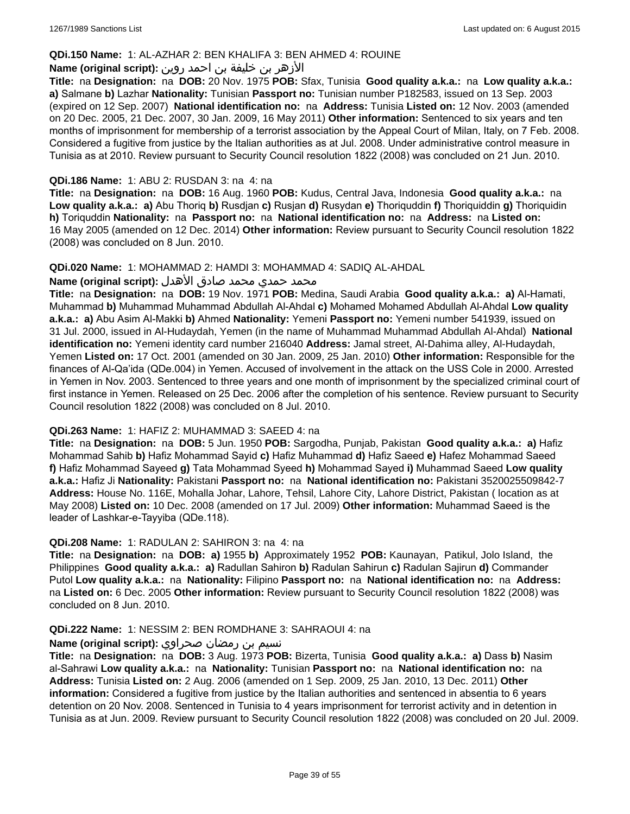### **QDi.150 Name:** 1: AL-AZHAR 2: BEN KHALIFA 3: BEN AHMED 4: ROUINE

## الأزهر بن خليفة بن احمد روين **:(script original (Name**

**Title:** na **Designation:** na **DOB:** 20 Nov. 1975 **POB:** Sfax, Tunisia **Good quality a.k.a.:** na **Low quality a.k.a.: a)** Salmane **b)** Lazhar **Nationality:** Tunisian **Passport no:** Tunisian number P182583, issued on 13 Sep. 2003 (expired on 12 Sep. 2007) **National identification no:** na **Address:** Tunisia **Listed on:** 12 Nov. 2003 (amended on 20 Dec. 2005, 21 Dec. 2007, 30 Jan. 2009, 16 May 2011) **Other information:** Sentenced to six years and ten months of imprisonment for membership of a terrorist association by the Appeal Court of Milan, Italy, on 7 Feb. 2008. Considered a fugitive from justice by the Italian authorities as at Jul. 2008. Under administrative control measure in Tunisia as at 2010. Review pursuant to Security Council resolution 1822 (2008) was concluded on 21 Jun. 2010.

### **QDi.186 Name:** 1: ABU 2: RUSDAN 3: na 4: na

**Title:** na **Designation:** na **DOB:** 16 Aug. 1960 **POB:** Kudus, Central Java, Indonesia **Good quality a.k.a.:** na **Low quality a.k.a.: a)** Abu Thoriq **b)** Rusdjan **c)** Rusjan **d)** Rusydan **e)** Thoriquddin **f)** Thoriquiddin **g)** Thoriquidin **h)** Toriquddin **Nationality:** na **Passport no:** na **National identification no:** na **Address:** na **Listed on:** 16 May 2005 (amended on 12 Dec. 2014) **Other information:** Review pursuant to Security Council resolution 1822 (2008) was concluded on 8 Jun. 2010.

#### **QDi.020 Name:** 1: MOHAMMAD 2: HAMDI 3: MOHAMMAD 4: SADIQ AL-AHDAL

#### محمد حمدي محمد صادق الأهدل **:Name (original script**)

**Title:** na **Designation:** na **DOB:** 19 Nov. 1971 **POB:** Medina, Saudi Arabia **Good quality a.k.a.: a)** Al-Hamati, Muhammad **b)** Muhammad Muhammad Abdullah Al-Ahdal **c)** Mohamed Mohamed Abdullah Al-Ahdal **Low quality a.k.a.: a)** Abu Asim Al-Makki **b)** Ahmed **Nationality:** Yemeni **Passport no:** Yemeni number 541939, issued on 31 Jul. 2000, issued in Al-Hudaydah, Yemen (in the name of Muhammad Muhammad Abdullah Al-Ahdal) **National identification no:** Yemeni identity card number 216040 **Address:** Jamal street, Al-Dahima alley, Al-Hudaydah, Yemen **Listed on:** 17 Oct. 2001 (amended on 30 Jan. 2009, 25 Jan. 2010) **Other information:** Responsible for the finances of Al-Qa'ida (QDe.004) in Yemen. Accused of involvement in the attack on the USS Cole in 2000. Arrested in Yemen in Nov. 2003. Sentenced to three years and one month of imprisonment by the specialized criminal court of first instance in Yemen. Released on 25 Dec. 2006 after the completion of his sentence. Review pursuant to Security Council resolution 1822 (2008) was concluded on 8 Jul. 2010.

#### **QDi.263 Name:** 1: HAFIZ 2: MUHAMMAD 3: SAEED 4: na

**Title:** na **Designation:** na **DOB:** 5 Jun. 1950 **POB:** Sargodha, Punjab, Pakistan **Good quality a.k.a.: a)** Hafiz Mohammad Sahib **b)** Hafiz Mohammad Sayid **c)** Hafiz Muhammad **d)** Hafiz Saeed **e)** Hafez Mohammad Saeed **f)** Hafiz Mohammad Sayeed **g)** Tata Mohammad Syeed **h)** Mohammad Sayed **i)** Muhammad Saeed **Low quality a.k.a.:** Hafiz Ji **Nationality:** Pakistani **Passport no:** na **National identification no:** Pakistani 3520025509842-7 **Address:** House No. 116E, Mohalla Johar, Lahore, Tehsil, Lahore City, Lahore District, Pakistan ( location as at May 2008) **Listed on:** 10 Dec. 2008 (amended on 17 Jul. 2009) **Other information:** Muhammad Saeed is the leader of Lashkar-e-Tayyiba (QDe.118).

#### **QDi.208 Name:** 1: RADULAN 2: SAHIRON 3: na 4: na

**Title:** na **Designation:** na **DOB: a)** 1955 **b)** Approximately 1952 **POB:** Kaunayan, Patikul, Jolo Island, the Philippines **Good quality a.k.a.: a)** Radullan Sahiron **b)** Radulan Sahirun **c)** Radulan Sajirun **d)** Commander Putol **Low quality a.k.a.:** na **Nationality:** Filipino **Passport no:** na **National identification no:** na **Address:**  na **Listed on:** 6 Dec. 2005 **Other information:** Review pursuant to Security Council resolution 1822 (2008) was concluded on 8 Jun. 2010.

#### **QDi.222 Name:** 1: NESSIM 2: BEN ROMDHANE 3: SAHRAOUI 4: na

#### نسيم بن رمضان صحراوي **:(script original (Name**

**Title:** na **Designation:** na **DOB:** 3 Aug. 1973 **POB:** Bizerta, Tunisia **Good quality a.k.a.: a)** Dass **b)** Nasim al-Sahrawi **Low quality a.k.a.:** na **Nationality:** Tunisian **Passport no:** na **National identification no:** na **Address:** Tunisia **Listed on:** 2 Aug. 2006 (amended on 1 Sep. 2009, 25 Jan. 2010, 13 Dec. 2011) **Other information:** Considered a fugitive from justice by the Italian authorities and sentenced in absentia to 6 years detention on 20 Nov. 2008. Sentenced in Tunisia to 4 years imprisonment for terrorist activity and in detention in Tunisia as at Jun. 2009. Review pursuant to Security Council resolution 1822 (2008) was concluded on 20 Jul. 2009.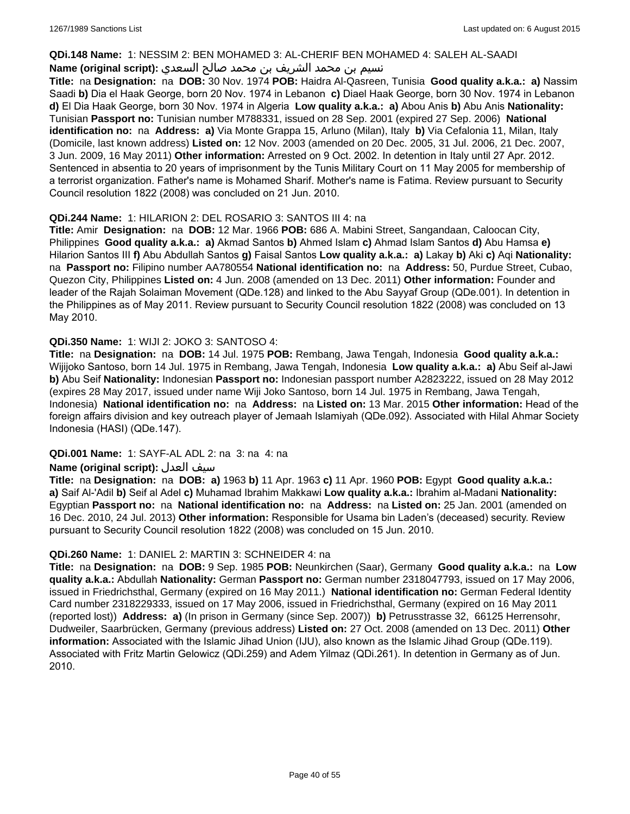### **QDi.148 Name:** 1: NESSIM 2: BEN MOHAMED 3: AL-CHERIF BEN MOHAMED 4: SALEH AL-SAADI

## نسيم بن محمد الشريف بن محمد صالح السعدي **:Name (original script**)

**Title:** na **Designation:** na **DOB:** 30 Nov. 1974 **POB:** Haidra Al-Qasreen, Tunisia **Good quality a.k.a.: a)** Nassim Saadi **b)** Dia el Haak George, born 20 Nov. 1974 in Lebanon **c)** Diael Haak George, born 30 Nov. 1974 in Lebanon **d)** El Dia Haak George, born 30 Nov. 1974 in Algeria **Low quality a.k.a.: a)** Abou Anis **b)** Abu Anis **Nationality:** Tunisian **Passport no:** Tunisian number M788331, issued on 28 Sep. 2001 (expired 27 Sep. 2006) **National identification no:** na **Address: a)** Via Monte Grappa 15, Arluno (Milan), Italy **b)** Via Cefalonia 11, Milan, Italy (Domicile, last known address) **Listed on:** 12 Nov. 2003 (amended on 20 Dec. 2005, 31 Jul. 2006, 21 Dec. 2007, 3 Jun. 2009, 16 May 2011) **Other information:** Arrested on 9 Oct. 2002. In detention in Italy until 27 Apr. 2012. Sentenced in absentia to 20 years of imprisonment by the Tunis Military Court on 11 May 2005 for membership of a terrorist organization. Father's name is Mohamed Sharif. Mother's name is Fatima. Review pursuant to Security Council resolution 1822 (2008) was concluded on 21 Jun. 2010.

### **QDi.244 Name:** 1: HILARION 2: DEL ROSARIO 3: SANTOS III 4: na

**Title:** Amir **Designation:** na **DOB:** 12 Mar. 1966 **POB:** 686 A. Mabini Street, Sangandaan, Caloocan City, Philippines **Good quality a.k.a.: a)** Akmad Santos **b)** Ahmed Islam **c)** Ahmad Islam Santos **d)** Abu Hamsa **e)** Hilarion Santos III **f)** Abu Abdullah Santos **g)** Faisal Santos **Low quality a.k.a.: a)** Lakay **b)** Aki **c)** Aqi **Nationality:**  na **Passport no:** Filipino number AA780554 **National identification no:** na **Address:** 50, Purdue Street, Cubao, Quezon City, Philippines **Listed on:** 4 Jun. 2008 (amended on 13 Dec. 2011) **Other information:** Founder and leader of the Rajah Solaiman Movement (QDe.128) and linked to the Abu Sayyaf Group (QDe.001). In detention in the Philippines as of May 2011. Review pursuant to Security Council resolution 1822 (2008) was concluded on 13 May 2010.

## **QDi.350 Name:** 1: WIJI 2: JOKO 3: SANTOSO 4:

**Title:** na **Designation:** na **DOB:** 14 Jul. 1975 **POB:** Rembang, Jawa Tengah, Indonesia **Good quality a.k.a.:** Wijijoko Santoso, born 14 Jul. 1975 in Rembang, Jawa Tengah, Indonesia **Low quality a.k.a.: a)** Abu Seif al-Jawi **b)** Abu Seif **Nationality:** Indonesian **Passport no:** Indonesian passport number A2823222, issued on 28 May 2012 (expires 28 May 2017, issued under name Wiji Joko Santoso, born 14 Jul. 1975 in Rembang, Jawa Tengah, Indonesia) **National identification no:** na **Address:** na **Listed on:** 13 Mar. 2015 **Other information:** Head of the foreign affairs division and key outreach player of Jemaah Islamiyah (QDe.092). Associated with Hilal Ahmar Society Indonesia (HASI) (QDe.147).

## **QDi.001 Name:** 1: SAYF-AL ADL 2: na 3: na 4: na

## **Name (original script):** العدل سيف

**Title:** na **Designation:** na **DOB: a)** 1963 **b)** 11 Apr. 1963 **c)** 11 Apr. 1960 **POB:** Egypt **Good quality a.k.a.: a)** Saif Al-'Adil **b)** Seif al Adel **c)** Muhamad Ibrahim Makkawi **Low quality a.k.a.:** Ibrahim al-Madani **Nationality:** Egyptian **Passport no:** na **National identification no:** na **Address:** na **Listed on:** 25 Jan. 2001 (amended on 16 Dec. 2010, 24 Jul. 2013) **Other information:** Responsible for Usama bin Laden's (deceased) security. Review pursuant to Security Council resolution 1822 (2008) was concluded on 15 Jun. 2010.

#### **QDi.260 Name:** 1: DANIEL 2: MARTIN 3: SCHNEIDER 4: na

**Title:** na **Designation:** na **DOB:** 9 Sep. 1985 **POB:** Neunkirchen (Saar), Germany **Good quality a.k.a.:** na **Low quality a.k.a.:** Abdullah **Nationality:** German **Passport no:** German number 2318047793, issued on 17 May 2006, issued in Friedrichsthal, Germany (expired on 16 May 2011.) **National identification no:** German Federal Identity Card number 2318229333, issued on 17 May 2006, issued in Friedrichsthal, Germany (expired on 16 May 2011 (reported lost)) **Address: a)** (In prison in Germany (since Sep. 2007)) **b)** Petrusstrasse 32, 66125 Herrensohr, Dudweiler, Saarbrücken, Germany (previous address) **Listed on:** 27 Oct. 2008 (amended on 13 Dec. 2011) **Other information:** Associated with the Islamic Jihad Union (IJU), also known as the Islamic Jihad Group (QDe.119). Associated with Fritz Martin Gelowicz (QDi.259) and Adem Yilmaz (QDi.261). In detention in Germany as of Jun. 2010.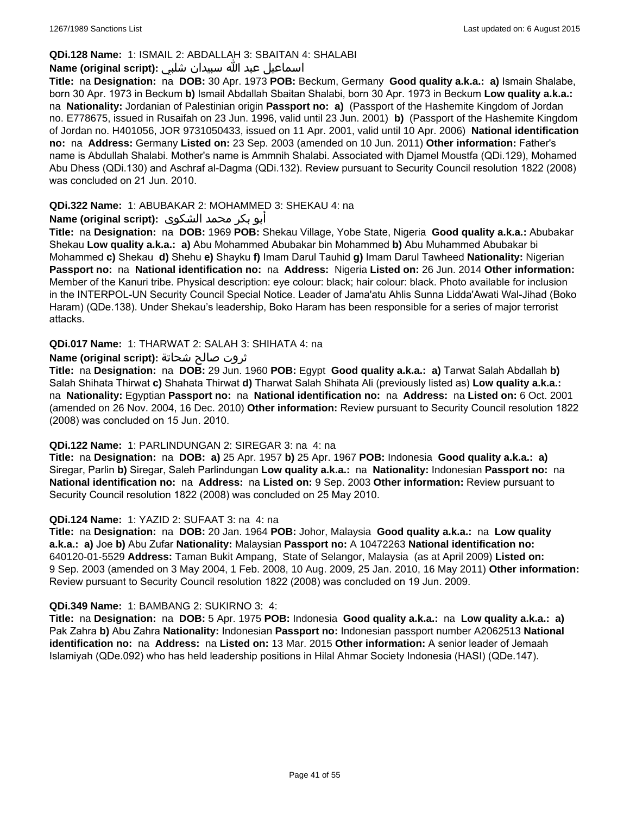## **QDi.128 Name:** 1: ISMAIL 2: ABDALLAH 3: SBAITAN 4: SHALABI

## اسماعيل عبد الله سبيدان شلبي **:(script original (Name**

**Title:** na **Designation:** na **DOB:** 30 Apr. 1973 **POB:** Beckum, Germany **Good quality a.k.a.: a)** Ismain Shalabe, born 30 Apr. 1973 in Beckum **b)** Ismail Abdallah Sbaitan Shalabi, born 30 Apr. 1973 in Beckum **Low quality a.k.a.:**  na **Nationality:** Jordanian of Palestinian origin **Passport no: a)** (Passport of the Hashemite Kingdom of Jordan no. E778675, issued in Rusaifah on 23 Jun. 1996, valid until 23 Jun. 2001) **b)** (Passport of the Hashemite Kingdom of Jordan no. H401056, JOR 9731050433, issued on 11 Apr. 2001, valid until 10 Apr. 2006) **National identification no:** na **Address:** Germany **Listed on:** 23 Sep. 2003 (amended on 10 Jun. 2011) **Other information:** Father's name is Abdullah Shalabi. Mother's name is Ammnih Shalabi. Associated with Djamel Moustfa (QDi.129), Mohamed Abu Dhess (QDi.130) and Aschraf al-Dagma (QDi.132). Review pursuant to Security Council resolution 1822 (2008) was concluded on 21 Jun. 2010.

## **QDi.322 Name:** 1: ABUBAKAR 2: MOHAMMED 3: SHEKAU 4: na

## أبو بكر محمد الشكوى **:(script original (Name**

**Title:** na **Designation:** na **DOB:** 1969 **POB:** Shekau Village, Yobe State, Nigeria **Good quality a.k.a.:** Abubakar Shekau **Low quality a.k.a.: a)** Abu Mohammed Abubakar bin Mohammed **b)** Abu Muhammed Abubakar bi Mohammed **c)** Shekau **d)** Shehu **e)** Shayku **f)** Imam Darul Tauhid **g)** Imam Darul Tawheed **Nationality:** Nigerian **Passport no:** na **National identification no:** na **Address:** Nigeria **Listed on:** 26 Jun. 2014 **Other information:** Member of the Kanuri tribe. Physical description: eye colour: black; hair colour: black. Photo available for inclusion in the INTERPOL-UN Security Council Special Notice. Leader of Jama'atu Ahlis Sunna Lidda'Awati Wal-Jihad (Boko Haram) (QDe.138). Under Shekau's leadership, Boko Haram has been responsible for a series of major terrorist attacks.

## **QDi.017 Name:** 1: THARWAT 2: SALAH 3: SHIHATA 4: na

## ثروت صالح شحاتة **:(script original (Name**

**Title:** na **Designation:** na **DOB:** 29 Jun. 1960 **POB:** Egypt **Good quality a.k.a.: a)** Tarwat Salah Abdallah **b)** Salah Shihata Thirwat **c)** Shahata Thirwat **d)** Tharwat Salah Shihata Ali (previously listed as) **Low quality a.k.a.:**  na **Nationality:** Egyptian **Passport no:** na **National identification no:** na **Address:** na **Listed on:** 6 Oct. 2001 (amended on 26 Nov. 2004, 16 Dec. 2010) **Other information:** Review pursuant to Security Council resolution 1822 (2008) was concluded on 15 Jun. 2010.

## **QDi.122 Name:** 1: PARLINDUNGAN 2: SIREGAR 3: na 4: na

**Title:** na **Designation:** na **DOB: a)** 25 Apr. 1957 **b)** 25 Apr. 1967 **POB:** Indonesia **Good quality a.k.a.: a)** Siregar, Parlin **b)** Siregar, Saleh Parlindungan **Low quality a.k.a.:** na **Nationality:** Indonesian **Passport no:** na **National identification no:** na **Address:** na **Listed on:** 9 Sep. 2003 **Other information:** Review pursuant to Security Council resolution 1822 (2008) was concluded on 25 May 2010.

## **QDi.124 Name:** 1: YAZID 2: SUFAAT 3: na 4: na

**Title:** na **Designation:** na **DOB:** 20 Jan. 1964 **POB:** Johor, Malaysia **Good quality a.k.a.:** na **Low quality a.k.a.: a)** Joe **b)** Abu Zufar **Nationality:** Malaysian **Passport no:** A 10472263 **National identification no:** 640120-01-5529 **Address:** Taman Bukit Ampang, State of Selangor, Malaysia (as at April 2009) **Listed on:** 9 Sep. 2003 (amended on 3 May 2004, 1 Feb. 2008, 10 Aug. 2009, 25 Jan. 2010, 16 May 2011) **Other information:** Review pursuant to Security Council resolution 1822 (2008) was concluded on 19 Jun. 2009.

## **QDi.349 Name:** 1: BAMBANG 2: SUKIRNO 3: 4:

**Title:** na **Designation:** na **DOB:** 5 Apr. 1975 **POB:** Indonesia **Good quality a.k.a.:** na **Low quality a.k.a.: a)** Pak Zahra **b)** Abu Zahra **Nationality:** Indonesian **Passport no:** Indonesian passport number A2062513 **National identification no:** na **Address:** na **Listed on:** 13 Mar. 2015 **Other information:** A senior leader of Jemaah Islamiyah (QDe.092) who has held leadership positions in Hilal Ahmar Society Indonesia (HASI) (QDe.147).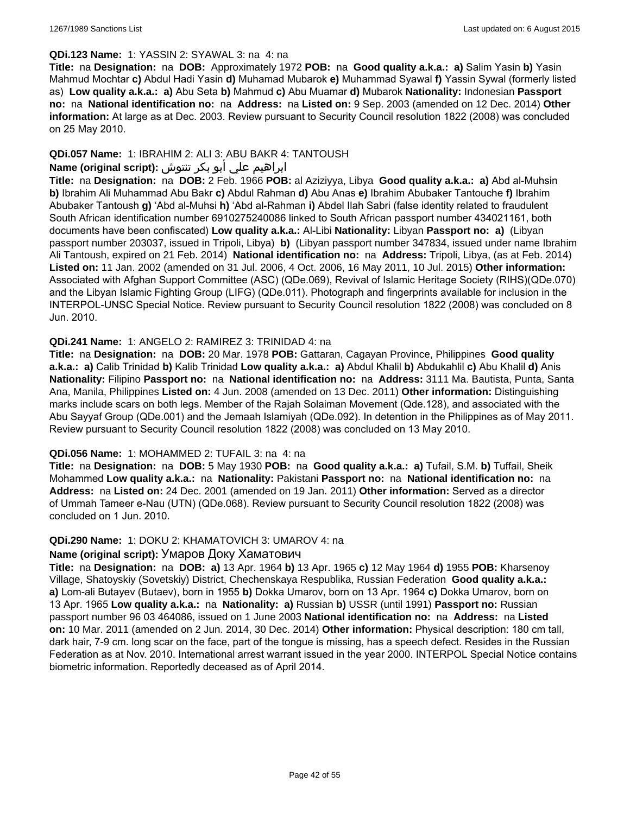#### **QDi.123 Name:** 1: YASSIN 2: SYAWAL 3: na 4: na

**Title:** na **Designation:** na **DOB:** Approximately 1972 **POB:** na **Good quality a.k.a.: a)** Salim Yasin **b)** Yasin Mahmud Mochtar **c)** Abdul Hadi Yasin **d)** Muhamad Mubarok **e)** Muhammad Syawal **f)** Yassin Sywal (formerly listed as) **Low quality a.k.a.: a)** Abu Seta **b)** Mahmud **c)** Abu Muamar **d)** Mubarok **Nationality:** Indonesian **Passport no:** na **National identification no:** na **Address:** na **Listed on:** 9 Sep. 2003 (amended on 12 Dec. 2014) **Other information:** At large as at Dec. 2003. Review pursuant to Security Council resolution 1822 (2008) was concluded on 25 May 2010.

## **QDi.057 Name:** 1: IBRAHIM 2: ALI 3: ABU BAKR 4: TANTOUSH

## ابراهيم علي أبو بكر تنتوش **:(script original (Name**

**Title:** na **Designation:** na **DOB:** 2 Feb. 1966 **POB:** al Aziziyya, Libya **Good quality a.k.a.: a)** Abd al-Muhsin **b)** Ibrahim Ali Muhammad Abu Bakr **c)** Abdul Rahman **d)** Abu Anas **e)** Ibrahim Abubaker Tantouche **f)** Ibrahim Abubaker Tantoush **g)** 'Abd al-Muhsi **h)** 'Abd al-Rahman **i)** Abdel Ilah Sabri (false identity related to fraudulent South African identification number 6910275240086 linked to South African passport number 434021161, both documents have been confiscated) **Low quality a.k.a.:** Al-Libi **Nationality:** Libyan **Passport no: a)** (Libyan passport number 203037, issued in Tripoli, Libya) **b)** (Libyan passport number 347834, issued under name Ibrahim Ali Tantoush, expired on 21 Feb. 2014) **National identification no:** na **Address:** Tripoli, Libya, (as at Feb. 2014) **Listed on:** 11 Jan. 2002 (amended on 31 Jul. 2006, 4 Oct. 2006, 16 May 2011, 10 Jul. 2015) **Other information:** Associated with Afghan Support Committee (ASC) (QDe.069), Revival of Islamic Heritage Society (RIHS)(QDe.070) and the Libyan Islamic Fighting Group (LIFG) (QDe.011). Photograph and fingerprints available for inclusion in the INTERPOL-UNSC Special Notice. Review pursuant to Security Council resolution 1822 (2008) was concluded on 8 Jun. 2010.

### **QDi.241 Name:** 1: ANGELO 2: RAMIREZ 3: TRINIDAD 4: na

**Title:** na **Designation:** na **DOB:** 20 Mar. 1978 **POB:** Gattaran, Cagayan Province, Philippines **Good quality a.k.a.: a)** Calib Trinidad **b)** Kalib Trinidad **Low quality a.k.a.: a)** Abdul Khalil **b)** Abdukahlil **c)** Abu Khalil **d)** Anis **Nationality:** Filipino **Passport no:** na **National identification no:** na **Address:** 3111 Ma. Bautista, Punta, Santa Ana, Manila, Philippines **Listed on:** 4 Jun. 2008 (amended on 13 Dec. 2011) **Other information:** Distinguishing marks include scars on both legs. Member of the Rajah Solaiman Movement (Qde.128), and associated with the Abu Sayyaf Group (QDe.001) and the Jemaah Islamiyah (QDe.092). In detention in the Philippines as of May 2011. Review pursuant to Security Council resolution 1822 (2008) was concluded on 13 May 2010.

#### **QDi.056 Name:** 1: MOHAMMED 2: TUFAIL 3: na 4: na

**Title:** na **Designation:** na **DOB:** 5 May 1930 **POB:** na **Good quality a.k.a.: a)** Tufail, S.M. **b)** Tuffail, Sheik Mohammed **Low quality a.k.a.:** na **Nationality:** Pakistani **Passport no:** na **National identification no:** na **Address:** na **Listed on:** 24 Dec. 2001 (amended on 19 Jan. 2011) **Other information:** Served as a director of Ummah Tameer e-Nau (UTN) (QDe.068). Review pursuant to Security Council resolution 1822 (2008) was concluded on 1 Jun. 2010.

#### **QDi.290 Name:** 1: DOKU 2: KHAMATOVICH 3: UMAROV 4: na

## **Name (original script):** Умаров Доку Хаматович

**Title:** na **Designation:** na **DOB: a)** 13 Apr. 1964 **b)** 13 Apr. 1965 **c)** 12 May 1964 **d)** 1955 **POB:** Kharsenoy Village, Shatoyskiy (Sovetskiy) District, Chechenskaya Respublika, Russian Federation **Good quality a.k.a.: a)** Lom-ali Butayev (Butaev), born in 1955 **b)** Dokka Umarov, born on 13 Apr. 1964 **c)** Dokka Umarov, born on 13 Apr. 1965 **Low quality a.k.a.:** na **Nationality: a)** Russian **b)** USSR (until 1991) **Passport no:** Russian passport number 96 03 464086, issued on 1 June 2003 **National identification no:** na **Address:** na **Listed on:** 10 Mar. 2011 (amended on 2 Jun. 2014, 30 Dec. 2014) **Other information:** Physical description: 180 cm tall, dark hair, 7-9 cm. long scar on the face, part of the tongue is missing, has a speech defect. Resides in the Russian Federation as at Nov. 2010. International arrest warrant issued in the year 2000. INTERPOL Special Notice contains biometric information. Reportedly deceased as of April 2014.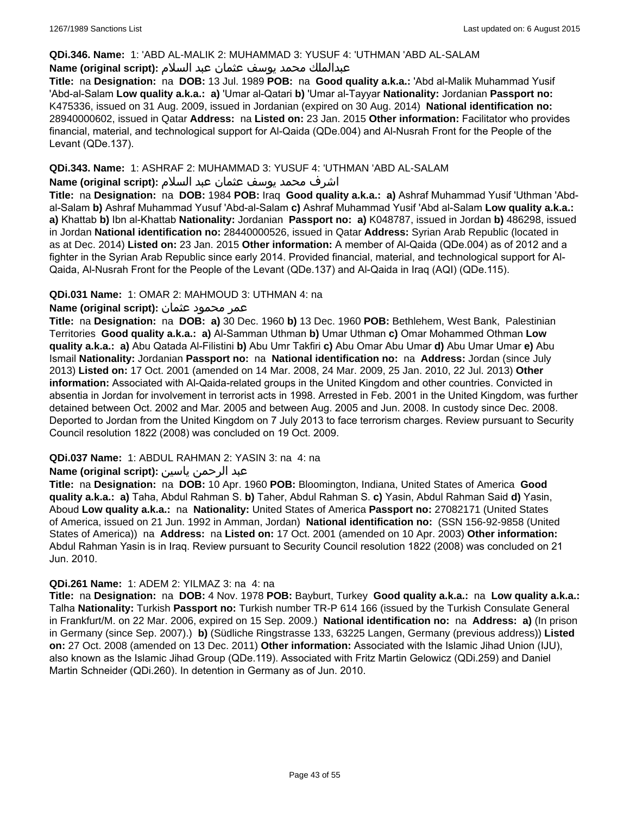### **QDi.346. Name:** 1: 'ABD AL-MALIK 2: MUHAMMAD 3: YUSUF 4: 'UTHMAN 'ABD AL-SALAM

### عبدالملك محمد يوسف عثمان عبد السلام **:(script original (Name**

**Title:** na **Designation:** na **DOB:** 13 Jul. 1989 **POB:** na **Good quality a.k.a.:** 'Abd al-Malik Muhammad Yusif 'Abd-al-Salam **Low quality a.k.a.: a)** 'Umar al-Qatari **b)** 'Umar al-Tayyar **Nationality:** Jordanian **Passport no:** K475336, issued on 31 Aug. 2009, issued in Jordanian (expired on 30 Aug. 2014) **National identification no:** 28940000602, issued in Qatar **Address:** na **Listed on:** 23 Jan. 2015 **Other information:** Facilitator who provides financial, material, and technological support for Al-Qaida (QDe.004) and Al-Nusrah Front for the People of the Levant (QDe.137).

### **QDi.343. Name:** 1: ASHRAF 2: MUHAMMAD 3: YUSUF 4: 'UTHMAN 'ABD AL-SALAM

### اشرف محمد يوسف عثمان عبد السلام **:(script original (Name**

**Title:** na **Designation:** na **DOB:** 1984 **POB:** Iraq **Good quality a.k.a.: a)** Ashraf Muhammad Yusif 'Uthman 'Abdal-Salam **b)** Ashraf Muhammad Yusuf 'Abd-al-Salam **c)** Ashraf Muhammad Yusif 'Abd al-Salam **Low quality a.k.a.: a)** Khattab **b)** Ibn al-Khattab **Nationality:** Jordanian **Passport no: a)** K048787, issued in Jordan **b)** 486298, issued in Jordan **National identification no:** 28440000526, issued in Qatar **Address:** Syrian Arab Republic (located in as at Dec. 2014) **Listed on:** 23 Jan. 2015 **Other information:** A member of Al-Qaida (QDe.004) as of 2012 and a fighter in the Syrian Arab Republic since early 2014. Provided financial, material, and technological support for Al-Qaida, Al-Nusrah Front for the People of the Levant (QDe.137) and Al-Qaida in Iraq (AQI) (QDe.115).

### **QDi.031 Name:** 1: OMAR 2: MAHMOUD 3: UTHMAN 4: na

### عمر محمود عثمان **:(script original (Name**

**Title:** na **Designation:** na **DOB: a)** 30 Dec. 1960 **b)** 13 Dec. 1960 **POB:** Bethlehem, West Bank, Palestinian Territories **Good quality a.k.a.: a)** Al-Samman Uthman **b)** Umar Uthman **c)** Omar Mohammed Othman **Low quality a.k.a.: a)** Abu Qatada Al-Filistini **b)** Abu Umr Takfiri **c)** Abu Omar Abu Umar **d)** Abu Umar Umar **e)** Abu Ismail **Nationality:** Jordanian **Passport no:** na **National identification no:** na **Address:** Jordan (since July 2013) **Listed on:** 17 Oct. 2001 (amended on 14 Mar. 2008, 24 Mar. 2009, 25 Jan. 2010, 22 Jul. 2013) **Other information:** Associated with Al-Qaida-related groups in the United Kingdom and other countries. Convicted in absentia in Jordan for involvement in terrorist acts in 1998. Arrested in Feb. 2001 in the United Kingdom, was further detained between Oct. 2002 and Mar. 2005 and between Aug. 2005 and Jun. 2008. In custody since Dec. 2008. Deported to Jordan from the United Kingdom on 7 July 2013 to face terrorism charges. Review pursuant to Security Council resolution 1822 (2008) was concluded on 19 Oct. 2009.

## **QDi.037 Name:** 1: ABDUL RAHMAN 2: YASIN 3: na 4: na

### عبد الرحمن ياسين **:(script original (Name**

**Title:** na **Designation:** na **DOB:** 10 Apr. 1960 **POB:** Bloomington, Indiana, United States of America **Good quality a.k.a.: a)** Taha, Abdul Rahman S. **b)** Taher, Abdul Rahman S. **c)** Yasin, Abdul Rahman Said **d)** Yasin, Aboud **Low quality a.k.a.:** na **Nationality:** United States of America **Passport no:** 27082171 (United States of America, issued on 21 Jun. 1992 in Amman, Jordan) **National identification no:** (SSN 156-92-9858 (United States of America)) na **Address:** na **Listed on:** 17 Oct. 2001 (amended on 10 Apr. 2003) **Other information:** Abdul Rahman Yasin is in Iraq. Review pursuant to Security Council resolution 1822 (2008) was concluded on 21 Jun. 2010.

#### **QDi.261 Name:** 1: ADEM 2: YILMAZ 3: na 4: na

**Title:** na **Designation:** na **DOB:** 4 Nov. 1978 **POB:** Bayburt, Turkey **Good quality a.k.a.:** na **Low quality a.k.a.:** Talha **Nationality:** Turkish **Passport no:** Turkish number TR-P 614 166 (issued by the Turkish Consulate General in Frankfurt/M. on 22 Mar. 2006, expired on 15 Sep. 2009.) **National identification no:** na **Address: a)** (In prison in Germany (since Sep. 2007).) **b)** (Südliche Ringstrasse 133, 63225 Langen, Germany (previous address)) **Listed on:** 27 Oct. 2008 (amended on 13 Dec. 2011) **Other information:** Associated with the Islamic Jihad Union (IJU), also known as the Islamic Jihad Group (QDe.119). Associated with Fritz Martin Gelowicz (QDi.259) and Daniel Martin Schneider (QDi.260). In detention in Germany as of Jun. 2010.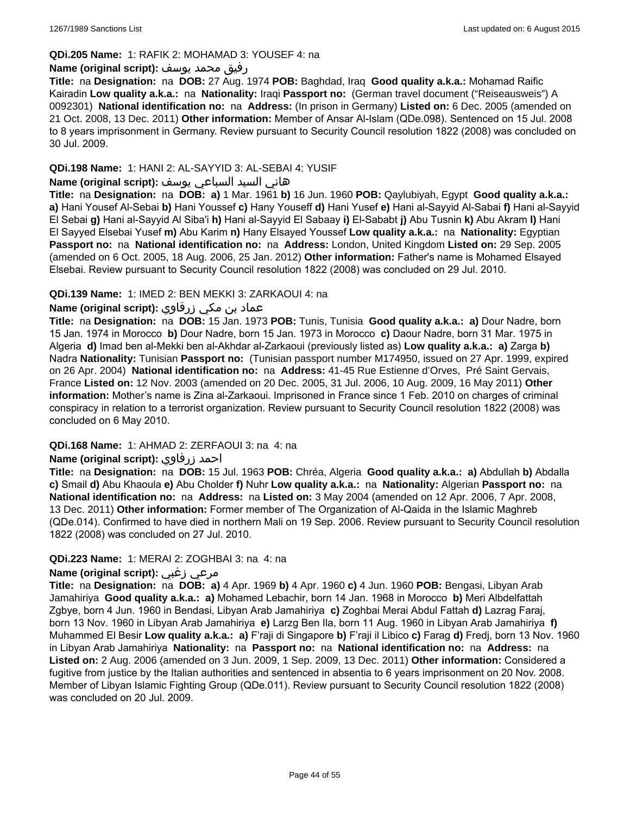### **QDi.205 Name:** 1: RAFIK 2: MOHAMAD 3: YOUSEF 4: na

### رفيق محمد يوسف **:(script original (Name**

**Title:** na **Designation:** na **DOB:** 27 Aug. 1974 **POB:** Baghdad, Iraq **Good quality a.k.a.:** Mohamad Raific Kairadin **Low quality a.k.a.:** na **Nationality:** Iraqi **Passport no:** (German travel document ("Reiseausweis") A 0092301) **National identification no:** na **Address:** (In prison in Germany) **Listed on:** 6 Dec. 2005 (amended on 21 Oct. 2008, 13 Dec. 2011) **Other information:** Member of Ansar Al-Islam (QDe.098). Sentenced on 15 Jul. 2008 to 8 years imprisonment in Germany. Review pursuant to Security Council resolution 1822 (2008) was concluded on 30 Jul. 2009.

### **QDi.198 Name:** 1: HANI 2: AL-SAYYID 3: AL-SEBAI 4: YUSIF

## هاني السيد السباعي يوسف **:(script original (Name**

**Title:** na **Designation:** na **DOB: a)** 1 Mar. 1961 **b)** 16 Jun. 1960 **POB:** Qaylubiyah, Egypt **Good quality a.k.a.: a)** Hani Yousef Al-Sebai **b)** Hani Youssef **c)** Hany Youseff **d)** Hani Yusef **e)** Hani al-Sayyid Al-Sabai **f)** Hani al-Sayyid El Sebai **g)** Hani al-Sayyid Al Siba'i **h)** Hani al-Sayyid El Sabaay **i)** El-Sababt **j)** Abu Tusnin **k)** Abu Akram **l)** Hani El Sayyed Elsebai Yusef **m)** Abu Karim **n)** Hany Elsayed Youssef **Low quality a.k.a.:** na **Nationality:** Egyptian **Passport no:** na **National identification no:** na **Address:** London, United Kingdom **Listed on:** 29 Sep. 2005 (amended on 6 Oct. 2005, 18 Aug. 2006, 25 Jan. 2012) **Other information:** Father's name is Mohamed Elsayed Elsebai. Review pursuant to Security Council resolution 1822 (2008) was concluded on 29 Jul. 2010.

### **QDi.139 Name:** 1: IMED 2: BEN MEKKI 3: ZARKAOUI 4: na

## عماد بن مكي زرقاوي **:(script original (Name**

**Title:** na **Designation:** na **DOB:** 15 Jan. 1973 **POB:** Tunis, Tunisia **Good quality a.k.a.: a)** Dour Nadre, born 15 Jan. 1974 in Morocco **b)** Dour Nadre, born 15 Jan. 1973 in Morocco **c)** Daour Nadre, born 31 Mar. 1975 in Algeria **d)** Imad ben al-Mekki ben al-Akhdar al-Zarkaoui (previously listed as) **Low quality a.k.a.: a)** Zarga **b)** Nadra **Nationality:** Tunisian **Passport no:** (Tunisian passport number M174950, issued on 27 Apr. 1999, expired on 26 Apr. 2004) **National identification no:** na **Address:** 41-45 Rue Estienne d'Orves, Pré Saint Gervais, France **Listed on:** 12 Nov. 2003 (amended on 20 Dec. 2005, 31 Jul. 2006, 10 Aug. 2009, 16 May 2011) **Other information:** Mother's name is Zina al-Zarkaoui. Imprisoned in France since 1 Feb. 2010 on charges of criminal conspiracy in relation to a terrorist organization. Review pursuant to Security Council resolution 1822 (2008) was concluded on 6 May 2010.

#### **QDi.168 Name:** 1: AHMAD 2: ZERFAOUI 3: na 4: na

## **Name (original script):** زرفاوي احمد

**Title:** na **Designation:** na **DOB:** 15 Jul. 1963 **POB:** Chréa, Algeria **Good quality a.k.a.: a)** Abdullah **b)** Abdalla **c)** Smail **d)** Abu Khaoula **e)** Abu Cholder **f)** Nuhr **Low quality a.k.a.:** na **Nationality:** Algerian **Passport no:** na **National identification no:** na **Address:** na **Listed on:** 3 May 2004 (amended on 12 Apr. 2006, 7 Apr. 2008, 13 Dec. 2011) **Other information:** Former member of The Organization of Al-Qaida in the Islamic Maghreb (QDe.014). Confirmed to have died in northern Mali on 19 Sep. 2006. Review pursuant to Security Council resolution 1822 (2008) was concluded on 27 Jul. 2010.

#### **QDi.223 Name:** 1: MERAI 2: ZOGHBAI 3: na 4: na

### **Name (original script):** زغبي مرعي

**Title:** na **Designation:** na **DOB: a)** 4 Apr. 1969 **b)** 4 Apr. 1960 **c)** 4 Jun. 1960 **POB:** Bengasi, Libyan Arab Jamahiriya **Good quality a.k.a.: a)** Mohamed Lebachir, born 14 Jan. 1968 in Morocco **b)** Meri Albdelfattah Zgbye, born 4 Jun. 1960 in Bendasi, Libyan Arab Jamahiriya **c)** Zoghbai Merai Abdul Fattah **d)** Lazrag Faraj, born 13 Nov. 1960 in Libyan Arab Jamahiriya **e)** Larzg Ben Ila, born 11 Aug. 1960 in Libyan Arab Jamahiriya **f)** Muhammed El Besir **Low quality a.k.a.: a)** F'raji di Singapore **b)** F'raji il Libico **c)** Farag **d)** Fredj, born 13 Nov. 1960 in Libyan Arab Jamahiriya **Nationality:** na **Passport no:** na **National identification no:** na **Address:** na **Listed on:** 2 Aug. 2006 (amended on 3 Jun. 2009, 1 Sep. 2009, 13 Dec. 2011) **Other information:** Considered a fugitive from justice by the Italian authorities and sentenced in absentia to 6 years imprisonment on 20 Nov. 2008. Member of Libyan Islamic Fighting Group (QDe.011). Review pursuant to Security Council resolution 1822 (2008) was concluded on 20 Jul. 2009.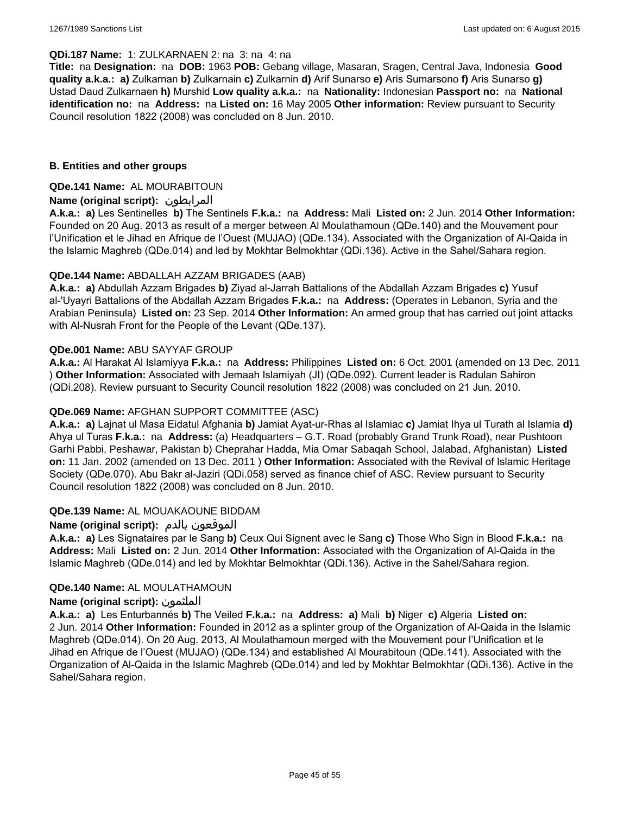#### **QDi.187 Name:** 1: ZULKARNAEN 2: na 3: na 4: na

**Title:** na **Designation:** na **DOB:** 1963 **POB:** Gebang village, Masaran, Sragen, Central Java, Indonesia **Good quality a.k.a.: a)** Zulkarnan **b)** Zulkarnain **c)** Zulkarnin **d)** Arif Sunarso **e)** Aris Sumarsono **f)** Aris Sunarso **g)** Ustad Daud Zulkarnaen **h)** Murshid **Low quality a.k.a.:** na **Nationality:** Indonesian **Passport no:** na **National identification no:** na **Address:** na **Listed on:** 16 May 2005 **Other information:** Review pursuant to Security Council resolution 1822 (2008) was concluded on 8 Jun. 2010.

### **B. Entities and other groups**

### **QDe.141 Name:** AL MOURABITOUN

### **Name (original script):** المرابطون

**A.k.a.: a)** Les Sentinelles **b)** The Sentinels **F.k.a.:** na **Address:** Mali **Listed on:** 2 Jun. 2014 **Other Information:**  Founded on 20 Aug. 2013 as result of a merger between Al Moulathamoun (QDe.140) and the Mouvement pour l'Unification et le Jihad en Afrique de l'Ouest (MUJAO) (QDe.134). Associated with the Organization of Al-Qaida in the Islamic Maghreb (QDe.014) and led by Mokhtar Belmokhtar (QDi.136). Active in the Sahel/Sahara region.

### **QDe.144 Name:** ABDALLAH AZZAM BRIGADES (AAB)

**A.k.a.: a)** Abdullah Azzam Brigades **b)** Ziyad al-Jarrah Battalions of the Abdallah Azzam Brigades **c)** Yusuf al-'Uyayri Battalions of the Abdallah Azzam Brigades **F.k.a.:** na **Address:** (Operates in Lebanon, Syria and the Arabian Peninsula) **Listed on:** 23 Sep. 2014 **Other Information:** An armed group that has carried out joint attacks with Al-Nusrah Front for the People of the Levant (QDe.137).

### **QDe.001 Name:** ABU SAYYAF GROUP

**A.k.a.:** Al Harakat Al Islamiyya **F.k.a.:** na **Address:** Philippines **Listed on:** 6 Oct. 2001 (amended on 13 Dec. 2011 ) **Other Information:** Associated with Jemaah Islamiyah (JI) (QDe.092). Current leader is Radulan Sahiron (QDi.208). Review pursuant to Security Council resolution 1822 (2008) was concluded on 21 Jun. 2010.

### **QDe.069 Name:** AFGHAN SUPPORT COMMITTEE (ASC)

**A.k.a.: a)** Lajnat ul Masa Eidatul Afghania **b)** Jamiat Ayat-ur-Rhas al Islamiac **c)** Jamiat Ihya ul Turath al Islamia **d)** Ahya ul Turas **F.k.a.:** na **Address:** (a) Headquarters – G.T. Road (probably Grand Trunk Road), near Pushtoon Garhi Pabbi, Peshawar, Pakistan b) Cheprahar Hadda, Mia Omar Sabaqah School, Jalabad, Afghanistan) **Listed on:** 11 Jan. 2002 (amended on 13 Dec. 2011 ) **Other Information:** Associated with the Revival of Islamic Heritage Society (QDe.070). Abu Bakr al-Jaziri (QDi.058) served as finance chief of ASC. Review pursuant to Security Council resolution 1822 (2008) was concluded on 8 Jun. 2010.

#### **QDe.139 Name:** AL MOUAKAOUNE BIDDAM

## **Name (original script):** بالدم الموقعون

**A.k.a.: a)** Les Signataires par le Sang **b)** Ceux Qui Signent avec le Sang **c)** Those Who Sign in Blood **F.k.a.:** na **Address:** Mali **Listed on:** 2 Jun. 2014 **Other Information:** Associated with the Organization of Al-Qaida in the Islamic Maghreb (QDe.014) and led by Mokhtar Belmokhtar (QDi.136). Active in the Sahel/Sahara region.

#### **QDe.140 Name:** AL MOULATHAMOUN

#### **Name (original script):** الملثمون

**A.k.a.: a)** Les Enturbannés **b)** The Veiled **F.k.a.:** na **Address: a)** Mali **b)** Niger **c)** Algeria **Listed on:** 2 Jun. 2014 **Other Information:** Founded in 2012 as a splinter group of the Organization of Al-Qaida in the Islamic Maghreb (QDe.014). On 20 Aug. 2013, Al Moulathamoun merged with the Mouvement pour l'Unification et le Jihad en Afrique de l'Ouest (MUJAO) (QDe.134) and established Al Mourabitoun (QDe.141). Associated with the Organization of Al-Qaida in the Islamic Maghreb (QDe.014) and led by Mokhtar Belmokhtar (QDi.136). Active in the Sahel/Sahara region.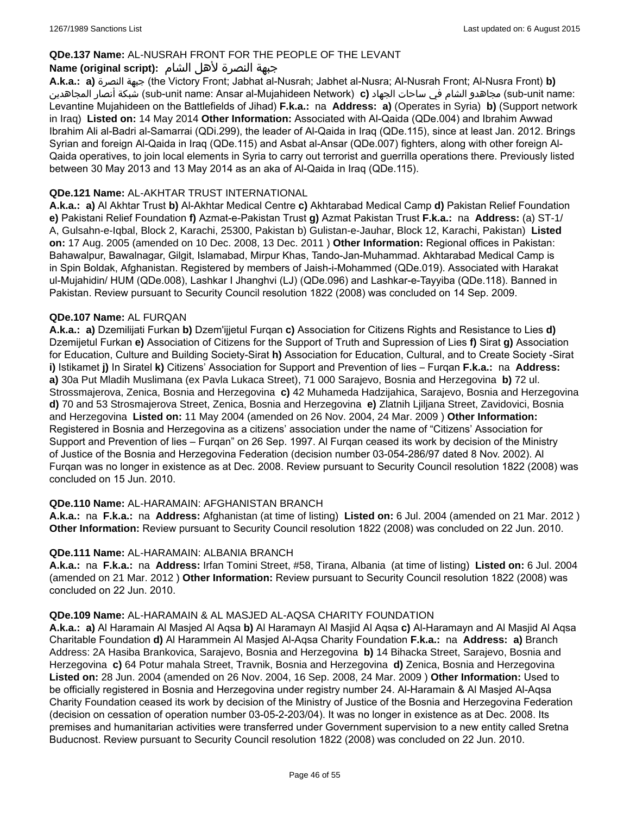## **QDe.137 Name:** AL-NUSRAH FRONT FOR THE PEOPLE OF THE LEVANT

## جبهة النصرة لأهل الشام **:(script original (Name**

**A.k.a.: a)** النصرة جبهة) the Victory Front; Jabhat al-Nusrah; Jabhet al-Nusra; Al-Nusrah Front; Al-Nusra Front) **b)**  المجاهدين أنصار شبكة) sub-unit name: Ansar al-Mujahideen Network) **c)** الجهاد ساحات في الشام مجاهدو) sub-unit name: Levantine Mujahideen on the Battlefields of Jihad) **F.k.a.:** na **Address: a)** (Operates in Syria) **b)** (Support network in Iraq) **Listed on:** 14 May 2014 **Other Information:** Associated with Al-Qaida (QDe.004) and Ibrahim Awwad Ibrahim Ali al-Badri al-Samarrai (QDi.299), the leader of Al-Qaida in Iraq (QDe.115), since at least Jan. 2012. Brings Syrian and foreign Al-Qaida in Iraq (QDe.115) and Asbat al-Ansar (QDe.007) fighters, along with other foreign Al-Qaida operatives, to join local elements in Syria to carry out terrorist and guerrilla operations there. Previously listed between 30 May 2013 and 13 May 2014 as an aka of Al-Qaida in Iraq (QDe.115).

### **QDe.121 Name:** AL-AKHTAR TRUST INTERNATIONAL

**A.k.a.: a)** Al Akhtar Trust **b)** Al-Akhtar Medical Centre **c)** Akhtarabad Medical Camp **d)** Pakistan Relief Foundation **e)** Pakistani Relief Foundation **f)** Azmat-e-Pakistan Trust **g)** Azmat Pakistan Trust **F.k.a.:** na **Address:** (a) ST-1/ A, Gulsahn-e-Iqbal, Block 2, Karachi, 25300, Pakistan b) Gulistan-e-Jauhar, Block 12, Karachi, Pakistan) **Listed on:** 17 Aug. 2005 (amended on 10 Dec. 2008, 13 Dec. 2011 ) **Other Information:** Regional offices in Pakistan: Bahawalpur, Bawalnagar, Gilgit, Islamabad, Mirpur Khas, Tando-Jan-Muhammad. Akhtarabad Medical Camp is in Spin Boldak, Afghanistan. Registered by members of Jaish-i-Mohammed (QDe.019). Associated with Harakat ul-Mujahidin/ HUM (QDe.008), Lashkar I Jhanghvi (LJ) (QDe.096) and Lashkar-e-Tayyiba (QDe.118). Banned in Pakistan. Review pursuant to Security Council resolution 1822 (2008) was concluded on 14 Sep. 2009.

#### **QDe.107 Name:** AL FURQAN

**A.k.a.: a)** Dzemilijati Furkan **b)** Dzem'ijjetul Furqan **c)** Association for Citizens Rights and Resistance to Lies **d)** Dzemijetul Furkan **e)** Association of Citizens for the Support of Truth and Supression of Lies **f)** Sirat **g)** Association for Education, Culture and Building Society-Sirat **h)** Association for Education, Cultural, and to Create Society -Sirat **i)** Istikamet **j)** In Siratel **k)** Citizens' Association for Support and Prevention of lies – Furqan **F.k.a.:** na **Address: a)** 30a Put Mladih Muslimana (ex Pavla Lukaca Street), 71 000 Sarajevo, Bosnia and Herzegovina **b)** 72 ul. Strossmajerova, Zenica, Bosnia and Herzegovina **c)** 42 Muhameda Hadzijahica, Sarajevo, Bosnia and Herzegovina **d)** 70 and 53 Strosmajerova Street, Zenica, Bosnia and Herzegovina **e)** Zlatnih Ljiljana Street, Zavidovici, Bosnia and Herzegovina **Listed on:** 11 May 2004 (amended on 26 Nov. 2004, 24 Mar. 2009 ) **Other Information:** Registered in Bosnia and Herzegovina as a citizens' association under the name of "Citizens' Association for Support and Prevention of lies – Furqan" on 26 Sep. 1997. Al Furqan ceased its work by decision of the Ministry of Justice of the Bosnia and Herzegovina Federation (decision number 03-054-286/97 dated 8 Nov. 2002). Al Furqan was no longer in existence as at Dec. 2008. Review pursuant to Security Council resolution 1822 (2008) was concluded on 15 Jun. 2010.

### **QDe.110 Name:** AL-HARAMAIN: AFGHANISTAN BRANCH

**A.k.a.:** na **F.k.a.:** na **Address:** Afghanistan (at time of listing) **Listed on:** 6 Jul. 2004 (amended on 21 Mar. 2012 ) **Other Information:** Review pursuant to Security Council resolution 1822 (2008) was concluded on 22 Jun. 2010.

#### **QDe.111 Name:** AL-HARAMAIN: ALBANIA BRANCH

**A.k.a.:** na **F.k.a.:** na **Address:** Irfan Tomini Street, #58, Tirana, Albania (at time of listing) **Listed on:** 6 Jul. 2004 (amended on 21 Mar. 2012 ) **Other Information:** Review pursuant to Security Council resolution 1822 (2008) was concluded on 22 Jun. 2010.

#### **QDe.109 Name:** AL-HARAMAIN & AL MASJED AL-AQSA CHARITY FOUNDATION

**A.k.a.: a)** Al Haramain Al Masjed Al Aqsa **b)** Al Haramayn Al Masjid Al Aqsa **c)** Al-Haramayn and Al Masjid Al Aqsa Charitable Foundation **d)** Al Harammein Al Masjed Al-Aqsa Charity Foundation **F.k.a.:** na **Address: a)** Branch Address: 2A Hasiba Brankovica, Sarajevo, Bosnia and Herzegovina **b)** 14 Bihacka Street, Sarajevo, Bosnia and Herzegovina **c)** 64 Potur mahala Street, Travnik, Bosnia and Herzegovina **d)** Zenica, Bosnia and Herzegovina **Listed on:** 28 Jun. 2004 (amended on 26 Nov. 2004, 16 Sep. 2008, 24 Mar. 2009 ) **Other Information:** Used to be officially registered in Bosnia and Herzegovina under registry number 24. Al-Haramain & Al Masjed Al-Aqsa Charity Foundation ceased its work by decision of the Ministry of Justice of the Bosnia and Herzegovina Federation (decision on cessation of operation number 03-05-2-203/04). It was no longer in existence as at Dec. 2008. Its premises and humanitarian activities were transferred under Government supervision to a new entity called Sretna Buducnost. Review pursuant to Security Council resolution 1822 (2008) was concluded on 22 Jun. 2010.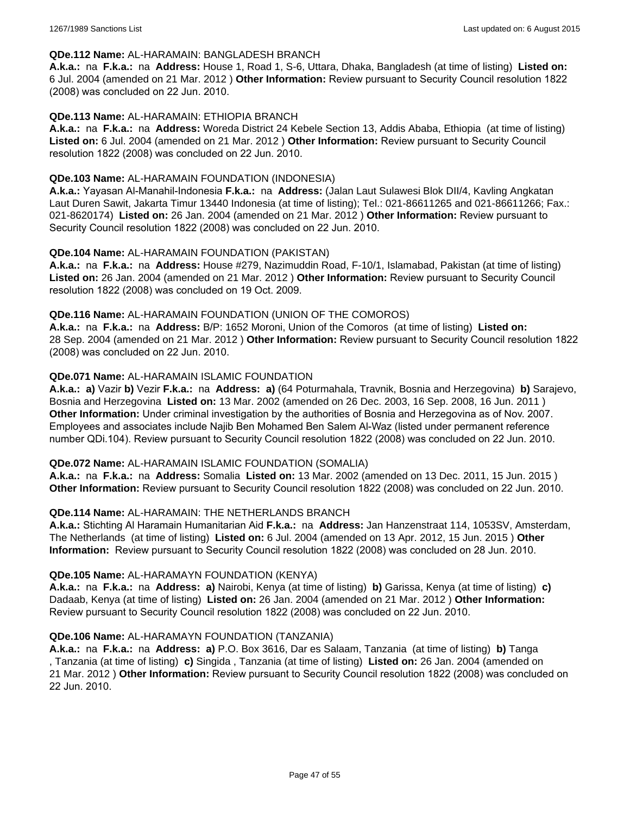#### **QDe.112 Name:** AL-HARAMAIN: BANGLADESH BRANCH

**A.k.a.:** na **F.k.a.:** na **Address:** House 1, Road 1, S-6, Uttara, Dhaka, Bangladesh (at time of listing) **Listed on:** 6 Jul. 2004 (amended on 21 Mar. 2012 ) **Other Information:** Review pursuant to Security Council resolution 1822 (2008) was concluded on 22 Jun. 2010.

### **QDe.113 Name:** AL-HARAMAIN: ETHIOPIA BRANCH

**A.k.a.:** na **F.k.a.:** na **Address:** Woreda District 24 Kebele Section 13, Addis Ababa, Ethiopia (at time of listing) **Listed on:** 6 Jul. 2004 (amended on 21 Mar. 2012 ) **Other Information:** Review pursuant to Security Council resolution 1822 (2008) was concluded on 22 Jun. 2010.

#### **QDe.103 Name:** AL-HARAMAIN FOUNDATION (INDONESIA)

**A.k.a.:** Yayasan Al-Manahil-Indonesia **F.k.a.:** na **Address:** (Jalan Laut Sulawesi Blok DII/4, Kavling Angkatan Laut Duren Sawit, Jakarta Timur 13440 Indonesia (at time of listing); Tel.: 021-86611265 and 021-86611266; Fax.: 021-8620174) **Listed on:** 26 Jan. 2004 (amended on 21 Mar. 2012 ) **Other Information:** Review pursuant to Security Council resolution 1822 (2008) was concluded on 22 Jun. 2010.

### **QDe.104 Name:** AL-HARAMAIN FOUNDATION (PAKISTAN)

**A.k.a.:** na **F.k.a.:** na **Address:** House #279, Nazimuddin Road, F-10/1, Islamabad, Pakistan (at time of listing) **Listed on:** 26 Jan. 2004 (amended on 21 Mar. 2012 ) **Other Information:** Review pursuant to Security Council resolution 1822 (2008) was concluded on 19 Oct. 2009.

### **QDe.116 Name:** AL-HARAMAIN FOUNDATION (UNION OF THE COMOROS)

**A.k.a.:** na **F.k.a.:** na **Address:** B/P: 1652 Moroni, Union of the Comoros (at time of listing) **Listed on:** 28 Sep. 2004 (amended on 21 Mar. 2012 ) **Other Information:** Review pursuant to Security Council resolution 1822 (2008) was concluded on 22 Jun. 2010.

### **QDe.071 Name:** AL-HARAMAIN ISLAMIC FOUNDATION

**A.k.a.: a)** Vazir **b)** Vezir **F.k.a.:** na **Address: a)** (64 Poturmahala, Travnik, Bosnia and Herzegovina) **b)** Sarajevo, Bosnia and Herzegovina **Listed on:** 13 Mar. 2002 (amended on 26 Dec. 2003, 16 Sep. 2008, 16 Jun. 2011 ) **Other Information:** Under criminal investigation by the authorities of Bosnia and Herzegovina as of Nov. 2007. Employees and associates include Najib Ben Mohamed Ben Salem Al-Waz (listed under permanent reference number QDi.104). Review pursuant to Security Council resolution 1822 (2008) was concluded on 22 Jun. 2010.

#### **QDe.072 Name:** AL-HARAMAIN ISLAMIC FOUNDATION (SOMALIA)

**A.k.a.:** na **F.k.a.:** na **Address:** Somalia **Listed on:** 13 Mar. 2002 (amended on 13 Dec. 2011, 15 Jun. 2015 ) **Other Information:** Review pursuant to Security Council resolution 1822 (2008) was concluded on 22 Jun. 2010.

#### **QDe.114 Name:** AL-HARAMAIN: THE NETHERLANDS BRANCH

**A.k.a.:** Stichting Al Haramain Humanitarian Aid **F.k.a.:** na **Address:** Jan Hanzenstraat 114, 1053SV, Amsterdam, The Netherlands (at time of listing) **Listed on:** 6 Jul. 2004 (amended on 13 Apr. 2012, 15 Jun. 2015 ) **Other Information:** Review pursuant to Security Council resolution 1822 (2008) was concluded on 28 Jun. 2010.

#### **QDe.105 Name:** AL-HARAMAYN FOUNDATION (KENYA)

**A.k.a.:** na **F.k.a.:** na **Address: a)** Nairobi, Kenya (at time of listing) **b)** Garissa, Kenya (at time of listing) **c)** Dadaab, Kenya (at time of listing) **Listed on:** 26 Jan. 2004 (amended on 21 Mar. 2012 ) **Other Information:** Review pursuant to Security Council resolution 1822 (2008) was concluded on 22 Jun. 2010.

#### **QDe.106 Name:** AL-HARAMAYN FOUNDATION (TANZANIA)

**A.k.a.:** na **F.k.a.:** na **Address: a)** P.O. Box 3616, Dar es Salaam, Tanzania (at time of listing) **b)** Tanga , Tanzania (at time of listing) **c)** Singida , Tanzania (at time of listing) **Listed on:** 26 Jan. 2004 (amended on 21 Mar. 2012 ) **Other Information:** Review pursuant to Security Council resolution 1822 (2008) was concluded on 22 Jun. 2010.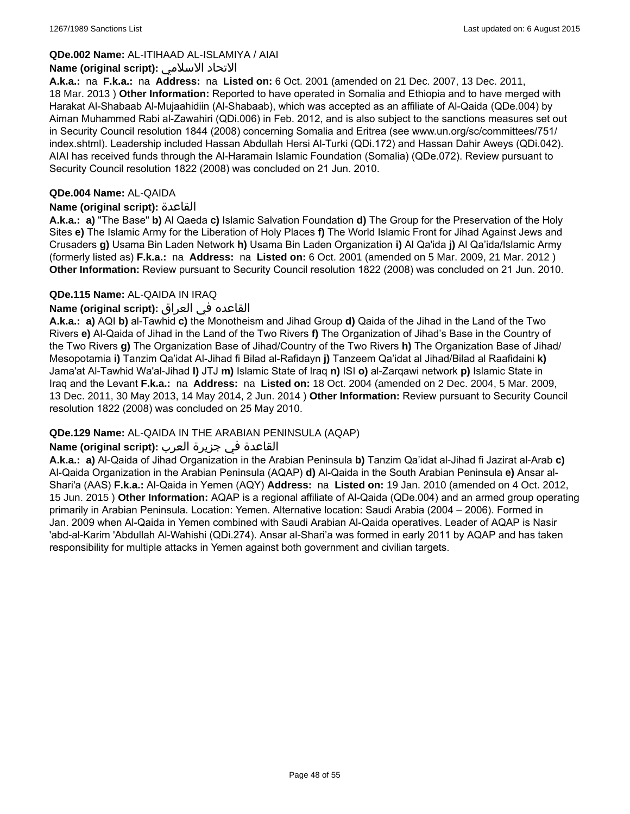### **QDe.002 Name:** AL-ITIHAAD AL-ISLAMIYA / AIAI

#### **Name (original script):** الاسلامي الاتحاد

**A.k.a.:** na **F.k.a.:** na **Address:** na **Listed on:** 6 Oct. 2001 (amended on 21 Dec. 2007, 13 Dec. 2011, 18 Mar. 2013 ) **Other Information:** Reported to have operated in Somalia and Ethiopia and to have merged with Harakat Al-Shabaab Al-Mujaahidiin (Al-Shabaab), which was accepted as an affiliate of Al-Qaida (QDe.004) by Aiman Muhammed Rabi al-Zawahiri (QDi.006) in Feb. 2012, and is also subject to the sanctions measures set out in Security Council resolution 1844 (2008) concerning Somalia and Eritrea (see www.un.org/sc/committees/751/ index.shtml). Leadership included Hassan Abdullah Hersi Al-Turki (QDi.172) and Hassan Dahir Aweys (QDi.042). AIAI has received funds through the Al-Haramain Islamic Foundation (Somalia) (QDe.072). Review pursuant to Security Council resolution 1822 (2008) was concluded on 21 Jun. 2010.

### **QDe.004 Name:** AL-QAIDA

### **Name (original script):** القاعدة

**A.k.a.: a)** "The Base" **b)** Al Qaeda **c)** Islamic Salvation Foundation **d)** The Group for the Preservation of the Holy Sites **e)** The Islamic Army for the Liberation of Holy Places **f)** The World Islamic Front for Jihad Against Jews and Crusaders **g)** Usama Bin Laden Network **h)** Usama Bin Laden Organization **i)** Al Qa'ida **j)** Al Qa'ida/Islamic Army (formerly listed as) **F.k.a.:** na **Address:** na **Listed on:** 6 Oct. 2001 (amended on 5 Mar. 2009, 21 Mar. 2012 ) **Other Information:** Review pursuant to Security Council resolution 1822 (2008) was concluded on 21 Jun. 2010.

### **QDe.115 Name:** AL-QAIDA IN IRAQ

### القاعده في العراق **:(script original (Name**

**A.k.a.: a)** AQI **b)** al-Tawhid **c)** the Monotheism and Jihad Group **d)** Qaida of the Jihad in the Land of the Two Rivers **e)** Al-Qaida of Jihad in the Land of the Two Rivers **f)** The Organization of Jihad's Base in the Country of the Two Rivers **g)** The Organization Base of Jihad/Country of the Two Rivers **h)** The Organization Base of Jihad/ Mesopotamia **i)** Tanzim Qa'idat Al-Jihad fi Bilad al-Rafidayn **j)** Tanzeem Qa'idat al Jihad/Bilad al Raafidaini **k)** Jama'at Al-Tawhid Wa'al-Jihad **l)** JTJ **m)** Islamic State of Iraq **n)** ISI **o)** al-Zarqawi network **p)** Islamic State in Iraq and the Levant **F.k.a.:** na **Address:** na **Listed on:** 18 Oct. 2004 (amended on 2 Dec. 2004, 5 Mar. 2009, 13 Dec. 2011, 30 May 2013, 14 May 2014, 2 Jun. 2014 ) **Other Information:** Review pursuant to Security Council resolution 1822 (2008) was concluded on 25 May 2010.

## **QDe.129 Name:** AL-QAIDA IN THE ARABIAN PENINSULA (AQAP)

## القاعدة في جزيرة العرب **:(script original (Name**

**A.k.a.: a)** Al-Qaida of Jihad Organization in the Arabian Peninsula **b)** Tanzim Qa'idat al-Jihad fi Jazirat al-Arab **c)** Al-Qaida Organization in the Arabian Peninsula (AQAP) **d)** Al-Qaida in the South Arabian Peninsula **e)** Ansar al-Shari'a (AAS) **F.k.a.:** Al-Qaida in Yemen (AQY) **Address:** na **Listed on:** 19 Jan. 2010 (amended on 4 Oct. 2012, 15 Jun. 2015 ) **Other Information:** AQAP is a regional affiliate of Al-Qaida (QDe.004) and an armed group operating primarily in Arabian Peninsula. Location: Yemen. Alternative location: Saudi Arabia (2004 – 2006). Formed in Jan. 2009 when Al-Qaida in Yemen combined with Saudi Arabian Al-Qaida operatives. Leader of AQAP is Nasir 'abd-al-Karim 'Abdullah Al-Wahishi (QDi.274). Ansar al-Shari'a was formed in early 2011 by AQAP and has taken responsibility for multiple attacks in Yemen against both government and civilian targets.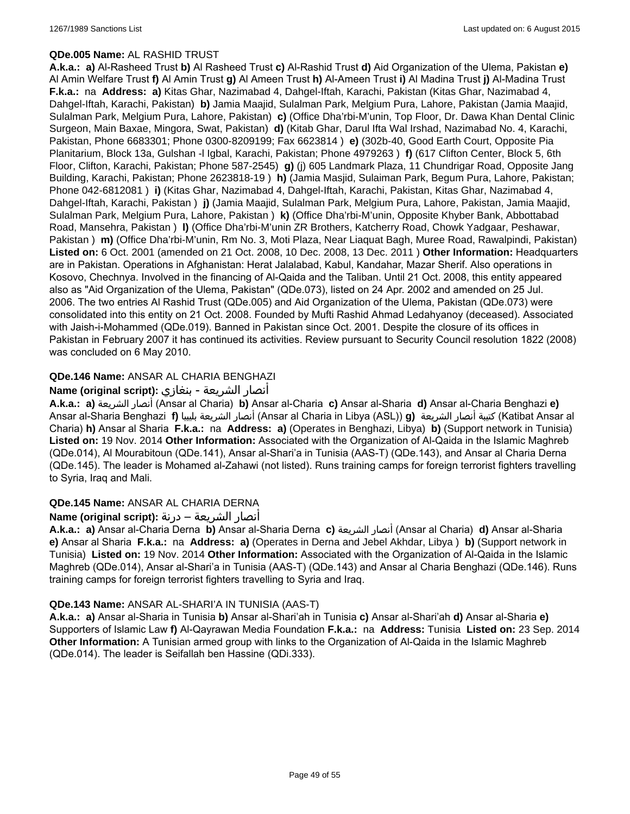### **QDe.005 Name:** AL RASHID TRUST

**A.k.a.: a)** Al-Rasheed Trust **b)** Al Rasheed Trust **c)** Al-Rashid Trust **d)** Aid Organization of the Ulema, Pakistan **e)** Al Amin Welfare Trust **f)** Al Amin Trust **g)** Al Ameen Trust **h)** Al-Ameen Trust **i)** Al Madina Trust **j)** Al-Madina Trust **F.k.a.:** na **Address: a)** Kitas Ghar, Nazimabad 4, Dahgel-Iftah, Karachi, Pakistan (Kitas Ghar, Nazimabad 4, Dahgel-Iftah, Karachi, Pakistan) **b)** Jamia Maajid, Sulalman Park, Melgium Pura, Lahore, Pakistan (Jamia Maajid, Sulalman Park, Melgium Pura, Lahore, Pakistan) **c)** (Office Dha'rbi-M'unin, Top Floor, Dr. Dawa Khan Dental Clinic Surgeon, Main Baxae, Mingora, Swat, Pakistan) **d)** (Kitab Ghar, Darul Ifta Wal Irshad, Nazimabad No. 4, Karachi, Pakistan, Phone 6683301; Phone 0300-8209199; Fax 6623814 ) **e)** (302b-40, Good Earth Court, Opposite Pia Planitarium, Block 13a, Gulshan -l Igbal, Karachi, Pakistan; Phone 4979263 ) **f)** (617 Clifton Center, Block 5, 6th Floor, Clifton, Karachi, Pakistan; Phone 587-2545) **g)** (j) 605 Landmark Plaza, 11 Chundrigar Road, Opposite Jang Building, Karachi, Pakistan; Phone 2623818-19 ) **h)** (Jamia Masjid, Sulaiman Park, Begum Pura, Lahore, Pakistan; Phone 042-6812081 ) **i)** (Kitas Ghar, Nazimabad 4, Dahgel-Iftah, Karachi, Pakistan, Kitas Ghar, Nazimabad 4, Dahgel-Iftah, Karachi, Pakistan ) **j)** (Jamia Maajid, Sulalman Park, Melgium Pura, Lahore, Pakistan, Jamia Maajid, Sulalman Park, Melgium Pura, Lahore, Pakistan ) **k)** (Office Dha'rbi-M'unin, Opposite Khyber Bank, Abbottabad Road, Mansehra, Pakistan ) **l)** (Office Dha'rbi-M'unin ZR Brothers, Katcherry Road, Chowk Yadgaar, Peshawar, Pakistan ) **m)** (Office Dha'rbi-M'unin, Rm No. 3, Moti Plaza, Near Liaquat Bagh, Muree Road, Rawalpindi, Pakistan) **Listed on:** 6 Oct. 2001 (amended on 21 Oct. 2008, 10 Dec. 2008, 13 Dec. 2011 ) **Other Information:** Headquarters are in Pakistan. Operations in Afghanistan: Herat Jalalabad, Kabul, Kandahar, Mazar Sherif. Also operations in Kosovo, Chechnya. Involved in the financing of Al-Qaida and the Taliban. Until 21 Oct. 2008, this entity appeared also as "Aid Organization of the Ulema, Pakistan" (QDe.073), listed on 24 Apr. 2002 and amended on 25 Jul. 2006. The two entries Al Rashid Trust (QDe.005) and Aid Organization of the Ulema, Pakistan (QDe.073) were consolidated into this entity on 21 Oct. 2008. Founded by Mufti Rashid Ahmad Ledahyanoy (deceased). Associated with Jaish-i-Mohammed (QDe.019). Banned in Pakistan since Oct. 2001. Despite the closure of its offices in Pakistan in February 2007 it has continued its activities. Review pursuant to Security Council resolution 1822 (2008) was concluded on 6 May 2010.

## **QDe.146 Name:** ANSAR AL CHARIA BENGHAZI

## أنصار الشريعة - بنغازي **:(script original (Name**

**A.k.a.: a)** الشريعة أنصار) Ansar al Charia) **b)** Ansar al-Charia **c)** Ansar al-Sharia **d)** Ansar al-Charia Benghazi **e)** Ansar al-Sharia Benghazi **f)** بليبيا الشريعة أنصار) Ansar al Charia in Libya (ASL)) **g)** الشريعة أنصار كتيبة) Katibat Ansar al Charia) **h)** Ansar al Sharia **F.k.a.:** na **Address: a)** (Operates in Benghazi, Libya) **b)** (Support network in Tunisia) **Listed on:** 19 Nov. 2014 **Other Information:** Associated with the Organization of Al-Qaida in the Islamic Maghreb (QDe.014), Al Mourabitoun (QDe.141), Ansar al-Shari'a in Tunisia (AAS-T) (QDe.143), and Ansar al Charia Derna (QDe.145). The leader is Mohamed al-Zahawi (not listed). Runs training camps for foreign terrorist fighters travelling to Syria, Iraq and Mali.

## **QDe.145 Name:** ANSAR AL CHARIA DERNA

## أنصار الشريعة – درنة **:(script original (Name**

**A.k.a.: a)** Ansar al-Charia Derna **b)** Ansar al-Sharia Derna **c)** الشريعة أنصار) Ansar al Charia) **d)** Ansar al-Sharia **e)** Ansar al Sharia **F.k.a.:** na **Address: a)** (Operates in Derna and Jebel Akhdar, Libya ) **b)** (Support network in Tunisia) **Listed on:** 19 Nov. 2014 **Other Information:** Associated with the Organization of Al-Qaida in the Islamic Maghreb (QDe.014), Ansar al-Shari'a in Tunisia (AAS-T) (QDe.143) and Ansar al Charia Benghazi (QDe.146). Runs training camps for foreign terrorist fighters travelling to Syria and Iraq.

## **QDe.143 Name:** ANSAR AL-SHARI'A IN TUNISIA (AAS-T)

**A.k.a.: a)** Ansar al-Sharia in Tunisia **b)** Ansar al-Shari'ah in Tunisia **c)** Ansar al-Shari'ah **d)** Ansar al-Sharia **e)** Supporters of Islamic Law **f)** Al-Qayrawan Media Foundation **F.k.a.:** na **Address:** Tunisia **Listed on:** 23 Sep. 2014 **Other Information:** A Tunisian armed group with links to the Organization of Al-Qaida in the Islamic Maghreb (QDe.014). The leader is Seifallah ben Hassine (QDi.333).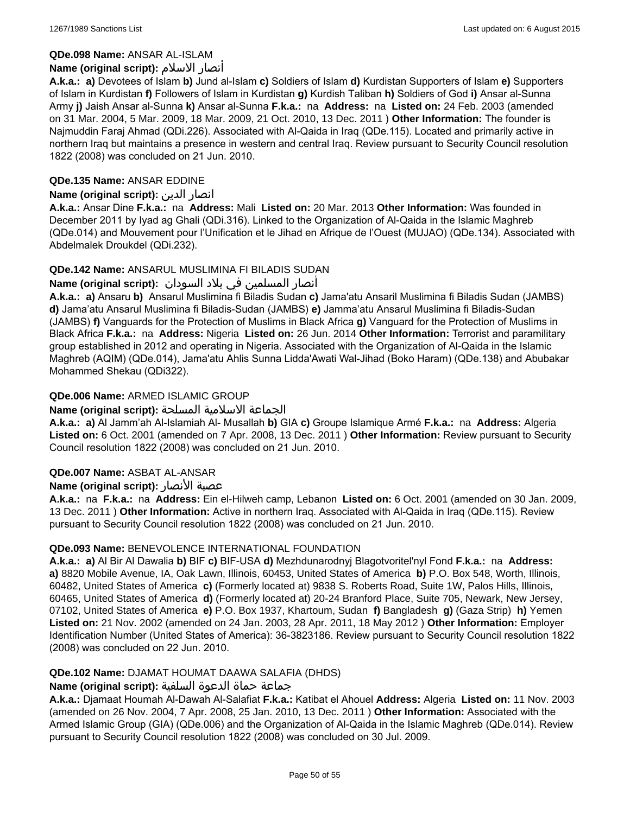## **QDe.098 Name:** ANSAR AL-ISLAM

## **Name (original script):** الاسلام أنصار

**A.k.a.: a)** Devotees of Islam **b)** Jund al-Islam **c)** Soldiers of Islam **d)** Kurdistan Supporters of Islam **e)** Supporters of Islam in Kurdistan **f)** Followers of Islam in Kurdistan **g)** Kurdish Taliban **h)** Soldiers of God **i)** Ansar al-Sunna Army **j)** Jaish Ansar al-Sunna **k)** Ansar al-Sunna **F.k.a.:** na **Address:** na **Listed on:** 24 Feb. 2003 (amended on 31 Mar. 2004, 5 Mar. 2009, 18 Mar. 2009, 21 Oct. 2010, 13 Dec. 2011 ) **Other Information:** The founder is Najmuddin Faraj Ahmad (QDi.226). Associated with Al-Qaida in Iraq (QDe.115). Located and primarily active in northern Iraq but maintains a presence in western and central Iraq. Review pursuant to Security Council resolution 1822 (2008) was concluded on 21 Jun. 2010.

## **QDe.135 Name:** ANSAR EDDINE

## **Name (original script):** الدين انصار

**A.k.a.:** Ansar Dine **F.k.a.:** na **Address:** Mali **Listed on:** 20 Mar. 2013 **Other Information:** Was founded in December 2011 by Iyad ag Ghali (QDi.316). Linked to the Organization of Al-Qaida in the Islamic Maghreb (QDe.014) and Mouvement pour l'Unification et le Jihad en Afrique de l'Ouest (MUJAO) (QDe.134). Associated with Abdelmalek Droukdel (QDi.232).

## **QDe.142 Name:** ANSARUL MUSLIMINA FI BILADIS SUDAN

## انصار المسلمین في بلاد السودان :**(Name (original script**

**A.k.a.: a)** Ansaru **b)** Ansarul Muslimina fi Biladis Sudan **c)** Jama'atu Ansaril Muslimina fi Biladis Sudan (JAMBS) **d)** Jama'atu Ansarul Muslimina fi Biladis-Sudan (JAMBS) **e)** Jamma'atu Ansarul Muslimina fi Biladis-Sudan (JAMBS) **f)** Vanguards for the Protection of Muslims in Black Africa **g)** Vanguard for the Protection of Muslims in Black Africa **F.k.a.:** na **Address:** Nigeria **Listed on:** 26 Jun. 2014 **Other Information:** Terrorist and paramilitary group established in 2012 and operating in Nigeria. Associated with the Organization of Al-Qaida in the Islamic Maghreb (AQIM) (QDe.014), Jama'atu Ahlis Sunna Lidda'Awati Wal-Jihad (Boko Haram) (QDe.138) and Abubakar Mohammed Shekau (QDi322).

## **QDe.006 Name:** ARMED ISLAMIC GROUP

## الجماعة الاسلامية المسلحة **:(script original (Name**

**A.k.a.: a)** Al Jamm'ah Al-Islamiah Al- Musallah **b)** GIA **c)** Groupe Islamique Armé **F.k.a.:** na **Address:** Algeria **Listed on:** 6 Oct. 2001 (amended on 7 Apr. 2008, 13 Dec. 2011 ) **Other Information:** Review pursuant to Security Council resolution 1822 (2008) was concluded on 21 Jun. 2010.

## **QDe.007 Name:** ASBAT AL-ANSAR

## **Name (original script):** الأنصار عصبة

**A.k.a.:** na **F.k.a.:** na **Address:** Ein el-Hilweh camp, Lebanon **Listed on:** 6 Oct. 2001 (amended on 30 Jan. 2009, 13 Dec. 2011 ) **Other Information:** Active in northern Iraq. Associated with Al-Qaida in Iraq (QDe.115). Review pursuant to Security Council resolution 1822 (2008) was concluded on 21 Jun. 2010.

## **QDe.093 Name:** BENEVOLENCE INTERNATIONAL FOUNDATION

**A.k.a.: a)** Al Bir Al Dawalia **b)** BIF **c)** BIF-USA **d)** Mezhdunarodnyj Blagotvoritel'nyl Fond **F.k.a.:** na **Address: a)** 8820 Mobile Avenue, IA, Oak Lawn, Illinois, 60453, United States of America **b)** P.O. Box 548, Worth, Illinois, 60482, United States of America **c)** (Formerly located at) 9838 S. Roberts Road, Suite 1W, Palos Hills, Illinois, 60465, United States of America **d)** (Formerly located at) 20-24 Branford Place, Suite 705, Newark, New Jersey, 07102, United States of America **e)** P.O. Box 1937, Khartoum, Sudan **f)** Bangladesh **g)** (Gaza Strip) **h)** Yemen **Listed on:** 21 Nov. 2002 (amended on 24 Jan. 2003, 28 Apr. 2011, 18 May 2012 ) **Other Information:** Employer Identification Number (United States of America): 36-3823186. Review pursuant to Security Council resolution 1822 (2008) was concluded on 22 Jun. 2010.

## **QDe.102 Name:** DJAMAT HOUMAT DAAWA SALAFIA (DHDS)

## جماعة حماة الدعوة السلفية **:(script original (Name**

**A.k.a.:** Djamaat Houmah Al-Dawah Al-Salafiat **F.k.a.:** Katibat el Ahouel **Address:** Algeria **Listed on:** 11 Nov. 2003 (amended on 26 Nov. 2004, 7 Apr. 2008, 25 Jan. 2010, 13 Dec. 2011 ) **Other Information:** Associated with the Armed Islamic Group (GIA) (QDe.006) and the Organization of Al-Qaida in the Islamic Maghreb (QDe.014). Review pursuant to Security Council resolution 1822 (2008) was concluded on 30 Jul. 2009.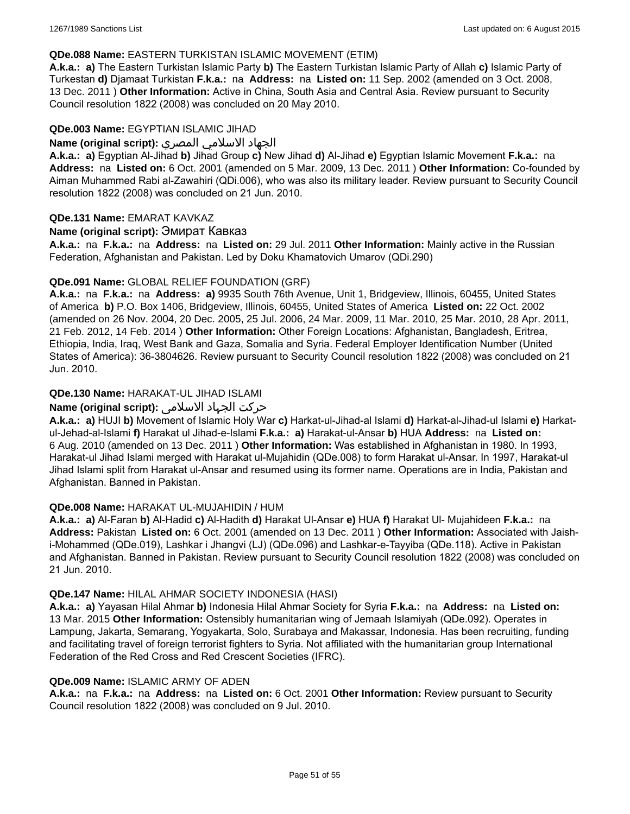### **QDe.088 Name:** EASTERN TURKISTAN ISLAMIC MOVEMENT (ETIM)

**A.k.a.: a)** The Eastern Turkistan Islamic Party **b)** The Eastern Turkistan Islamic Party of Allah **c)** Islamic Party of Turkestan **d)** Djamaat Turkistan **F.k.a.:** na **Address:** na **Listed on:** 11 Sep. 2002 (amended on 3 Oct. 2008, 13 Dec. 2011 ) **Other Information:** Active in China, South Asia and Central Asia. Review pursuant to Security Council resolution 1822 (2008) was concluded on 20 May 2010.

#### **QDe.003 Name:** EGYPTIAN ISLAMIC JIHAD

### الجهاد الاسلامي المصري **:(script original (Name**

**A.k.a.: a)** Egyptian Al-Jihad **b)** Jihad Group **c)** New Jihad **d)** Al-Jihad **e)** Egyptian Islamic Movement **F.k.a.:** na **Address:** na **Listed on:** 6 Oct. 2001 (amended on 5 Mar. 2009, 13 Dec. 2011 ) **Other Information:** Co-founded by Aiman Muhammed Rabi al-Zawahiri (QDi.006), who was also its military leader. Review pursuant to Security Council resolution 1822 (2008) was concluded on 21 Jun. 2010.

### **QDe.131 Name:** EMARAT KAVKAZ

### **Name (original script):** Эмират Кавказ

**A.k.a.:** na **F.k.a.:** na **Address:** na **Listed on:** 29 Jul. 2011 **Other Information:** Mainly active in the Russian Federation, Afghanistan and Pakistan. Led by Doku Khamatovich Umarov (QDi.290)

### **QDe.091 Name:** GLOBAL RELIEF FOUNDATION (GRF)

**A.k.a.:** na **F.k.a.:** na **Address: a)** 9935 South 76th Avenue, Unit 1, Bridgeview, Illinois, 60455, United States of America **b)** P.O. Box 1406, Bridgeview, Illinois, 60455, United States of America **Listed on:** 22 Oct. 2002 (amended on 26 Nov. 2004, 20 Dec. 2005, 25 Jul. 2006, 24 Mar. 2009, 11 Mar. 2010, 25 Mar. 2010, 28 Apr. 2011, 21 Feb. 2012, 14 Feb. 2014 ) **Other Information:** Other Foreign Locations: Afghanistan, Bangladesh, Eritrea, Ethiopia, India, Iraq, West Bank and Gaza, Somalia and Syria. Federal Employer Identification Number (United States of America): 36-3804626. Review pursuant to Security Council resolution 1822 (2008) was concluded on 21 Jun. 2010.

## **QDe.130 Name:** HARAKAT-UL JIHAD ISLAMI

## حرکت الجہاد الاسلامی **:(script original (Name**

**A.k.a.: a)** HUJI **b)** Movement of Islamic Holy War **c)** Harkat-ul-Jihad-al Islami **d)** Harkat-al-Jihad-ul Islami **e)** Harkatul-Jehad-al-Islami **f)** Harakat ul Jihad-e-Islami **F.k.a.: a)** Harakat-ul-Ansar **b)** HUA **Address:** na **Listed on:** 6 Aug. 2010 (amended on 13 Dec. 2011 ) **Other Information:** Was established in Afghanistan in 1980. In 1993, Harakat-ul Jihad Islami merged with Harakat ul-Mujahidin (QDe.008) to form Harakat ul-Ansar. In 1997, Harakat-ul Jihad Islami split from Harakat ul-Ansar and resumed using its former name. Operations are in India, Pakistan and Afghanistan. Banned in Pakistan.

#### **QDe.008 Name:** HARAKAT UL-MUJAHIDIN / HUM

**A.k.a.: a)** Al-Faran **b)** Al-Hadid **c)** Al-Hadith **d)** Harakat Ul-Ansar **e)** HUA **f)** Harakat Ul- Mujahideen **F.k.a.:** na **Address:** Pakistan **Listed on:** 6 Oct. 2001 (amended on 13 Dec. 2011 ) **Other Information:** Associated with Jaishi-Mohammed (QDe.019), Lashkar i Jhangvi (LJ) (QDe.096) and Lashkar-e-Tayyiba (QDe.118). Active in Pakistan and Afghanistan. Banned in Pakistan. Review pursuant to Security Council resolution 1822 (2008) was concluded on 21 Jun. 2010.

#### **QDe.147 Name:** HILAL AHMAR SOCIETY INDONESIA (HASI)

**A.k.a.: a)** Yayasan Hilal Ahmar **b)** Indonesia Hilal Ahmar Society for Syria **F.k.a.:** na **Address:** na **Listed on:** 13 Mar. 2015 **Other Information:** Ostensibly humanitarian wing of Jemaah Islamiyah (QDe.092). Operates in Lampung, Jakarta, Semarang, Yogyakarta, Solo, Surabaya and Makassar, Indonesia. Has been recruiting, funding and facilitating travel of foreign terrorist fighters to Syria. Not affiliated with the humanitarian group International Federation of the Red Cross and Red Crescent Societies (IFRC).

#### **QDe.009 Name:** ISLAMIC ARMY OF ADEN

**A.k.a.:** na **F.k.a.:** na **Address:** na **Listed on:** 6 Oct. 2001 **Other Information:** Review pursuant to Security Council resolution 1822 (2008) was concluded on 9 Jul. 2010.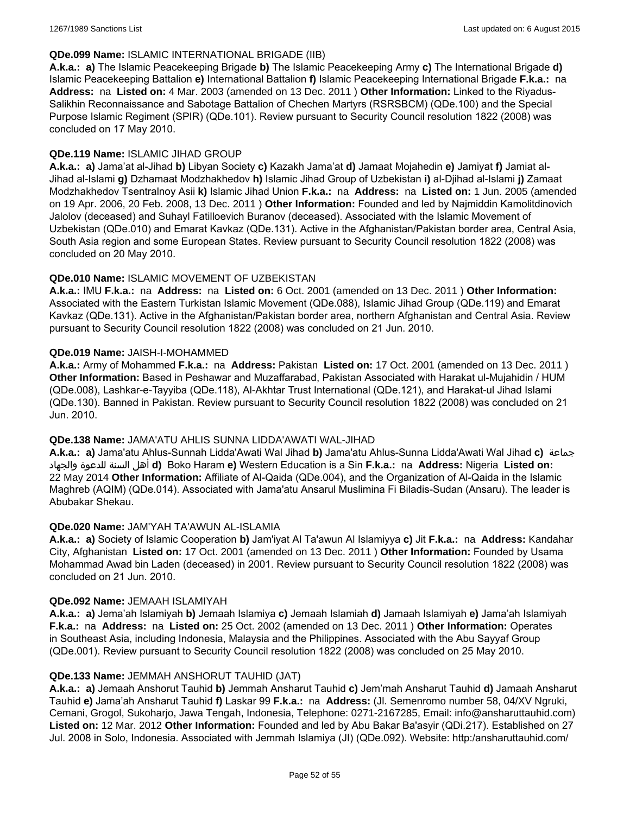### **QDe.099 Name:** ISLAMIC INTERNATIONAL BRIGADE (IIB)

**A.k.a.: a)** The Islamic Peacekeeping Brigade **b)** The Islamic Peacekeeping Army **c)** The International Brigade **d)** Islamic Peacekeeping Battalion **e)** International Battalion **f)** Islamic Peacekeeping International Brigade **F.k.a.:** na **Address:** na **Listed on:** 4 Mar. 2003 (amended on 13 Dec. 2011 ) **Other Information:** Linked to the Riyadus-Salikhin Reconnaissance and Sabotage Battalion of Chechen Martyrs (RSRSBCM) (QDe.100) and the Special Purpose Islamic Regiment (SPIR) (QDe.101). Review pursuant to Security Council resolution 1822 (2008) was concluded on 17 May 2010.

### **QDe.119 Name:** ISLAMIC JIHAD GROUP

**A.k.a.: a)** Jama'at al-Jihad **b)** Libyan Society **c)** Kazakh Jama'at **d)** Jamaat Mojahedin **e)** Jamiyat **f)** Jamiat al-Jihad al-Islami **g)** Dzhamaat Modzhakhedov **h)** Islamic Jihad Group of Uzbekistan **i)** al-Djihad al-Islami **j)** Zamaat Modzhakhedov Tsentralnoy Asii **k)** Islamic Jihad Union **F.k.a.:** na **Address:** na **Listed on:** 1 Jun. 2005 (amended on 19 Apr. 2006, 20 Feb. 2008, 13 Dec. 2011 ) **Other Information:** Founded and led by Najmiddin Kamolitdinovich Jalolov (deceased) and Suhayl Fatilloevich Buranov (deceased). Associated with the Islamic Movement of Uzbekistan (QDe.010) and Emarat Kavkaz (QDe.131). Active in the Afghanistan/Pakistan border area, Central Asia, South Asia region and some European States. Review pursuant to Security Council resolution 1822 (2008) was concluded on 20 May 2010.

### **QDe.010 Name:** ISLAMIC MOVEMENT OF UZBEKISTAN

**A.k.a.:** IMU **F.k.a.:** na **Address:** na **Listed on:** 6 Oct. 2001 (amended on 13 Dec. 2011 ) **Other Information:** Associated with the Eastern Turkistan Islamic Movement (QDe.088), Islamic Jihad Group (QDe.119) and Emarat Kavkaz (QDe.131). Active in the Afghanistan/Pakistan border area, northern Afghanistan and Central Asia. Review pursuant to Security Council resolution 1822 (2008) was concluded on 21 Jun. 2010.

### **QDe.019 Name:** JAISH-I-MOHAMMED

**A.k.a.:** Army of Mohammed **F.k.a.:** na **Address:** Pakistan **Listed on:** 17 Oct. 2001 (amended on 13 Dec. 2011 ) **Other Information:** Based in Peshawar and Muzaffarabad, Pakistan Associated with Harakat ul-Mujahidin / HUM (QDe.008), Lashkar-e-Tayyiba (QDe.118), Al-Akhtar Trust International (QDe.121), and Harakat-ul Jihad Islami (QDe.130). Banned in Pakistan. Review pursuant to Security Council resolution 1822 (2008) was concluded on 21 Jun. 2010.

#### **QDe.138 Name:** JAMA'ATU AHLIS SUNNA LIDDA'AWATI WAL-JIHAD

**A.k.a.: a)** Jama'atu Ahlus-Sunnah Lidda'Awati Wal Jihad **b)** Jama'atu Ahlus-Sunna Lidda'Awati Wal Jihad **c)** جماعة والجهاد للدعوة السنة أهل **d)** Boko Haram **e)** Western Education is a Sin **F.k.a.:** na **Address:** Nigeria **Listed on:** 22 May 2014 **Other Information:** Affiliate of Al-Qaida (QDe.004), and the Organization of Al-Qaida in the Islamic Maghreb (AQIM) (QDe.014). Associated with Jama'atu Ansarul Muslimina Fi Biladis-Sudan (Ansaru). The leader is Abubakar Shekau.

## **QDe.020 Name:** JAM'YAH TA'AWUN AL-ISLAMIA

**A.k.a.: a)** Society of Islamic Cooperation **b)** Jam'iyat Al Ta'awun Al Islamiyya **c)** Jit **F.k.a.:** na **Address:** Kandahar City, Afghanistan **Listed on:** 17 Oct. 2001 (amended on 13 Dec. 2011 ) **Other Information:** Founded by Usama Mohammad Awad bin Laden (deceased) in 2001. Review pursuant to Security Council resolution 1822 (2008) was concluded on 21 Jun. 2010.

#### **QDe.092 Name:** JEMAAH ISLAMIYAH

**A.k.a.: a)** Jema'ah Islamiyah **b)** Jemaah Islamiya **c)** Jemaah Islamiah **d)** Jamaah Islamiyah **e)** Jama'ah Islamiyah **F.k.a.:** na **Address:** na **Listed on:** 25 Oct. 2002 (amended on 13 Dec. 2011 ) **Other Information:** Operates in Southeast Asia, including Indonesia, Malaysia and the Philippines. Associated with the Abu Sayyaf Group (QDe.001). Review pursuant to Security Council resolution 1822 (2008) was concluded on 25 May 2010.

#### **QDe.133 Name:** JEMMAH ANSHORUT TAUHID (JAT)

**A.k.a.: a)** Jemaah Anshorut Tauhid **b)** Jemmah Ansharut Tauhid **c)** Jem'mah Ansharut Tauhid **d)** Jamaah Ansharut Tauhid **e)** Jama'ah Ansharut Tauhid **f)** Laskar 99 **F.k.a.:** na **Address:** (Jl. Semenromo number 58, 04/XV Ngruki, Cemani, Grogol, Sukoharjo, Jawa Tengah, Indonesia, Telephone: 0271-2167285, Email: info@ansharuttauhid.com) **Listed on:** 12 Mar. 2012 **Other Information:** Founded and led by Abu Bakar Ba'asyir (QDi.217). Established on 27 Jul. 2008 in Solo, Indonesia. Associated with Jemmah Islamiya (JI) (QDe.092). Website: http:/ansharuttauhid.com/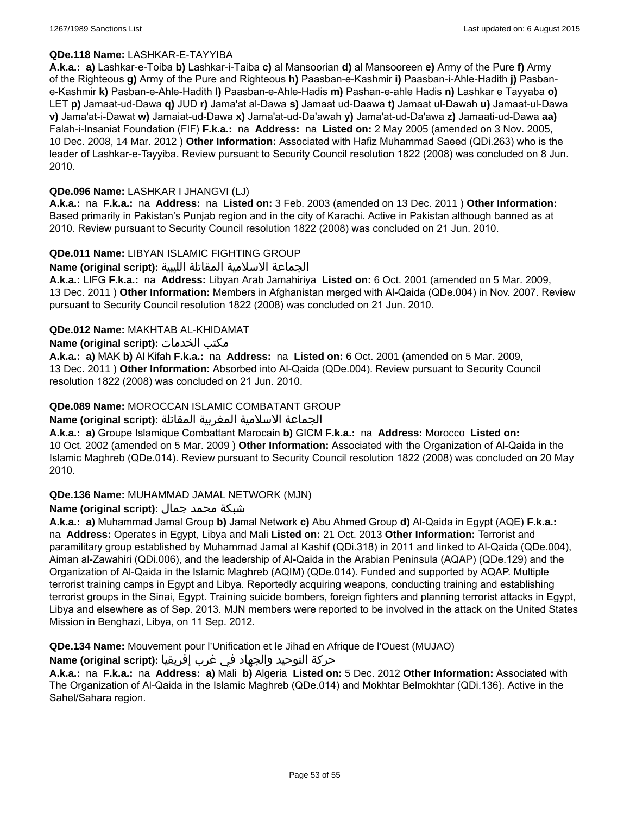### **QDe.118 Name:** LASHKAR-E-TAYYIBA

**A.k.a.: a)** Lashkar-e-Toiba **b)** Lashkar-i-Taiba **c)** al Mansoorian **d)** al Mansooreen **e)** Army of the Pure **f)** Army of the Righteous **g)** Army of the Pure and Righteous **h)** Paasban-e-Kashmir **i)** Paasban-i-Ahle-Hadith **j)** Pasbane-Kashmir **k)** Pasban-e-Ahle-Hadith **l)** Paasban-e-Ahle-Hadis **m)** Pashan-e-ahle Hadis **n)** Lashkar e Tayyaba **o)** LET **p)** Jamaat-ud-Dawa **q)** JUD **r)** Jama'at al-Dawa **s)** Jamaat ud-Daawa **t)** Jamaat ul-Dawah **u)** Jamaat-ul-Dawa **v)** Jama'at-i-Dawat **w)** Jamaiat-ud-Dawa **x)** Jama'at-ud-Da'awah **y)** Jama'at-ud-Da'awa **z)** Jamaati-ud-Dawa **aa)** Falah-i-Insaniat Foundation (FIF) **F.k.a.:** na **Address:** na **Listed on:** 2 May 2005 (amended on 3 Nov. 2005, 10 Dec. 2008, 14 Mar. 2012 ) **Other Information:** Associated with Hafiz Muhammad Saeed (QDi.263) who is the leader of Lashkar-e-Tayyiba. Review pursuant to Security Council resolution 1822 (2008) was concluded on 8 Jun. 2010.

### **QDe.096 Name:** LASHKAR I JHANGVI (LJ)

**A.k.a.:** na **F.k.a.:** na **Address:** na **Listed on:** 3 Feb. 2003 (amended on 13 Dec. 2011 ) **Other Information:** Based primarily in Pakistan's Punjab region and in the city of Karachi. Active in Pakistan although banned as at 2010. Review pursuant to Security Council resolution 1822 (2008) was concluded on 21 Jun. 2010.

### **QDe.011 Name:** LIBYAN ISLAMIC FIGHTING GROUP

الجماعة الاسلامية المقاتلة الليبية **:(script original (Name**

**A.k.a.:** LIFG **F.k.a.:** na **Address:** Libyan Arab Jamahiriya **Listed on:** 6 Oct. 2001 (amended on 5 Mar. 2009, 13 Dec. 2011 ) **Other Information:** Members in Afghanistan merged with Al-Qaida (QDe.004) in Nov. 2007. Review pursuant to Security Council resolution 1822 (2008) was concluded on 21 Jun. 2010.

### **QDe.012 Name:** MAKHTAB AL-KHIDAMAT

### **Name (original script):** الخدمات مكتب

**A.k.a.: a)** MAK **b)** Al Kifah **F.k.a.:** na **Address:** na **Listed on:** 6 Oct. 2001 (amended on 5 Mar. 2009, 13 Dec. 2011 ) **Other Information:** Absorbed into Al-Qaida (QDe.004). Review pursuant to Security Council resolution 1822 (2008) was concluded on 21 Jun. 2010.

### **QDe.089 Name:** MOROCCAN ISLAMIC COMBATANT GROUP

## الجماعة الاسلامية المغربية المقاتلة **:(script original (Name**

**A.k.a.: a)** Groupe Islamique Combattant Marocain **b)** GICM **F.k.a.:** na **Address:** Morocco **Listed on:** 10 Oct. 2002 (amended on 5 Mar. 2009 ) **Other Information:** Associated with the Organization of Al-Qaida in the Islamic Maghreb (QDe.014). Review pursuant to Security Council resolution 1822 (2008) was concluded on 20 May 2010.

#### **QDe.136 Name:** MUHAMMAD JAMAL NETWORK (MJN)

## شبكة محمد جمال **:(script original (Name**

**A.k.a.: a)** Muhammad Jamal Group **b)** Jamal Network **c)** Abu Ahmed Group **d)** Al-Qaida in Egypt (AQE) **F.k.a.:**  na **Address:** Operates in Egypt, Libya and Mali **Listed on:** 21 Oct. 2013 **Other Information:** Terrorist and paramilitary group established by Muhammad Jamal al Kashif (QDi.318) in 2011 and linked to Al-Qaida (QDe.004), Aiman al-Zawahiri (QDi.006), and the leadership of Al-Qaida in the Arabian Peninsula (AQAP) (QDe.129) and the Organization of Al-Qaida in the Islamic Maghreb (AQIM) (QDe.014). Funded and supported by AQAP. Multiple terrorist training camps in Egypt and Libya. Reportedly acquiring weapons, conducting training and establishing terrorist groups in the Sinai, Egypt. Training suicide bombers, foreign fighters and planning terrorist attacks in Egypt, Libya and elsewhere as of Sep. 2013. MJN members were reported to be involved in the attack on the United States Mission in Benghazi, Libya, on 11 Sep. 2012.

**QDe.134 Name:** Mouvement pour l'Unification et le Jihad en Afrique de l'Ouest (MUJAO)

#### حركة التوحيد والجهاد في غرب إفريقيا **:Name (original script)**

**A.k.a.:** na **F.k.a.:** na **Address: a)** Mali **b)** Algeria **Listed on:** 5 Dec. 2012 **Other Information:** Associated with The Organization of Al-Qaida in the Islamic Maghreb (QDe.014) and Mokhtar Belmokhtar (QDi.136). Active in the Sahel/Sahara region.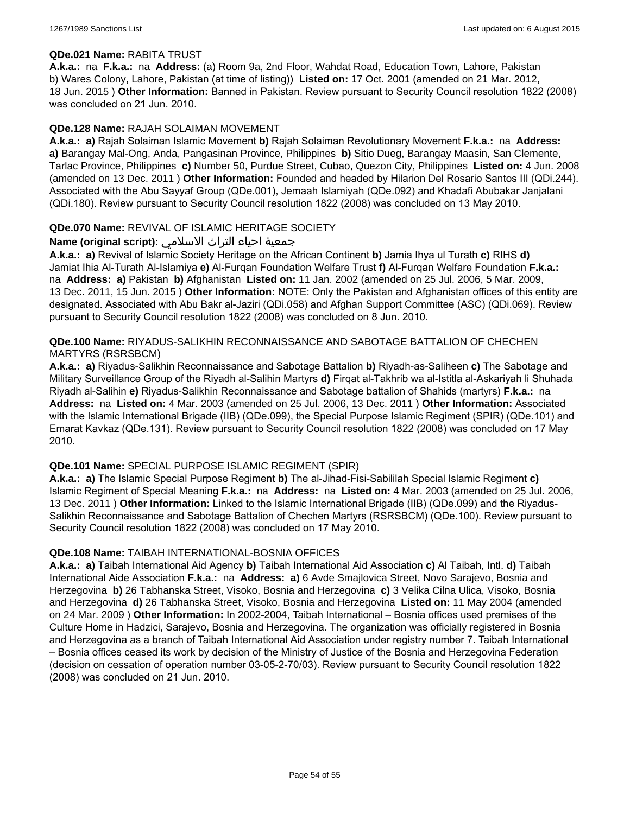#### **QDe.021 Name:** RABITA TRUST

**A.k.a.:** na **F.k.a.:** na **Address:** (a) Room 9a, 2nd Floor, Wahdat Road, Education Town, Lahore, Pakistan b) Wares Colony, Lahore, Pakistan (at time of listing)) **Listed on:** 17 Oct. 2001 (amended on 21 Mar. 2012, 18 Jun. 2015 ) **Other Information:** Banned in Pakistan. Review pursuant to Security Council resolution 1822 (2008) was concluded on 21 Jun. 2010.

#### **QDe.128 Name:** RAJAH SOLAIMAN MOVEMENT

**A.k.a.: a)** Rajah Solaiman Islamic Movement **b)** Rajah Solaiman Revolutionary Movement **F.k.a.:** na **Address: a)** Barangay Mal-Ong, Anda, Pangasinan Province, Philippines **b)** Sitio Dueg, Barangay Maasin, San Clemente, Tarlac Province, Philippines **c)** Number 50, Purdue Street, Cubao, Quezon City, Philippines **Listed on:** 4 Jun. 2008 (amended on 13 Dec. 2011 ) **Other Information:** Founded and headed by Hilarion Del Rosario Santos III (QDi.244). Associated with the Abu Sayyaf Group (QDe.001), Jemaah Islamiyah (QDe.092) and Khadafi Abubakar Janjalani (QDi.180). Review pursuant to Security Council resolution 1822 (2008) was concluded on 13 May 2010.

### **QDe.070 Name:** REVIVAL OF ISLAMIC HERITAGE SOCIETY

## جمعية احياء التراث الاسلامي **:(script original (Name**

**A.k.a.: a)** Revival of Islamic Society Heritage on the African Continent **b)** Jamia Ihya ul Turath **c)** RIHS **d)** Jamiat Ihia Al-Turath Al-Islamiya **e)** Al-Furqan Foundation Welfare Trust **f)** Al-Furqan Welfare Foundation **F.k.a.:**  na **Address: a)** Pakistan **b)** Afghanistan **Listed on:** 11 Jan. 2002 (amended on 25 Jul. 2006, 5 Mar. 2009, 13 Dec. 2011, 15 Jun. 2015 ) **Other Information:** NOTE: Only the Pakistan and Afghanistan offices of this entity are designated. Associated with Abu Bakr al-Jaziri (QDi.058) and Afghan Support Committee (ASC) (QDi.069). Review pursuant to Security Council resolution 1822 (2008) was concluded on 8 Jun. 2010.

### **QDe.100 Name:** RIYADUS-SALIKHIN RECONNAISSANCE AND SABOTAGE BATTALION OF CHECHEN MARTYRS (RSRSBCM)

**A.k.a.: a)** Riyadus-Salikhin Reconnaissance and Sabotage Battalion **b)** Riyadh-as-Saliheen **c)** The Sabotage and Military Surveillance Group of the Riyadh al-Salihin Martyrs **d)** Firqat al-Takhrib wa al-Istitla al-Askariyah li Shuhada Riyadh al-Salihin **e)** Riyadus-Salikhin Reconnaissance and Sabotage battalion of Shahids (martyrs) **F.k.a.:** na **Address:** na **Listed on:** 4 Mar. 2003 (amended on 25 Jul. 2006, 13 Dec. 2011 ) **Other Information:** Associated with the Islamic International Brigade (IIB) (QDe.099), the Special Purpose Islamic Regiment (SPIR) (QDe.101) and Emarat Kavkaz (QDe.131). Review pursuant to Security Council resolution 1822 (2008) was concluded on 17 May 2010.

#### **QDe.101 Name:** SPECIAL PURPOSE ISLAMIC REGIMENT (SPIR)

**A.k.a.: a)** The Islamic Special Purpose Regiment **b)** The al-Jihad-Fisi-Sabililah Special Islamic Regiment **c)** Islamic Regiment of Special Meaning **F.k.a.:** na **Address:** na **Listed on:** 4 Mar. 2003 (amended on 25 Jul. 2006, 13 Dec. 2011 ) **Other Information:** Linked to the Islamic International Brigade (IIB) (QDe.099) and the Riyadus-Salikhin Reconnaissance and Sabotage Battalion of Chechen Martyrs (RSRSBCM) (QDe.100). Review pursuant to Security Council resolution 1822 (2008) was concluded on 17 May 2010.

#### **QDe.108 Name:** TAIBAH INTERNATIONAL-BOSNIA OFFICES

**A.k.a.: a)** Taibah International Aid Agency **b)** Taibah International Aid Association **c)** Al Taibah, Intl. **d)** Taibah International Aide Association **F.k.a.:** na **Address: a)** 6 Avde Smajlovica Street, Novo Sarajevo, Bosnia and Herzegovina **b)** 26 Tabhanska Street, Visoko, Bosnia and Herzegovina **c)** 3 Velika Cilna Ulica, Visoko, Bosnia and Herzegovina **d)** 26 Tabhanska Street, Visoko, Bosnia and Herzegovina **Listed on:** 11 May 2004 (amended on 24 Mar. 2009 ) **Other Information:** In 2002-2004, Taibah International – Bosnia offices used premises of the Culture Home in Hadzici, Sarajevo, Bosnia and Herzegovina. The organization was officially registered in Bosnia and Herzegovina as a branch of Taibah International Aid Association under registry number 7. Taibah International – Bosnia offices ceased its work by decision of the Ministry of Justice of the Bosnia and Herzegovina Federation (decision on cessation of operation number 03-05-2-70/03). Review pursuant to Security Council resolution 1822 (2008) was concluded on 21 Jun. 2010.